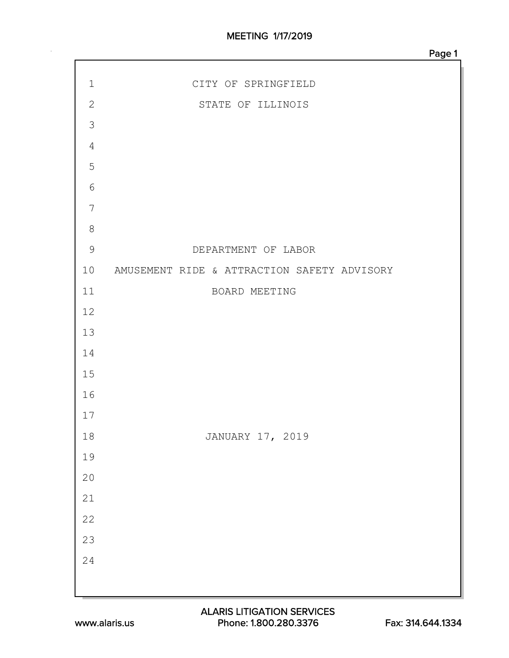| $1\,$            | CITY OF SPRINGFIELD                         |
|------------------|---------------------------------------------|
| $\mathbf{2}$     | STATE OF ILLINOIS                           |
| $\mathcal{S}$    |                                             |
| $\sqrt{4}$       |                                             |
| 5                |                                             |
| $6\,$            |                                             |
| $\boldsymbol{7}$ |                                             |
| $\,8\,$          |                                             |
| $\overline{9}$   | DEPARTMENT OF LABOR                         |
| 10               | AMUSEMENT RIDE & ATTRACTION SAFETY ADVISORY |
| 11               | BOARD MEETING                               |
| 12               |                                             |
| 13               |                                             |
| 14               |                                             |
| 15               |                                             |
| 16               |                                             |
| 17               |                                             |
| $1\,8$           | JANUARY 17, 2019                            |
| 19               |                                             |
| $2\,0$           |                                             |
| $2\sqrt{1}$      |                                             |
| 22               |                                             |
| 23               |                                             |
| 24               |                                             |
|                  |                                             |
|                  |                                             |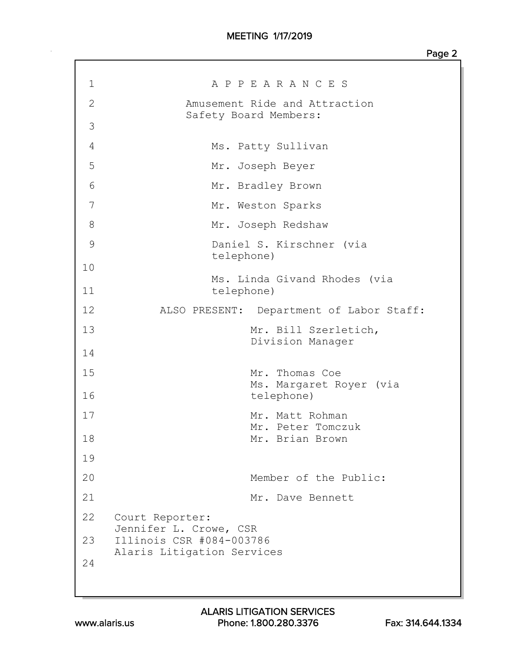| 1<br>A P P E A R A N C E S<br>$\mathbf{2}$<br>Amusement Ride and Attraction<br>Safety Board Members:<br>3<br>4<br>Ms. Patty Sullivan<br>5<br>Mr. Joseph Beyer<br>6<br>Mr. Bradley Brown<br>7<br>Mr. Weston Sparks<br>8<br>Mr. Joseph Redshaw<br>$\mathcal{G}$<br>Daniel S. Kirschner (via<br>telephone)<br>10<br>Ms. Linda Givand Rhodes (via<br>11<br>telephone)<br>12<br>ALSO PRESENT: Department of Labor Staff:<br>13<br>Mr. Bill Szerletich,<br>Division Manager<br>14<br>15<br>Mr. Thomas Coe<br>Ms. Margaret Royer (via<br>16<br>telephone)<br>17<br>Mr. Matt Rohman<br>Mr. Peter Tomczuk<br>18<br>Mr. Brian Brown<br>19<br>20<br>Member of the Public:<br>21<br>Mr. Dave Bennett<br>22<br>Court Reporter:<br>Jennifer L. Crowe, CSR<br>Illinois CSR #084-003786<br>23<br>Alaris Litigation Services<br>24 |  |
|-------------------------------------------------------------------------------------------------------------------------------------------------------------------------------------------------------------------------------------------------------------------------------------------------------------------------------------------------------------------------------------------------------------------------------------------------------------------------------------------------------------------------------------------------------------------------------------------------------------------------------------------------------------------------------------------------------------------------------------------------------------------------------------------------------------------|--|
|                                                                                                                                                                                                                                                                                                                                                                                                                                                                                                                                                                                                                                                                                                                                                                                                                   |  |
|                                                                                                                                                                                                                                                                                                                                                                                                                                                                                                                                                                                                                                                                                                                                                                                                                   |  |
|                                                                                                                                                                                                                                                                                                                                                                                                                                                                                                                                                                                                                                                                                                                                                                                                                   |  |
|                                                                                                                                                                                                                                                                                                                                                                                                                                                                                                                                                                                                                                                                                                                                                                                                                   |  |
|                                                                                                                                                                                                                                                                                                                                                                                                                                                                                                                                                                                                                                                                                                                                                                                                                   |  |
|                                                                                                                                                                                                                                                                                                                                                                                                                                                                                                                                                                                                                                                                                                                                                                                                                   |  |
|                                                                                                                                                                                                                                                                                                                                                                                                                                                                                                                                                                                                                                                                                                                                                                                                                   |  |
|                                                                                                                                                                                                                                                                                                                                                                                                                                                                                                                                                                                                                                                                                                                                                                                                                   |  |
|                                                                                                                                                                                                                                                                                                                                                                                                                                                                                                                                                                                                                                                                                                                                                                                                                   |  |
|                                                                                                                                                                                                                                                                                                                                                                                                                                                                                                                                                                                                                                                                                                                                                                                                                   |  |
|                                                                                                                                                                                                                                                                                                                                                                                                                                                                                                                                                                                                                                                                                                                                                                                                                   |  |
|                                                                                                                                                                                                                                                                                                                                                                                                                                                                                                                                                                                                                                                                                                                                                                                                                   |  |
|                                                                                                                                                                                                                                                                                                                                                                                                                                                                                                                                                                                                                                                                                                                                                                                                                   |  |
|                                                                                                                                                                                                                                                                                                                                                                                                                                                                                                                                                                                                                                                                                                                                                                                                                   |  |
|                                                                                                                                                                                                                                                                                                                                                                                                                                                                                                                                                                                                                                                                                                                                                                                                                   |  |
|                                                                                                                                                                                                                                                                                                                                                                                                                                                                                                                                                                                                                                                                                                                                                                                                                   |  |
|                                                                                                                                                                                                                                                                                                                                                                                                                                                                                                                                                                                                                                                                                                                                                                                                                   |  |
|                                                                                                                                                                                                                                                                                                                                                                                                                                                                                                                                                                                                                                                                                                                                                                                                                   |  |
|                                                                                                                                                                                                                                                                                                                                                                                                                                                                                                                                                                                                                                                                                                                                                                                                                   |  |
|                                                                                                                                                                                                                                                                                                                                                                                                                                                                                                                                                                                                                                                                                                                                                                                                                   |  |
|                                                                                                                                                                                                                                                                                                                                                                                                                                                                                                                                                                                                                                                                                                                                                                                                                   |  |
|                                                                                                                                                                                                                                                                                                                                                                                                                                                                                                                                                                                                                                                                                                                                                                                                                   |  |
|                                                                                                                                                                                                                                                                                                                                                                                                                                                                                                                                                                                                                                                                                                                                                                                                                   |  |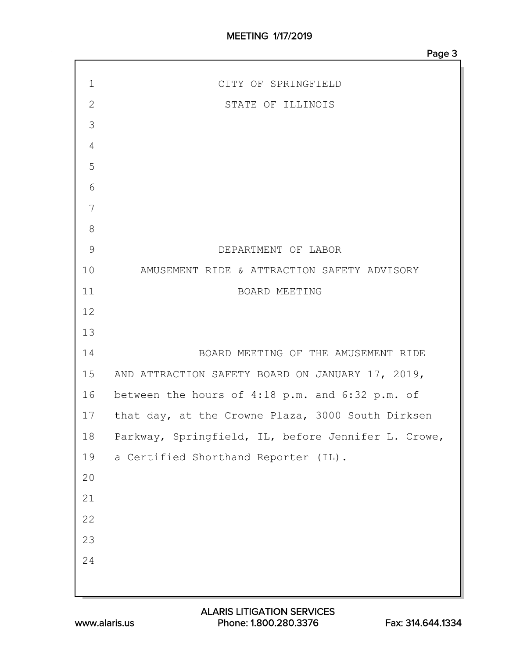| $\mathbf 1$   | CITY OF SPRINGFIELD                                  |
|---------------|------------------------------------------------------|
| $\mathbf 2$   | STATE OF ILLINOIS                                    |
| 3             |                                                      |
| 4             |                                                      |
| 5             |                                                      |
| 6             |                                                      |
| 7             |                                                      |
| 8             |                                                      |
| $\mathcal{G}$ | DEPARTMENT OF LABOR                                  |
| 10            | AMUSEMENT RIDE & ATTRACTION SAFETY ADVISORY          |
| 11            | BOARD MEETING                                        |
| 12            |                                                      |
| 13            |                                                      |
| 14            | BOARD MEETING OF THE AMUSEMENT RIDE                  |
| 15            | AND ATTRACTION SAFETY BOARD ON JANUARY 17, 2019,     |
|               | 16 between the hours of 4:18 p.m. and 6:32 p.m. of   |
|               | 17 that day, at the Crowne Plaza, 3000 South Dirksen |
| 18            | Parkway, Springfield, IL, before Jennifer L. Crowe,  |
| 19            | a Certified Shorthand Reporter (IL).                 |
| 20            |                                                      |
| 21            |                                                      |
| 22            |                                                      |
| 23            |                                                      |
| 24            |                                                      |
|               |                                                      |
|               |                                                      |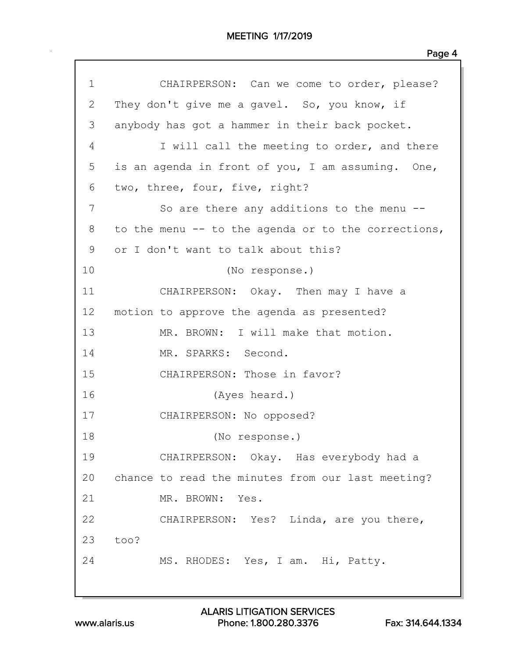| $\mathbf 1$ | CHAIRPERSON: Can we come to order, please?          |
|-------------|-----------------------------------------------------|
| 2           | They don't give me a gavel. So, you know, if        |
| 3           | anybody has got a hammer in their back pocket.      |
| 4           | I will call the meeting to order, and there         |
| 5           | is an agenda in front of you, I am assuming. One,   |
| 6           | two, three, four, five, right?                      |
| 7           | So are there any additions to the menu --           |
| 8           | to the menu -- to the agenda or to the corrections, |
| 9           | or I don't want to talk about this?                 |
| 10          | (No response.)                                      |
| 11          | CHAIRPERSON: Okay. Then may I have a                |
| 12          | motion to approve the agenda as presented?          |
| 13          | MR. BROWN: I will make that motion.                 |
| 14          | MR. SPARKS: Second.                                 |
| 15          | CHAIRPERSON: Those in favor?                        |
| 16          | (Ayes heard.)                                       |
| 17          | CHAIRPERSON: No opposed?                            |
| 18          | (No response.)                                      |
| 19          | CHAIRPERSON: Okay. Has everybody had a              |
| 20          | chance to read the minutes from our last meeting?   |
| 21          | MR. BROWN: Yes.                                     |
| 22          | CHAIRPERSON: Yes? Linda, are you there,             |
| 23          | too?                                                |
| 24          | MS. RHODES: Yes, I am. Hi, Patty.                   |
|             |                                                     |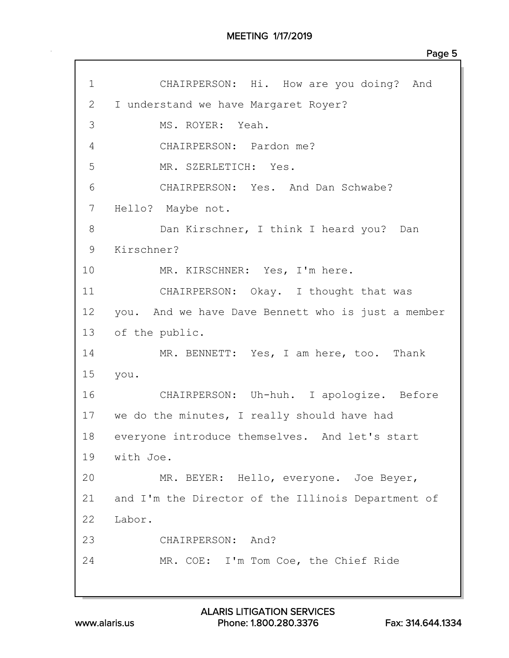| $\mathbf 1$ | CHAIRPERSON: Hi. How are you doing? And            |
|-------------|----------------------------------------------------|
| 2           | I understand we have Margaret Royer?               |
| 3           | MS. ROYER: Yeah.                                   |
| 4           | CHAIRPERSON: Pardon me?                            |
| 5           | MR. SZERLETICH: Yes.                               |
| 6           | CHAIRPERSON: Yes. And Dan Schwabe?                 |
| 7           | Hello? Maybe not.                                  |
| 8           | Dan Kirschner, I think I heard you? Dan            |
| 9           | Kirschner?                                         |
| 10          | MR. KIRSCHNER: Yes, I'm here.                      |
| 11          | CHAIRPERSON: Okay. I thought that was              |
| 12          | you. And we have Dave Bennett who is just a member |
| 13          | of the public.                                     |
| 14          | MR. BENNETT: Yes, I am here, too. Thank            |
| 15          | you.                                               |
| 16          | CHAIRPERSON: Uh-huh. I apologize. Before           |
|             | 17 we do the minutes, I really should have had     |
| 18          | everyone introduce themselves. And let's start     |
|             | 19 with Joe.                                       |
| 20          | MR. BEYER: Hello, everyone. Joe Beyer,             |
| 21          | and I'm the Director of the Illinois Department of |
| 22          | Labor.                                             |
| 23          | CHAIRPERSON: And?                                  |
| 24          | MR. COE: I'm Tom Coe, the Chief Ride               |
|             |                                                    |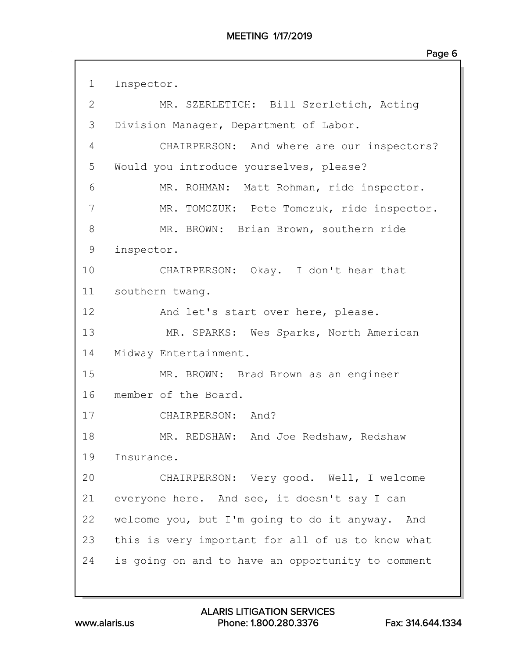1 Inspector. 2 MR. SZERLETICH: Bill Szerletich, Acting 3 Division Manager, Department of Labor. 4 CHAIRPERSON: And where are our inspectors? 5 Would you introduce yourselves, please? 6 MR. ROHMAN: Matt Rohman, ride inspector. 7 MR. TOMCZUK: Pete Tomczuk, ride inspector. 8 MR. BROWN: Brian Brown, southern ride 9 inspector. 10 CHAIRPERSON: Okay. I don't hear that 11 southern twang. 12 And let's start over here, please. 13 MR. SPARKS: Wes Sparks, North American 14 Midway Entertainment. 15 MR. BROWN: Brad Brown as an engineer 16 member of the Board. 17 CHAIRPERSON: And? 18 MR. REDSHAW: And Joe Redshaw, Redshaw 19 Insurance. 20 CHAIRPERSON: Very good. Well, I welcome 21 everyone here. And see, it doesn't say I can 22 welcome you, but I'm going to do it anyway. And 23 this is very important for all of us to know what 24 is going on and to have an opportunity to comment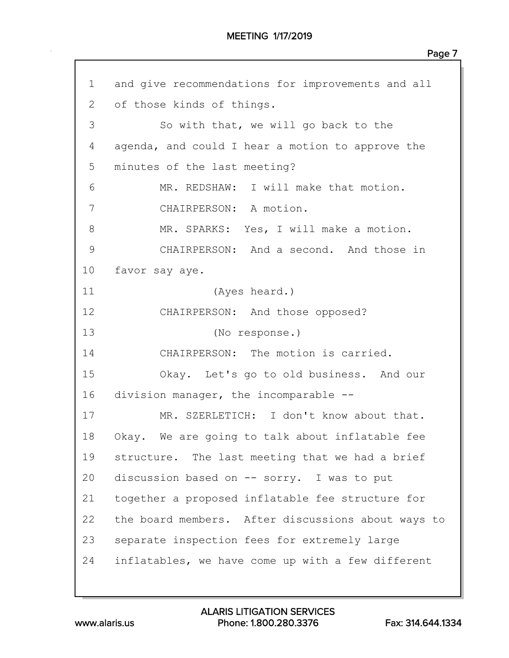## MEETING 1/17/2019

1 and give recommendations for improvements and all 2 of those kinds of things. 3 So with that, we will go back to the 4 agenda, and could I hear a motion to approve the 5 minutes of the last meeting? 6 MR. REDSHAW: I will make that motion. 7 CHAIRPERSON: A motion. 8 MR. SPARKS: Yes, I will make a motion. 9 CHAIRPERSON: And a second. And those in 10 favor say aye. 11 (Ayes heard.) 12 CHAIRPERSON: And those opposed? 13 (No response.) 14 CHAIRPERSON: The motion is carried. 15 Okay. Let's go to old business. And our 16 division manager, the incomparable -- 17 MR. SZERLETICH: I don't know about that. 18 Okay. We are going to talk about inflatable fee 19 structure. The last meeting that we had a brief 20 discussion based on -- sorry. I was to put 21 together a proposed inflatable fee structure for 22 the board members. After discussions about ways to 23 separate inspection fees for extremely large 24 inflatables, we have come up with a few different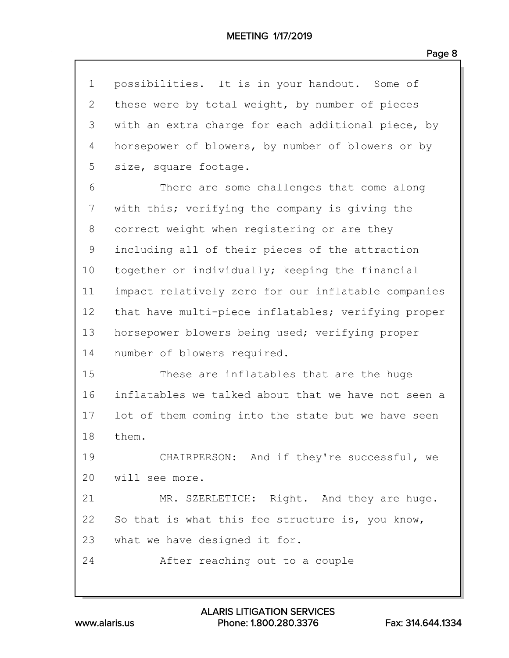|--|--|

| $\mathbf 1$ | possibilities. It is in your handout. Some of       |
|-------------|-----------------------------------------------------|
| 2           | these were by total weight, by number of pieces     |
| 3           | with an extra charge for each additional piece, by  |
| 4           | horsepower of blowers, by number of blowers or by   |
| 5           | size, square footage.                               |
| 6           | There are some challenges that come along           |
| 7           | with this; verifying the company is giving the      |
| 8           | correct weight when registering or are they         |
| 9           | including all of their pieces of the attraction     |
| 10          | together or individually; keeping the financial     |
| 11          | impact relatively zero for our inflatable companies |
| 12          | that have multi-piece inflatables; verifying proper |
| 13          | horsepower blowers being used; verifying proper     |
| 14          | number of blowers required.                         |
| 15          | These are inflatables that are the huge             |
| 16          | inflatables we talked about that we have not seen a |
| 17          | lot of them coming into the state but we have seen  |
| 18          | them.                                               |
| 19          | CHAIRPERSON: And if they're successful, we          |
| 20          | will see more.                                      |
| 21          | MR. SZERLETICH: Right. And they are huge.           |
| 22          | So that is what this fee structure is, you know,    |
| 23          | what we have designed it for.                       |
| 24          | After reaching out to a couple                      |
|             |                                                     |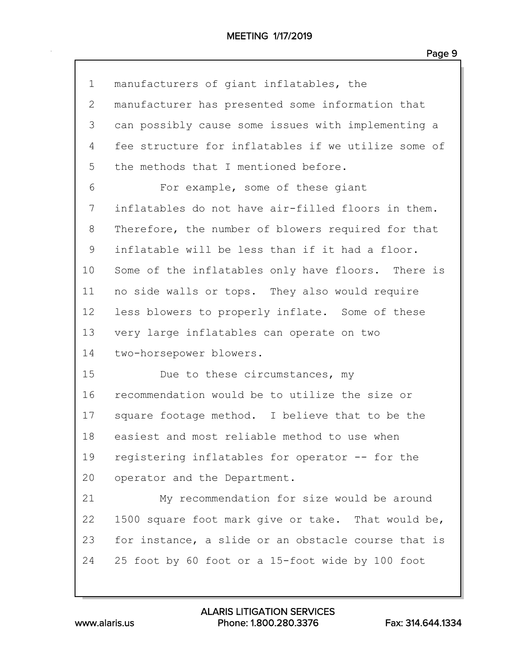| $\mathbf 1$  | manufacturers of giant inflatables, the             |
|--------------|-----------------------------------------------------|
| $\mathbf{2}$ | manufacturer has presented some information that    |
| 3            | can possibly cause some issues with implementing a  |
| 4            | fee structure for inflatables if we utilize some of |
| 5            | the methods that I mentioned before.                |
| 6            | For example, some of these giant                    |
| 7            | inflatables do not have air-filled floors in them.  |
| 8            | Therefore, the number of blowers required for that  |
| 9            | inflatable will be less than if it had a floor.     |
| 10           | Some of the inflatables only have floors. There is  |
| 11           | no side walls or tops. They also would require      |
| 12           | less blowers to properly inflate. Some of these     |
| 13           | very large inflatables can operate on two           |
| 14           | two-horsepower blowers.                             |
| 15           | Due to these circumstances, my                      |
| 16           | recommendation would be to utilize the size or      |
| 17           | square footage method. I believe that to be the     |
| 18           | easiest and most reliable method to use when        |
| 19           | registering inflatables for operator -- for the     |
| 20           | operator and the Department.                        |
| 21           | My recommendation for size would be around          |
| 22           | 1500 square foot mark give or take. That would be,  |
| 23           | for instance, a slide or an obstacle course that is |
| 24           | 25 foot by 60 foot or a 15-foot wide by 100 foot    |
|              |                                                     |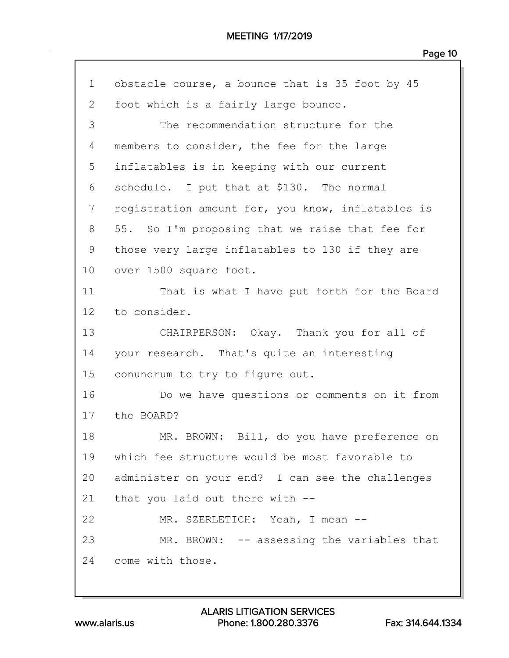| $\mathbf 1$     | obstacle course, a bounce that is 35 foot by 45   |
|-----------------|---------------------------------------------------|
| 2               | foot which is a fairly large bounce.              |
| 3               | The recommendation structure for the              |
| 4               | members to consider, the fee for the large        |
| 5               | inflatables is in keeping with our current        |
| 6               | schedule. I put that at \$130. The normal         |
| 7               | registration amount for, you know, inflatables is |
| 8               | 55. So I'm proposing that we raise that fee for   |
| 9               | those very large inflatables to 130 if they are   |
| 10              | over 1500 square foot.                            |
| 11              | That is what I have put forth for the Board       |
| 12 <sup>°</sup> | to consider.                                      |
| 13              | CHAIRPERSON: Okay. Thank you for all of           |
| 14              | your research. That's quite an interesting        |
| 15              | conundrum to try to figure out.                   |
| 16              | Do we have questions or comments on it from       |
| 17              | the BOARD?                                        |
| 18              | MR. BROWN: Bill, do you have preference on        |
| 19              | which fee structure would be most favorable to    |
| 20              | administer on your end? I can see the challenges  |
| 21              | that you laid out there with $-$ -                |
| 22              | MR. SZERLETICH: Yeah, I mean --                   |
| 23              | MR. BROWN: -- assessing the variables that        |
| 24              | come with those.                                  |
|                 |                                                   |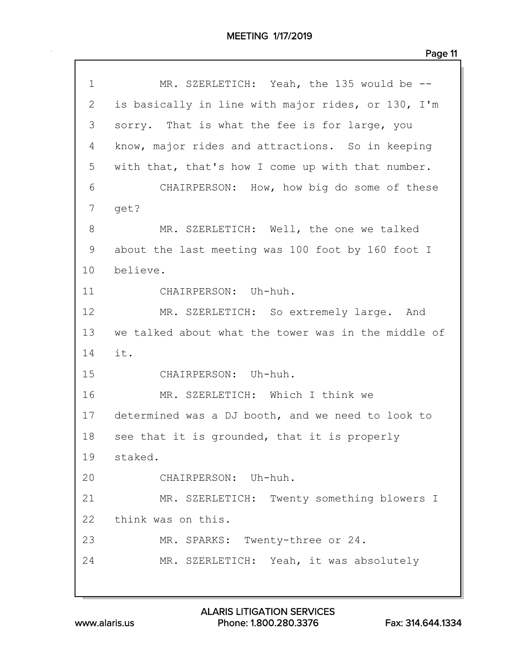| 1  | MR. SZERLETICH: Yeah, the 135 would be --           |
|----|-----------------------------------------------------|
| 2  | is basically in line with major rides, or 130, I'm  |
| 3  | sorry. That is what the fee is for large, you       |
| 4  | know, major rides and attractions. So in keeping    |
| 5  | with that, that's how I come up with that number.   |
| 6  | CHAIRPERSON: How, how big do some of these          |
| 7  | get?                                                |
| 8  | MR. SZERLETICH: Well, the one we talked             |
| 9  | about the last meeting was 100 foot by 160 foot I   |
| 10 | believe.                                            |
| 11 | CHAIRPERSON: Uh-huh.                                |
| 12 | MR. SZERLETICH: So extremely large. And             |
| 13 | we talked about what the tower was in the middle of |
| 14 | it.                                                 |
| 15 | CHAIRPERSON: Uh-huh.                                |
| 16 | MR. SZERLETICH: Which I think we                    |
| 17 | determined was a DJ booth, and we need to look to   |
| 18 | see that it is grounded, that it is properly        |
| 19 | staked.                                             |
| 20 | CHAIRPERSON: Uh-huh.                                |
| 21 | MR. SZERLETICH: Twenty something blowers I          |
| 22 | think was on this.                                  |
| 23 | MR. SPARKS: Twenty-three or 24.                     |
| 24 | MR. SZERLETICH: Yeah, it was absolutely             |
|    |                                                     |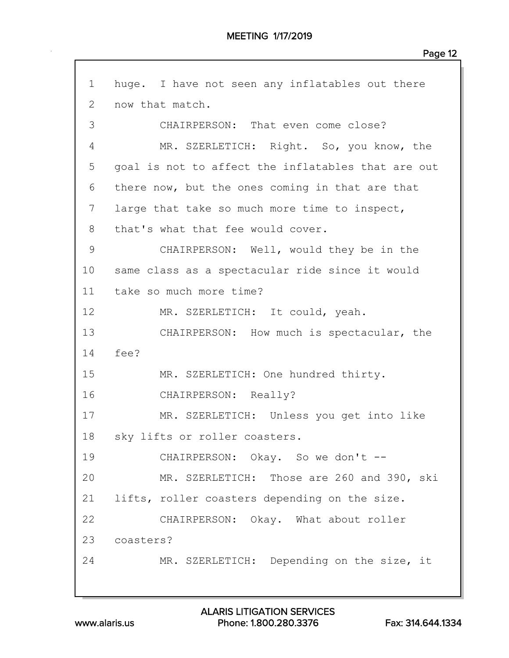1 huge. I have not seen any inflatables out there 2 now that match. 3 CHAIRPERSON: That even come close? 4 MR. SZERLETICH: Right. So, you know, the 5 goal is not to affect the inflatables that are out 6 there now, but the ones coming in that are that 7 large that take so much more time to inspect, 8 that's what that fee would cover. 9 CHAIRPERSON: Well, would they be in the 10 same class as a spectacular ride since it would 11 take so much more time? 12 MR. SZERLETICH: It could, yeah. 13 CHAIRPERSON: How much is spectacular, the 14 fee? 15 MR. SZERLETICH: One hundred thirty. 16 CHAIRPERSON: Really? 17 MR. SZERLETICH: Unless you get into like 18 sky lifts or roller coasters. 19 CHAIRPERSON: Okay. So we don't --20 MR. SZERLETICH: Those are 260 and 390, ski 21 lifts, roller coasters depending on the size. 22 CHAIRPERSON: Okay. What about roller 23 coasters? 24 MR. SZERLETICH: Depending on the size, it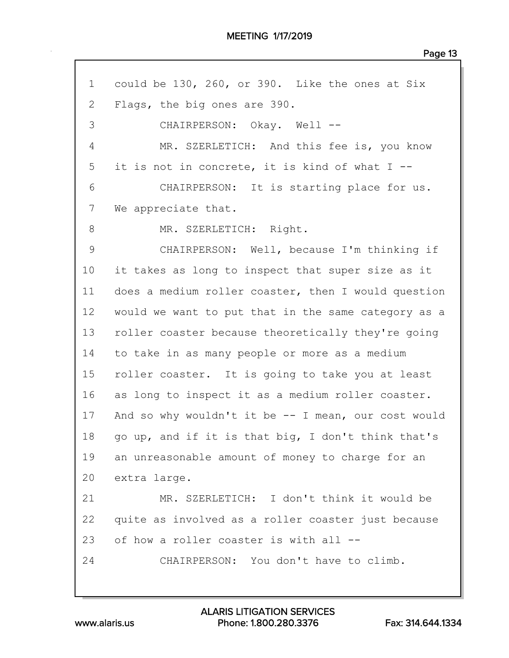MEETING 1/17/2019

Page 13

| $\mathbf 1$ | could be 130, 260, or 390. Like the ones at Six     |
|-------------|-----------------------------------------------------|
| 2           | Flags, the big ones are 390.                        |
| 3           | CHAIRPERSON: Okay. Well --                          |
| 4           | MR. SZERLETICH: And this fee is, you know           |
| 5           | it is not in concrete, it is kind of what I --      |
| 6           | CHAIRPERSON: It is starting place for us.           |
| 7           | We appreciate that.                                 |
| 8           | MR. SZERLETICH: Right.                              |
| $\mathsf 9$ | CHAIRPERSON: Well, because I'm thinking if          |
| 10          | it takes as long to inspect that super size as it   |
| 11          | does a medium roller coaster, then I would question |
| 12          | would we want to put that in the same category as a |
| 13          | roller coaster because theoretically they're going  |
| 14          | to take in as many people or more as a medium       |
| 15          | roller coaster. It is going to take you at least    |
| 16          | as long to inspect it as a medium roller coaster.   |
| 17          | And so why wouldn't it be -- I mean, our cost would |
| 18          | go up, and if it is that big, I don't think that's  |
| 19          | an unreasonable amount of money to charge for an    |
| 20          | extra large.                                        |
| 21          | MR. SZERLETICH: I don't think it would be           |
| 22          | quite as involved as a roller coaster just because  |
| 23          | of how a roller coaster is with all --              |
| 24          | CHAIRPERSON: You don't have to climb.               |
|             |                                                     |

www.alaris.us Phone: 1.800.280.3376 Fax: 314.644.1334 ALARIS LITIGATION SERVICES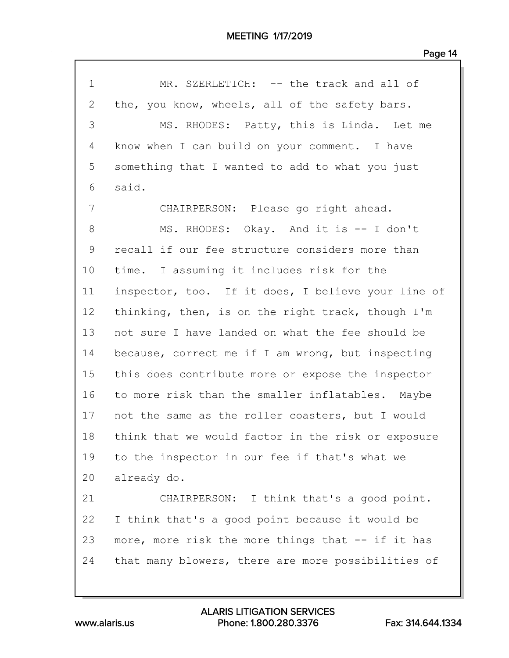| $\mathbf 1$  | MR. SZERLETICH: -- the track and all of            |
|--------------|----------------------------------------------------|
| $\mathbf{2}$ | the, you know, wheels, all of the safety bars.     |
| 3            | MS. RHODES: Patty, this is Linda. Let me           |
| 4            | know when I can build on your comment. I have      |
| 5            | something that I wanted to add to what you just    |
| 6            | said.                                              |
| 7            | CHAIRPERSON: Please go right ahead.                |
| $8\,$        | MS. RHODES: Okay. And it is -- I don't             |
| $\mathsf 9$  | recall if our fee structure considers more than    |
| 10           | time. I assuming it includes risk for the          |
| 11           | inspector, too. If it does, I believe your line of |
| 12           | thinking, then, is on the right track, though I'm  |
| 13           | not sure I have landed on what the fee should be   |
| 14           | because, correct me if I am wrong, but inspecting  |
| 15           | this does contribute more or expose the inspector  |
| 16           | to more risk than the smaller inflatables. Maybe   |
| 17           | not the same as the roller coasters, but I would   |
| 18           | think that we would factor in the risk or exposure |
| 19           | to the inspector in our fee if that's what we      |
| 20           | already do.                                        |
| 21           | CHAIRPERSON: I think that's a good point.          |
| 22           | I think that's a good point because it would be    |
| 23           | more, more risk the more things that -- if it has  |
| 24           | that many blowers, there are more possibilities of |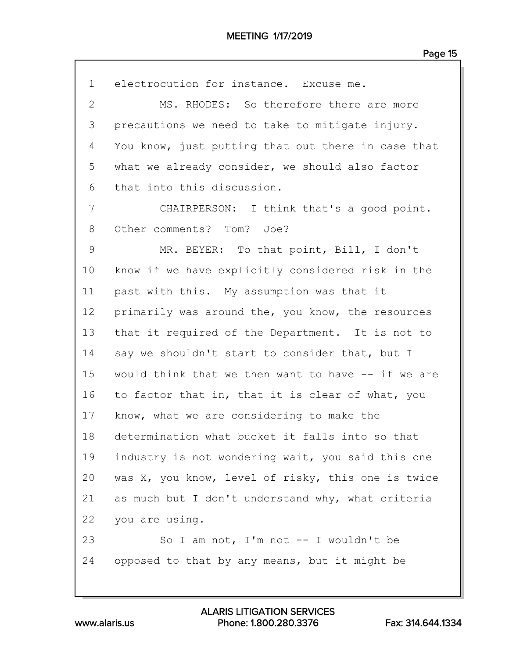| $\mathbf{1}$ | electrocution for instance. Excuse me.             |
|--------------|----------------------------------------------------|
| $\mathbf{2}$ | MS. RHODES: So therefore there are more            |
| 3            | precautions we need to take to mitigate injury.    |
| 4            | You know, just putting that out there in case that |
| 5            | what we already consider, we should also factor    |
| 6            | that into this discussion.                         |
| 7            | CHAIRPERSON: I think that's a good point.          |
| 8            | Other comments? Tom? Joe?                          |
| 9            | MR. BEYER: To that point, Bill, I don't            |
| 10           | know if we have explicitly considered risk in the  |
| 11           | past with this. My assumption was that it          |
| 12           | primarily was around the, you know, the resources  |
| 13           | that it required of the Department. It is not to   |
| 14           | say we shouldn't start to consider that, but I     |
| 15           | would think that we then want to have -- if we are |
| 16           | to factor that in, that it is clear of what, you   |
| 17           | know, what we are considering to make the          |
| 18           | determination what bucket it falls into so that    |
| 19           | industry is not wondering wait, you said this one  |
| 20           | was X, you know, level of risky, this one is twice |
| 21           | as much but I don't understand why, what criteria  |
| 22           | you are using.                                     |
| 23           | So I am not, I'm not $--$ I wouldn't be            |
| 24           | opposed to that by any means, but it might be      |

www.alaris.us Phone: 1.800.280.3376 Fax: 314.644.1334 ALARIS LITIGATION SERVICES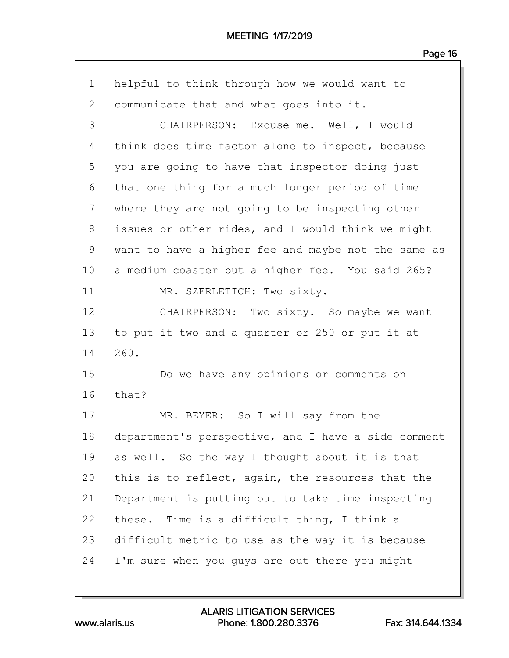| $\mathbf 1$  | helpful to think through how we would want to       |
|--------------|-----------------------------------------------------|
| $\mathbf{2}$ | communicate that and what goes into it.             |
| 3            | CHAIRPERSON: Excuse me. Well, I would               |
| 4            | think does time factor alone to inspect, because    |
| 5            | you are going to have that inspector doing just     |
| 6            | that one thing for a much longer period of time     |
| 7            | where they are not going to be inspecting other     |
| 8            | issues or other rides, and I would think we might   |
| 9            | want to have a higher fee and maybe not the same as |
| 10           | a medium coaster but a higher fee. You said 265?    |
| 11           | MR. SZERLETICH: Two sixty.                          |
| 12           | CHAIRPERSON: Two sixty. So maybe we want            |
| 13           | to put it two and a quarter or 250 or put it at     |
| 14           | 260.                                                |
| 15           | Do we have any opinions or comments on              |
| 16           | that?                                               |
| 17           | MR. BEYER: So I will say from the                   |
| 18           | department's perspective, and I have a side comment |
| 19           | as well. So the way I thought about it is that      |
| 20           | this is to reflect, again, the resources that the   |
| 21           | Department is putting out to take time inspecting   |
| 22           | these. Time is a difficult thing, I think a         |
| 23           | difficult metric to use as the way it is because    |
| 24           | I'm sure when you guys are out there you might      |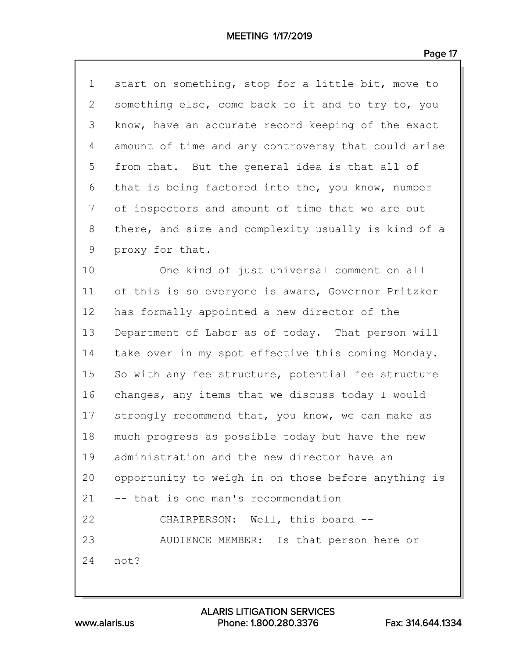| $\mathbf 1$  | start on something, stop for a little bit, move to  |
|--------------|-----------------------------------------------------|
| $\mathbf{2}$ | something else, come back to it and to try to, you  |
| 3            | know, have an accurate record keeping of the exact  |
| 4            | amount of time and any controversy that could arise |
| 5            | from that. But the general idea is that all of      |
| 6            | that is being factored into the, you know, number   |
| 7            | of inspectors and amount of time that we are out    |
| 8            | there, and size and complexity usually is kind of a |
| 9            | proxy for that.                                     |
| 10           | One kind of just universal comment on all           |
| 11           | of this is so everyone is aware, Governor Pritzker  |
| 12           | has formally appointed a new director of the        |
| 13           | Department of Labor as of today. That person will   |
| 14           | take over in my spot effective this coming Monday.  |
| 15           | So with any fee structure, potential fee structure  |
| 16           | changes, any items that we discuss today I would    |
| 17           | strongly recommend that, you know, we can make as   |
| 18           | much progress as possible today but have the new    |
| 19           | administration and the new director have an         |
| 20           | opportunity to weigh in on those before anything is |
| 21           | -- that is one man's recommendation                 |
| 22           | CHAIRPERSON: Well, this board --                    |
| 23           | AUDIENCE MEMBER: Is that person here or             |
| 24           | not?                                                |
|              |                                                     |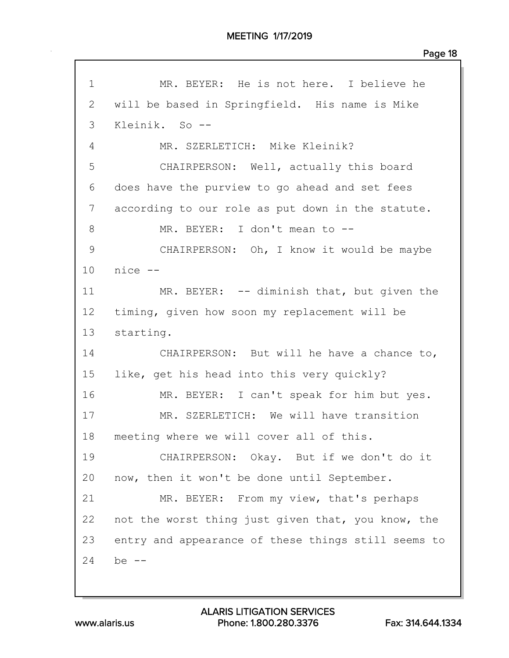1 MR. BEYER: He is not here. I believe he 2 will be based in Springfield. His name is Mike 3 Kleinik. So -- 4 MR. SZERLETICH: Mike Kleinik? 5 CHAIRPERSON: Well, actually this board 6 does have the purview to go ahead and set fees 7 according to our role as put down in the statute. 8 MR. BEYER: I don't mean to --9 CHAIRPERSON: Oh, I know it would be maybe 10 nice -- 11 MR. BEYER: -- diminish that, but given the 12 timing, given how soon my replacement will be 13 starting. 14 CHAIRPERSON: But will he have a chance to, 15 like, get his head into this very quickly? 16 MR. BEYER: I can't speak for him but yes. 17 MR. SZERLETICH: We will have transition 18 meeting where we will cover all of this. 19 CHAIRPERSON: Okay. But if we don't do it 20 now, then it won't be done until September. 21 MR. BEYER: From my view, that's perhaps 22 not the worst thing just given that, you know, the 23 entry and appearance of these things still seems to 24 be --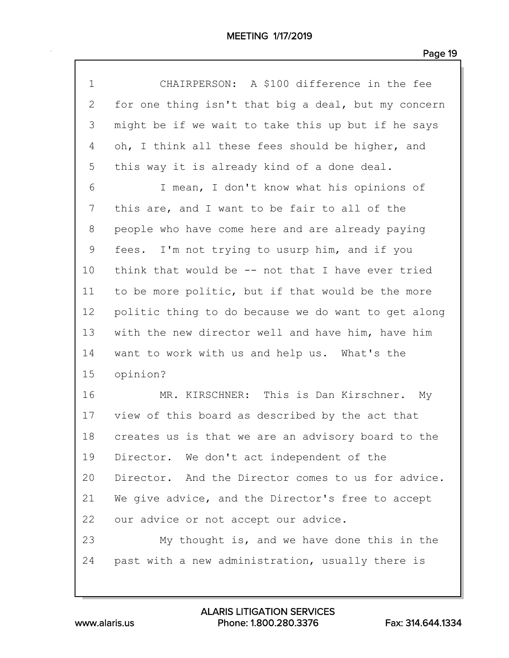| $\mathbf 1$ | CHAIRPERSON: A \$100 difference in the fee          |
|-------------|-----------------------------------------------------|
| 2           | for one thing isn't that big a deal, but my concern |
| 3           | might be if we wait to take this up but if he says  |
| 4           | oh, I think all these fees should be higher, and    |
| 5           | this way it is already kind of a done deal.         |
| 6           | I mean, I don't know what his opinions of           |
| 7           | this are, and I want to be fair to all of the       |
| 8           | people who have come here and are already paying    |
| 9           | fees. I'm not trying to usurp him, and if you       |
| 10          | think that would be -- not that I have ever tried   |
| 11          | to be more politic, but if that would be the more   |
| 12          | politic thing to do because we do want to get along |
| 13          | with the new director well and have him, have him   |
| 14          | want to work with us and help us. What's the        |
| 15          | opinion?                                            |
| 16          | MR. KIRSCHNER: This is Dan Kirschner. My            |
| 17          | view of this board as described by the act that     |
| 18          | creates us is that we are an advisory board to the  |
| 19          | Director. We don't act independent of the           |
| 20          | Director. And the Director comes to us for advice.  |
| 21          | We give advice, and the Director's free to accept   |
| 22          | our advice or not accept our advice.                |
| 23          | My thought is, and we have done this in the         |
| 24          | past with a new administration, usually there is    |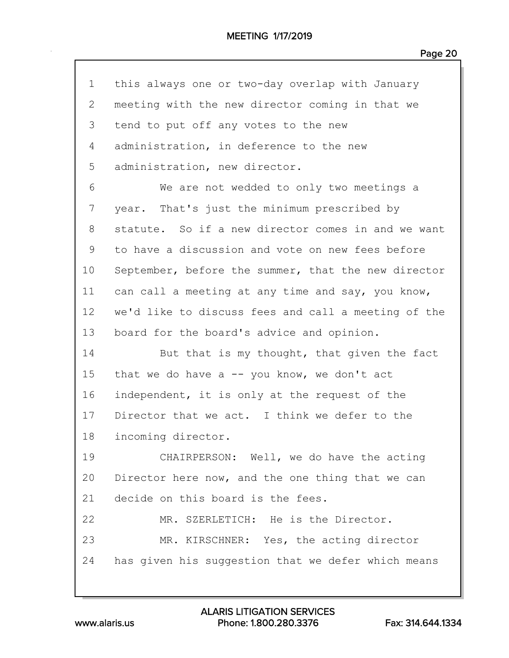| $\mathbf 1$     | this always one or two-day overlap with January     |
|-----------------|-----------------------------------------------------|
| 2               | meeting with the new director coming in that we     |
| 3               | tend to put off any votes to the new                |
| 4               | administration, in deference to the new             |
| 5               | administration, new director.                       |
| 6               | We are not wedded to only two meetings a            |
| 7               | year. That's just the minimum prescribed by         |
| 8               | statute. So if a new director comes in and we want  |
| 9               | to have a discussion and vote on new fees before    |
| 10              | September, before the summer, that the new director |
| 11              | can call a meeting at any time and say, you know,   |
| 12 <sub>2</sub> | we'd like to discuss fees and call a meeting of the |
| 13              | board for the board's advice and opinion.           |
| 14              | But that is my thought, that given the fact         |
| 15              | that we do have a $-$ you know, we don't act        |
| 16              | independent, it is only at the request of the       |
| 17              | Director that we act. I think we defer to the       |
| 18              | incoming director.                                  |
| 19              | CHAIRPERSON: Well, we do have the acting            |
| 20              | Director here now, and the one thing that we can    |
| 21              | decide on this board is the fees.                   |
| 22              | MR. SZERLETICH: He is the Director.                 |
| 23              | MR. KIRSCHNER: Yes, the acting director             |
| 24              | has given his suggestion that we defer which means  |
|                 |                                                     |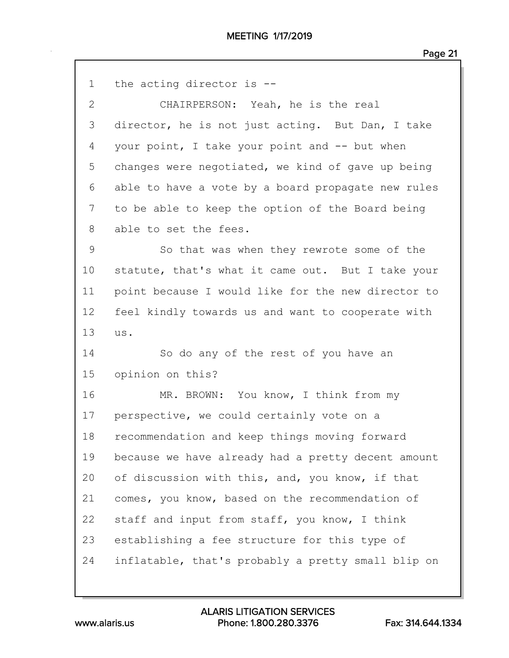| $\mathbf 1$  | the acting director is --                          |
|--------------|----------------------------------------------------|
| $\mathbf{2}$ | CHAIRPERSON: Yeah, he is the real                  |
| 3            | director, he is not just acting. But Dan, I take   |
| 4            | your point, I take your point and -- but when      |
| 5            | changes were negotiated, we kind of gave up being  |
| 6            | able to have a vote by a board propagate new rules |
| 7            | to be able to keep the option of the Board being   |
| 8            | able to set the fees.                              |
| 9            | So that was when they rewrote some of the          |
| 10           | statute, that's what it came out. But I take your  |
| 11           | point because I would like for the new director to |
| 12           | feel kindly towards us and want to cooperate with  |
| 13           | us.                                                |
| 14           | So do any of the rest of you have an               |
| 15           | opinion on this?                                   |
| 16           | MR. BROWN: You know, I think from my               |
| 17           | perspective, we could certainly vote on a          |
| 18           | recommendation and keep things moving forward      |
| 19           | because we have already had a pretty decent amount |
| 20           | of discussion with this, and, you know, if that    |
| 21           | comes, you know, based on the recommendation of    |
| 22           | staff and input from staff, you know, I think      |
| 23           | establishing a fee structure for this type of      |
| 24           |                                                    |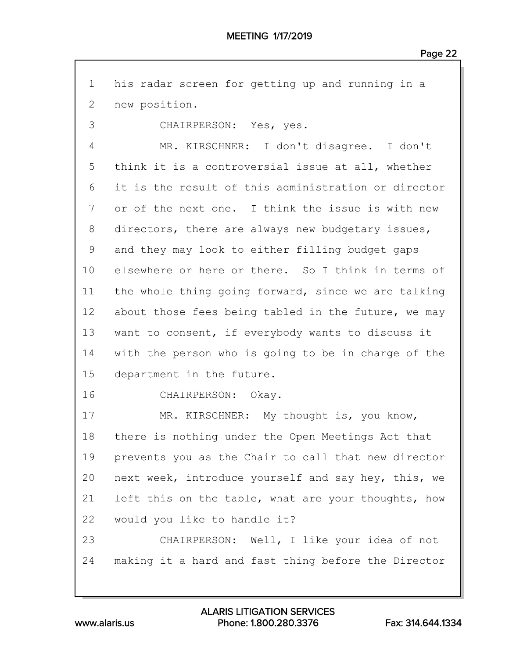| $\mathbf 1$ | his radar screen for getting up and running in a    |
|-------------|-----------------------------------------------------|
| 2           | new position.                                       |
| 3           | CHAIRPERSON: Yes, yes.                              |
| 4           | MR. KIRSCHNER: I don't disagree. I don't            |
| 5           | think it is a controversial issue at all, whether   |
| 6           | it is the result of this administration or director |
| 7           | or of the next one. I think the issue is with new   |
| 8           | directors, there are always new budgetary issues,   |
| $\mathsf 9$ | and they may look to either filling budget gaps     |
| 10          | elsewhere or here or there. So I think in terms of  |
| 11          | the whole thing going forward, since we are talking |
| 12          | about those fees being tabled in the future, we may |
| 13          | want to consent, if everybody wants to discuss it   |
| 14          | with the person who is going to be in charge of the |
| 15          | department in the future.                           |
| 16          | CHAIRPERSON: Okay.                                  |
| 17          | MR. KIRSCHNER: My thought is, you know,             |
| 18          | there is nothing under the Open Meetings Act that   |
| 19          | prevents you as the Chair to call that new director |
| 20          | next week, introduce yourself and say hey, this, we |
| 21          | left this on the table, what are your thoughts, how |
| 22          | would you like to handle it?                        |
| 23          | CHAIRPERSON: Well, I like your idea of not          |
| 24          | making it a hard and fast thing before the Director |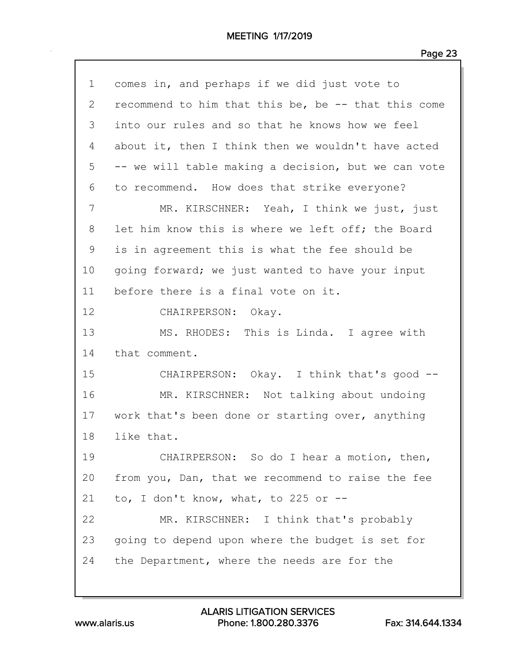| $\mathbf 1$  | comes in, and perhaps if we did just vote to        |
|--------------|-----------------------------------------------------|
| $\mathbf{2}$ | recommend to him that this be, be -- that this come |
| 3            | into our rules and so that he knows how we feel     |
| 4            | about it, then I think then we wouldn't have acted  |
| 5            | -- we will table making a decision, but we can vote |
| 6            | to recommend. How does that strike everyone?        |
| 7            | MR. KIRSCHNER: Yeah, I think we just, just          |
| 8            | let him know this is where we left off; the Board   |
| 9            | is in agreement this is what the fee should be      |
| 10           | going forward; we just wanted to have your input    |
| 11           | before there is a final vote on it.                 |
| 12           | CHAIRPERSON: Okay.                                  |
| 13           | MS. RHODES: This is Linda. I agree with             |
| 14           | that comment.                                       |
| 15           | CHAIRPERSON: Okay. I think that's good --           |
| 16           | MR. KIRSCHNER: Not talking about undoing            |
| 17           | work that's been done or starting over, anything    |
| 18           | like that.                                          |
| 19           | CHAIRPERSON: So do I hear a motion, then,           |
| 20           | from you, Dan, that we recommend to raise the fee   |
| 21           | to, I don't know, what, to 225 or $-$ -             |
| 22           | MR. KIRSCHNER: I think that's probably              |
| 23           | going to depend upon where the budget is set for    |
| 24           | the Department, where the needs are for the         |
|              |                                                     |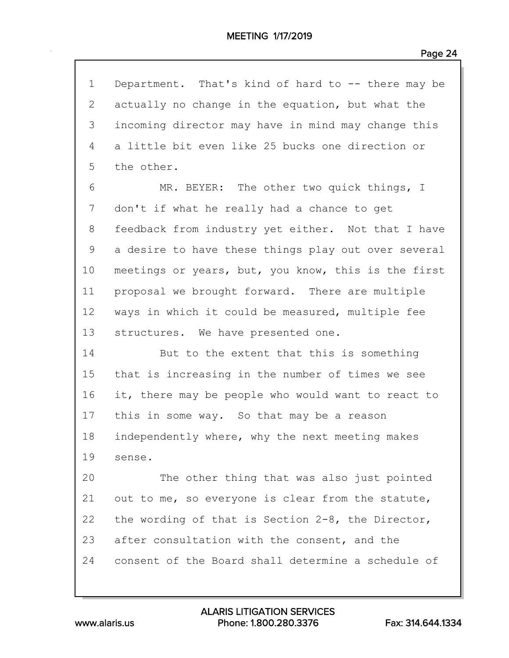| $\mathbf 1$ | Department. That's kind of hard to -- there may be  |
|-------------|-----------------------------------------------------|
| 2           | actually no change in the equation, but what the    |
| 3           | incoming director may have in mind may change this  |
| 4           | a little bit even like 25 bucks one direction or    |
| 5           | the other.                                          |
| 6           | MR. BEYER: The other two quick things, I            |
| 7           | don't if what he really had a chance to get         |
| 8           | feedback from industry yet either. Not that I have  |
| 9           | a desire to have these things play out over several |
| 10          | meetings or years, but, you know, this is the first |
| 11          | proposal we brought forward. There are multiple     |
| 12          | ways in which it could be measured, multiple fee    |
| 13          | structures. We have presented one.                  |
| 14          | But to the extent that this is something            |
| 15          | that is increasing in the number of times we see    |
| 16          | it, there may be people who would want to react to  |
| 17          | this in some way. So that may be a reason           |
| 18          | independently where, why the next meeting makes     |
| 19          | sense.                                              |
| 20          | The other thing that was also just pointed          |
| 21          | out to me, so everyone is clear from the statute,   |
| 22          | the wording of that is Section 2-8, the Director,   |
| 23          | after consultation with the consent, and the        |
| 24          | consent of the Board shall determine a schedule of  |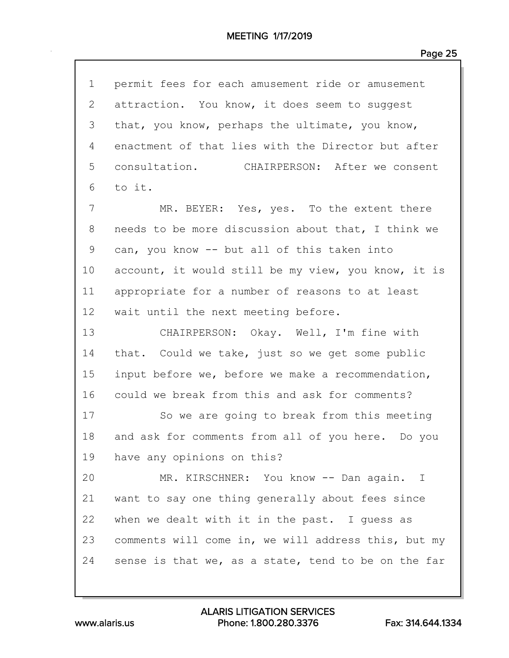| $\mathbf 1$  | permit fees for each amusement ride or amusement    |
|--------------|-----------------------------------------------------|
| $\mathbf{2}$ | attraction. You know, it does seem to suggest       |
| 3            | that, you know, perhaps the ultimate, you know,     |
| 4            | enactment of that lies with the Director but after  |
| 5            | consultation.<br>CHAIRPERSON: After we consent      |
| 6            | to it.                                              |
| 7            | MR. BEYER: Yes, yes. To the extent there            |
| 8            | needs to be more discussion about that, I think we  |
| 9            | can, you know -- but all of this taken into         |
| 10           | account, it would still be my view, you know, it is |
| 11           | appropriate for a number of reasons to at least     |
| 12           | wait until the next meeting before.                 |
| 13           | CHAIRPERSON: Okay. Well, I'm fine with              |
| 14           | that. Could we take, just so we get some public     |
| 15           | input before we, before we make a recommendation,   |
| 16           | could we break from this and ask for comments?      |
| 17           | So we are going to break from this meeting          |
| 18           | and ask for comments from all of you here. Do you   |
| 19           | have any opinions on this?                          |
| 20           | MR. KIRSCHNER: You know -- Dan again. I             |
| 21           | want to say one thing generally about fees since    |
| 22           | when we dealt with it in the past. I guess as       |
| 23           | comments will come in, we will address this, but my |
| 24           | sense is that we, as a state, tend to be on the far |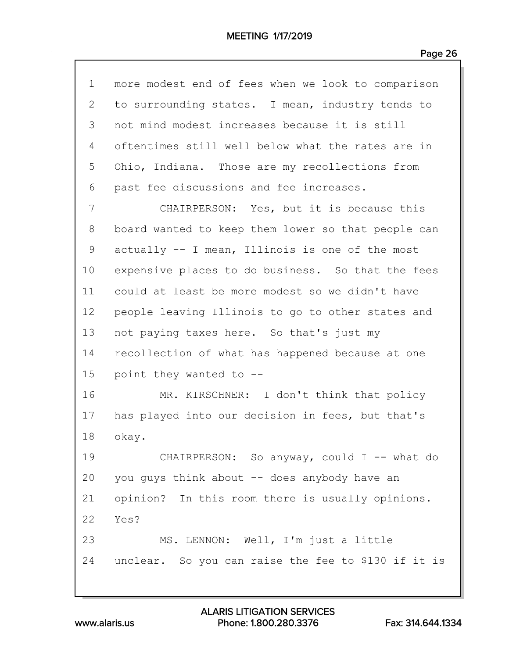| $\mathbf{1}$ | more modest end of fees when we look to comparison  |
|--------------|-----------------------------------------------------|
| 2            | to surrounding states. I mean, industry tends to    |
| 3            | not mind modest increases because it is still       |
| 4            | oftentimes still well below what the rates are in   |
| 5            | Ohio, Indiana. Those are my recollections from      |
| 6            | past fee discussions and fee increases.             |
| 7            | CHAIRPERSON: Yes, but it is because this            |
| 8            | board wanted to keep them lower so that people can  |
| 9            | actually -- I mean, Illinois is one of the most     |
| 10           | expensive places to do business. So that the fees   |
| 11           | could at least be more modest so we didn't have     |
| 12           | people leaving Illinois to go to other states and   |
| 13           | not paying taxes here. So that's just my            |
| 14           | recollection of what has happened because at one    |
| 15           | point they wanted to --                             |
| 16           | MR. KIRSCHNER: I don't think that policy            |
| 17           | has played into our decision in fees, but that's    |
| 18           | okay.                                               |
| 19           | CHAIRPERSON: So anyway, could I -- what do          |
| 20           | you guys think about -- does anybody have an        |
| 21           | opinion? In this room there is usually opinions.    |
| 22           | Yes?                                                |
| 23           | MS. LENNON: Well, I'm just a little                 |
| 24           | unclear. So you can raise the fee to \$130 if it is |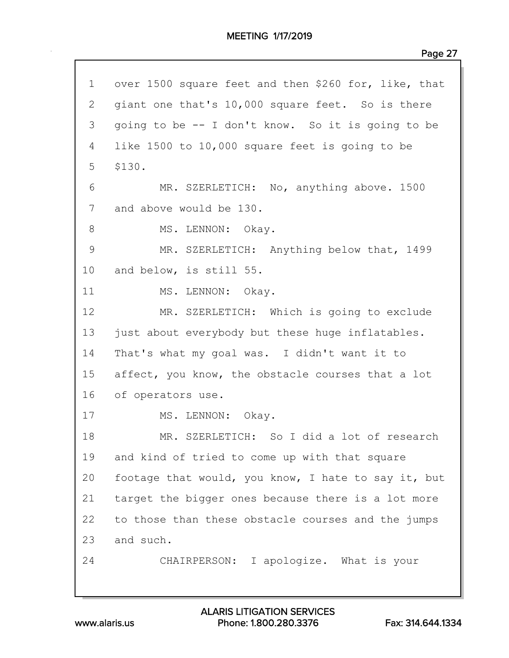| $\mathbf 1$   | over 1500 square feet and then \$260 for, like, that |
|---------------|------------------------------------------------------|
| $\mathbf{2}$  | giant one that's 10,000 square feet. So is there     |
| 3             | going to be -- I don't know. So it is going to be    |
| 4             | like 1500 to 10,000 square feet is going to be       |
| 5             | \$130.                                               |
| 6             | MR. SZERLETICH: No, anything above. 1500             |
| 7             | and above would be 130.                              |
| $\,8\,$       | MS. LENNON: Okay.                                    |
| $\mathcal{G}$ | MR. SZERLETICH: Anything below that, 1499            |
| 10            | and below, is still 55.                              |
| 11            | MS. LENNON: Okay.                                    |
| 12            | MR. SZERLETICH: Which is going to exclude            |
| 13            | just about everybody but these huge inflatables.     |
| 14            | That's what my goal was. I didn't want it to         |
| 15            | affect, you know, the obstacle courses that a lot    |
| 16            | of operators use.                                    |
| 17            | MS. LENNON: Okay.                                    |
| 18            | MR. SZERLETICH: So I did a lot of research           |
| 19            | and kind of tried to come up with that square        |
| 20            | footage that would, you know, I hate to say it, but  |
| 21            | target the bigger ones because there is a lot more   |
| 22            | to those than these obstacle courses and the jumps   |
| 23            | and such.                                            |
| 24            | CHAIRPERSON: I apologize. What is your               |
|               |                                                      |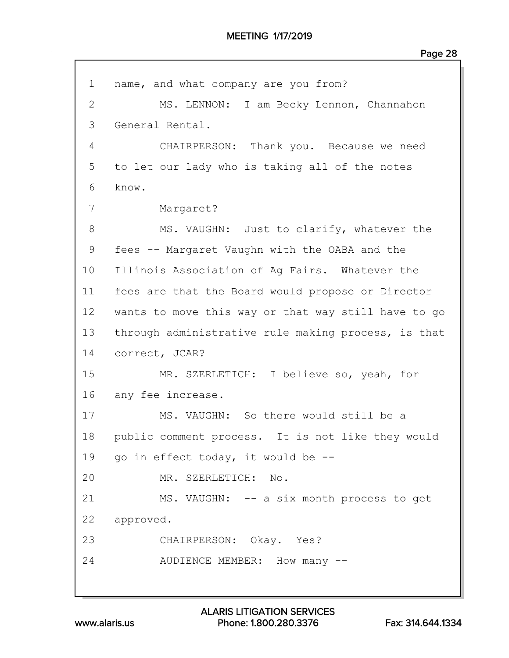| $\mathbf 1$    | name, and what company are you from?                |
|----------------|-----------------------------------------------------|
| $\overline{2}$ | MS. LENNON: I am Becky Lennon, Channahon            |
| 3              | General Rental.                                     |
| 4              | CHAIRPERSON: Thank you. Because we need             |
| 5              | to let our lady who is taking all of the notes      |
| 6              | know.                                               |
| 7              | Margaret?                                           |
| 8              | MS. VAUGHN: Just to clarify, whatever the           |
| 9              | fees -- Margaret Vaughn with the OABA and the       |
| 10             | Illinois Association of Ag Fairs. Whatever the      |
| 11             | fees are that the Board would propose or Director   |
| 12             | wants to move this way or that way still have to go |
| 13             | through administrative rule making process, is that |
| 14             | correct, JCAR?                                      |
| 15             | MR. SZERLETICH: I believe so, yeah, for             |
| 16             | any fee increase.                                   |
| 17             | MS. VAUGHN: So there would still be a               |
| 18             | public comment process. It is not like they would   |
| 19             | go in effect today, it would be --                  |
| 20             | MR. SZERLETICH: No.                                 |
| 21             | MS. VAUGHN: -- a six month process to get           |
| 22             | approved.                                           |
| 23             | CHAIRPERSON: Okay. Yes?                             |
| 24             | AUDIENCE MEMBER: How many --                        |
|                |                                                     |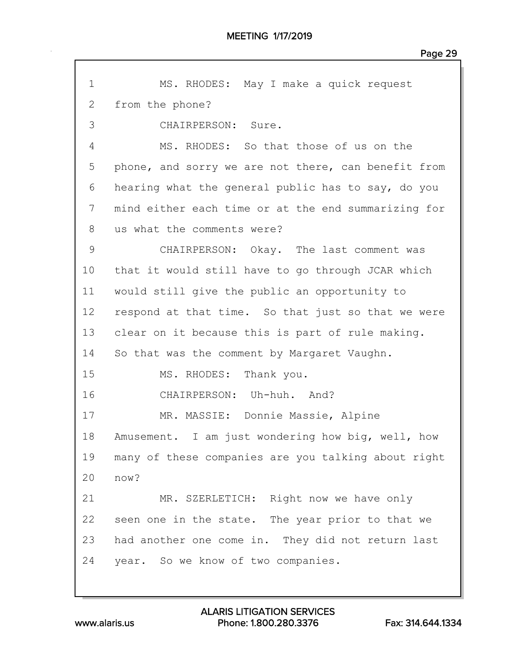| $\mathbf 1$  | MS. RHODES: May I make a quick request              |
|--------------|-----------------------------------------------------|
|              |                                                     |
| $\mathbf{2}$ | from the phone?                                     |
| 3            | CHAIRPERSON: Sure.                                  |
| 4            | MS. RHODES: So that those of us on the              |
| 5            | phone, and sorry we are not there, can benefit from |
| 6            | hearing what the general public has to say, do you  |
| 7            | mind either each time or at the end summarizing for |
| 8            | us what the comments were?                          |
| 9            | CHAIRPERSON: Okay. The last comment was             |
| 10           | that it would still have to go through JCAR which   |
| 11           | would still give the public an opportunity to       |
| 12           | respond at that time. So that just so that we were  |
| 13           | clear on it because this is part of rule making.    |
| 14           | So that was the comment by Margaret Vaughn.         |
| 15           | MS. RHODES: Thank you.                              |
| 16           | CHAIRPERSON: Uh-huh. And?                           |
| 17           | MR. MASSIE: Donnie Massie, Alpine                   |
| 18           | Amusement. I am just wondering how big, well, how   |
| 19           | many of these companies are you talking about right |
| 20           | now?                                                |
| 21           | MR. SZERLETICH: Right now we have only              |
| 22           | seen one in the state. The year prior to that we    |
| 23           | had another one come in. They did not return last   |
| 24           | year. So we know of two companies.                  |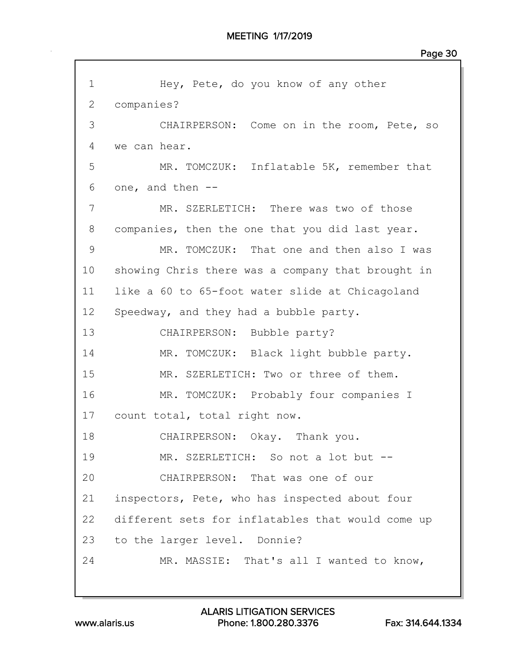| $\mathbf 1$     | Hey, Pete, do you know of any other               |
|-----------------|---------------------------------------------------|
| $\mathbf{2}$    | companies?                                        |
| 3               | CHAIRPERSON: Come on in the room, Pete, so        |
| 4               | we can hear.                                      |
| 5               | MR. TOMCZUK: Inflatable 5K, remember that         |
| 6               | one, and then --                                  |
| 7               | MR. SZERLETICH: There was two of those            |
| 8               | companies, then the one that you did last year.   |
| 9               | MR. TOMCZUK: That one and then also I was         |
| 10              | showing Chris there was a company that brought in |
| 11              | like a 60 to 65-foot water slide at Chicagoland   |
| 12 <sup>°</sup> | Speedway, and they had a bubble party.            |
| 13              | CHAIRPERSON: Bubble party?                        |
| 14              | MR. TOMCZUK: Black light bubble party.            |
| 15              | MR. SZERLETICH: Two or three of them.             |
| 16              | MR. TOMCZUK: Probably four companies I            |
| 17              | count total, total right now.                     |
| 18              | CHAIRPERSON: Okay. Thank you.                     |
| 19              | MR. SZERLETICH: So not a lot but --               |
| 20              | CHAIRPERSON: That was one of our                  |
| 21              | inspectors, Pete, who has inspected about four    |
| 22              | different sets for inflatables that would come up |
| 23              | to the larger level. Donnie?                      |
| 24              | MR. MASSIE: That's all I wanted to know,          |
|                 |                                                   |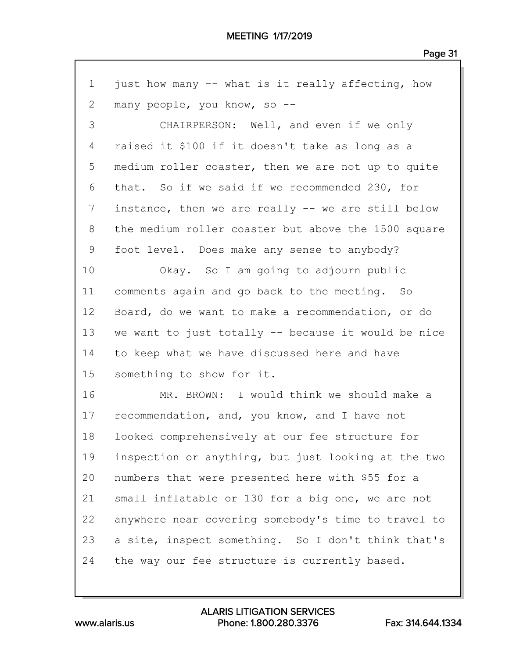| just how many -- what is it really affecting, how   |
|-----------------------------------------------------|
| many people, you know, so --                        |
| CHAIRPERSON: Well, and even if we only              |
| raised it \$100 if it doesn't take as long as a     |
| medium roller coaster, then we are not up to quite  |
| that. So if we said if we recommended 230, for      |
| instance, then we are really -- we are still below  |
| the medium roller coaster but above the 1500 square |
| foot level. Does make any sense to anybody?         |
| Okay. So I am going to adjourn public               |
| comments again and go back to the meeting. So       |
| Board, do we want to make a recommendation, or do   |
| we want to just totally -- because it would be nice |
| to keep what we have discussed here and have        |
| something to show for it.                           |
| MR. BROWN: I would think we should make a           |
| recommendation, and, you know, and I have not       |
| looked comprehensively at our fee structure for     |
| inspection or anything, but just looking at the two |
| numbers that were presented here with \$55 for a    |
| small inflatable or 130 for a big one, we are not   |
| anywhere near covering somebody's time to travel to |
| a site, inspect something. So I don't think that's  |
| the way our fee structure is currently based.       |
|                                                     |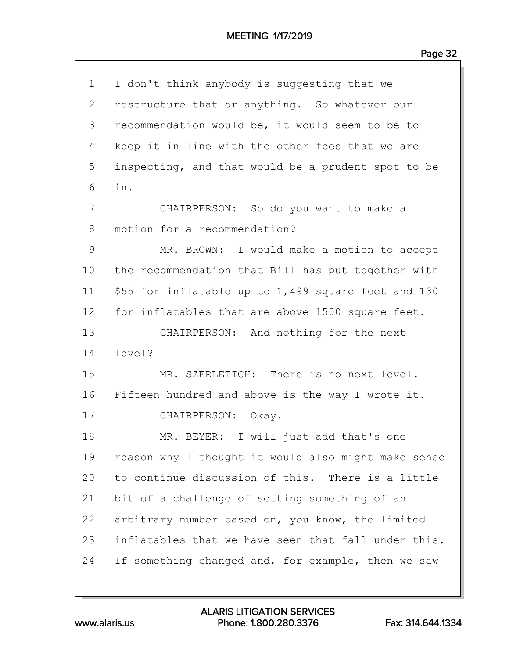## MEETING 1/17/2019

| $\mathbf 1$    | I don't think anybody is suggesting that we           |
|----------------|-------------------------------------------------------|
| $\overline{2}$ | restructure that or anything. So whatever our         |
| 3              | recommendation would be, it would seem to be to       |
| 4              | keep it in line with the other fees that we are       |
| 5              | inspecting, and that would be a prudent spot to be    |
| 6              | in.                                                   |
| 7              | CHAIRPERSON: So do you want to make a                 |
| 8              | motion for a recommendation?                          |
| 9              | MR. BROWN: I would make a motion to accept            |
| 10             | the recommendation that Bill has put together with    |
| 11             | \$55 for inflatable up to $1,499$ square feet and 130 |
| 12             | for inflatables that are above 1500 square feet.      |
| 13             | CHAIRPERSON: And nothing for the next                 |
| 14             | level?                                                |
| 15             | MR. SZERLETICH: There is no next level.               |
| 16             | Fifteen hundred and above is the way I wrote it.      |
| 17             | CHAIRPERSON: Okay.                                    |
| 18             | I will just add that's one<br>MR. BEYER:              |
| 19             | reason why I thought it would also might make sense   |
| 20             | to continue discussion of this. There is a little     |
| 21             | bit of a challenge of setting something of an         |
| 22             | arbitrary number based on, you know, the limited      |
| 23             | inflatables that we have seen that fall under this.   |
| 24             | If something changed and, for example, then we saw    |
|                |                                                       |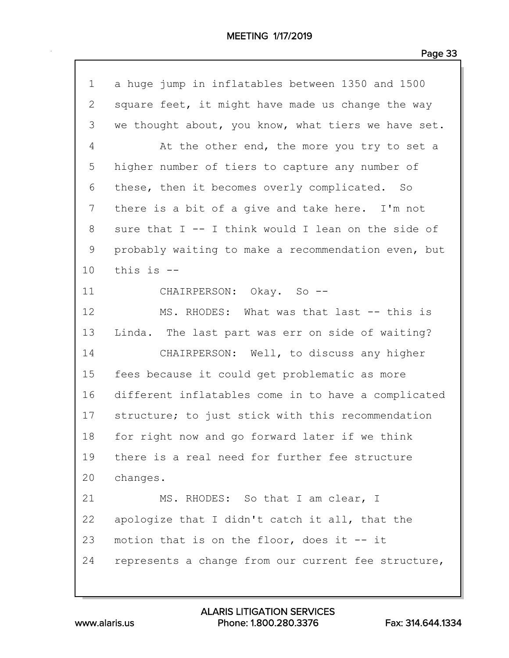| $\mathbf 1$ | a huge jump in inflatables between 1350 and 1500    |
|-------------|-----------------------------------------------------|
| 2           | square feet, it might have made us change the way   |
| 3           | we thought about, you know, what tiers we have set. |
| 4           | At the other end, the more you try to set a         |
| 5           | higher number of tiers to capture any number of     |
| 6           | these, then it becomes overly complicated. So       |
| 7           | there is a bit of a give and take here. I'm not     |
| 8           | sure that I -- I think would I lean on the side of  |
| $\mathsf 9$ | probably waiting to make a recommendation even, but |
| 10          | this is --                                          |
| 11          | CHAIRPERSON: Okay. So --                            |
| 12          | MS. RHODES: What was that last -- this is           |
| 13          | Linda. The last part was err on side of waiting?    |
| 14          | CHAIRPERSON: Well, to discuss any higher            |
| 15          | fees because it could get problematic as more       |
| 16          | different inflatables come in to have a complicated |
| 17          | structure; to just stick with this recommendation   |
| 18          | for right now and go forward later if we think      |
| 19          | there is a real need for further fee structure      |
| 20          | changes.                                            |
| 21          | MS. RHODES: So that I am clear, I                   |
| 22          | apologize that I didn't catch it all, that the      |
| 23          | motion that is on the floor, does it $-$ it         |
| 24          | represents a change from our current fee structure, |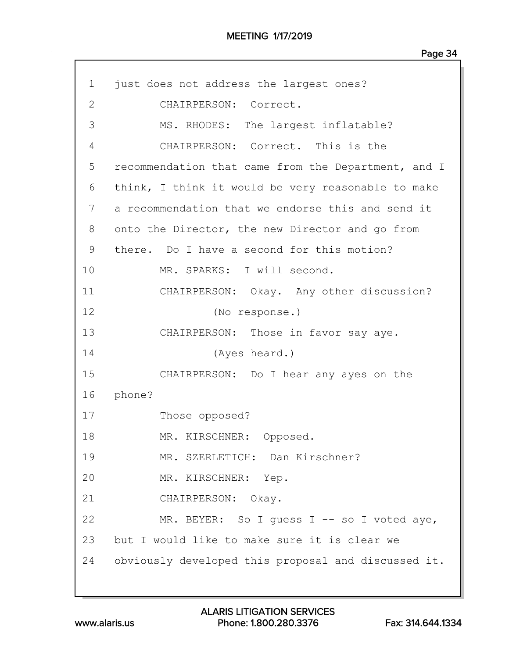| $\mathbf 1$  | just does not address the largest ones?             |
|--------------|-----------------------------------------------------|
| $\mathbf{2}$ | CHAIRPERSON: Correct.                               |
| 3            | MS. RHODES: The largest inflatable?                 |
| 4            | CHAIRPERSON: Correct. This is the                   |
| 5            | recommendation that came from the Department, and I |
| 6            | think, I think it would be very reasonable to make  |
| 7            | a recommendation that we endorse this and send it   |
| 8            | onto the Director, the new Director and go from     |
| 9            | there. Do I have a second for this motion?          |
| 10           | MR. SPARKS: I will second.                          |
| 11           | CHAIRPERSON: Okay. Any other discussion?            |
| 12           | (No response.)                                      |
| 13           | CHAIRPERSON: Those in favor say aye.                |
| 14           | (Ayes heard.)                                       |
| 15           | CHAIRPERSON: Do I hear any ayes on the              |
| 16           | phone?                                              |
| 17           | Those opposed?                                      |
| 18           | MR. KIRSCHNER: Opposed.                             |
| 19           | MR. SZERLETICH: Dan Kirschner?                      |
| 20           | MR. KIRSCHNER: Yep.                                 |
| 21           | CHAIRPERSON: Okay.                                  |
| 22           | MR. BEYER: So I guess I -- so I voted aye,          |
| 23           | but I would like to make sure it is clear we        |
| 24           | obviously developed this proposal and discussed it. |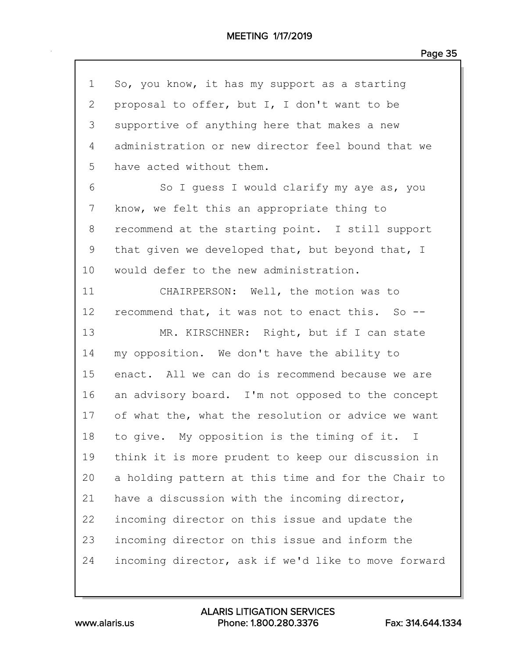| $\mathbf 1$  | So, you know, it has my support as a starting       |
|--------------|-----------------------------------------------------|
| $\mathbf{2}$ | proposal to offer, but I, I don't want to be        |
| 3            | supportive of anything here that makes a new        |
| 4            | administration or new director feel bound that we   |
| 5            | have acted without them.                            |
| 6            | So I guess I would clarify my aye as, you           |
| 7            | know, we felt this an appropriate thing to          |
| 8            | recommend at the starting point. I still support    |
| 9            | that given we developed that, but beyond that, I    |
| 10           | would defer to the new administration.              |
| 11           | CHAIRPERSON: Well, the motion was to                |
| 12           | recommend that, it was not to enact this. So --     |
| 13           | MR. KIRSCHNER: Right, but if I can state            |
| 14           | my opposition. We don't have the ability to         |
| 15           | enact. All we can do is recommend because we are    |
| 16           | an advisory board. I'm not opposed to the concept   |
| 17           | of what the, what the resolution or advice we want  |
| 18           | to give. My opposition is the timing of it. I       |
| 19           | think it is more prudent to keep our discussion in  |
| 20           | a holding pattern at this time and for the Chair to |
| 21           | have a discussion with the incoming director,       |
| 22           | incoming director on this issue and update the      |
| 23           | incoming director on this issue and inform the      |
| 24           | incoming director, ask if we'd like to move forward |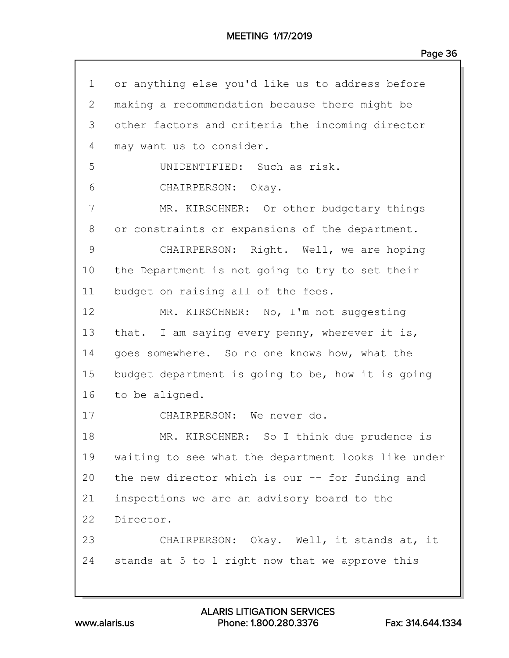| 1            | or anything else you'd like us to address before    |
|--------------|-----------------------------------------------------|
| $\mathbf{2}$ | making a recommendation because there might be      |
| 3            | other factors and criteria the incoming director    |
| 4            | may want us to consider.                            |
| 5            | UNIDENTIFIED: Such as risk.                         |
| 6            | CHAIRPERSON: Okay.                                  |
| 7            | MR. KIRSCHNER: Or other budgetary things            |
| 8            | or constraints or expansions of the department.     |
| 9            | CHAIRPERSON: Right. Well, we are hoping             |
| 10           | the Department is not going to try to set their     |
| 11           | budget on raising all of the fees.                  |
| 12           | MR. KIRSCHNER: No, I'm not suggesting               |
| 13           | that. I am saying every penny, wherever it is,      |
| 14           | goes somewhere. So no one knows how, what the       |
| 15           | budget department is going to be, how it is going   |
| 16           | to be aligned.                                      |
| 17           | CHAIRPERSON: We never do.                           |
| 18           | MR. KIRSCHNER: So I think due prudence is           |
| 19           | waiting to see what the department looks like under |
| 20           | the new director which is our -- for funding and    |
| 21           | inspections we are an advisory board to the         |
| 22           | Director.                                           |
| 23           | CHAIRPERSON: Okay. Well, it stands at, it           |
| 24           | stands at 5 to 1 right now that we approve this     |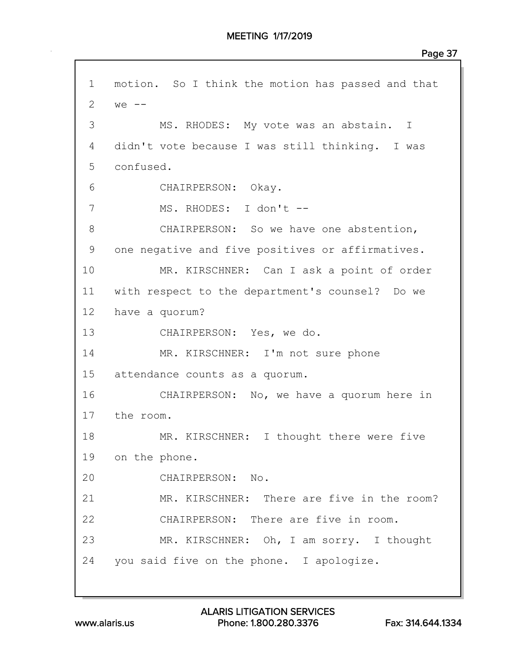1 motion. So I think the motion has passed and that 2  $we$   $-$ 3 MS. RHODES: My vote was an abstain. I 4 didn't vote because I was still thinking. I was 5 confused. 6 CHAIRPERSON: Okay. 7 MS. RHODES: I don't -- 8 CHAIRPERSON: So we have one abstention, 9 one negative and five positives or affirmatives. 10 MR. KIRSCHNER: Can I ask a point of order 11 with respect to the department's counsel? Do we 12 have a quorum? 13 CHAIRPERSON: Yes, we do. 14 MR. KIRSCHNER: I'm not sure phone 15 attendance counts as a quorum. 16 CHAIRPERSON: No, we have a quorum here in 17 the room. 18 MR. KIRSCHNER: I thought there were five 19 on the phone. 20 CHAIRPERSON: No. 21 MR. KIRSCHNER: There are five in the room? 22 CHAIRPERSON: There are five in room. 23 MR. KIRSCHNER: Oh, I am sorry. I thought 24 you said five on the phone. I apologize.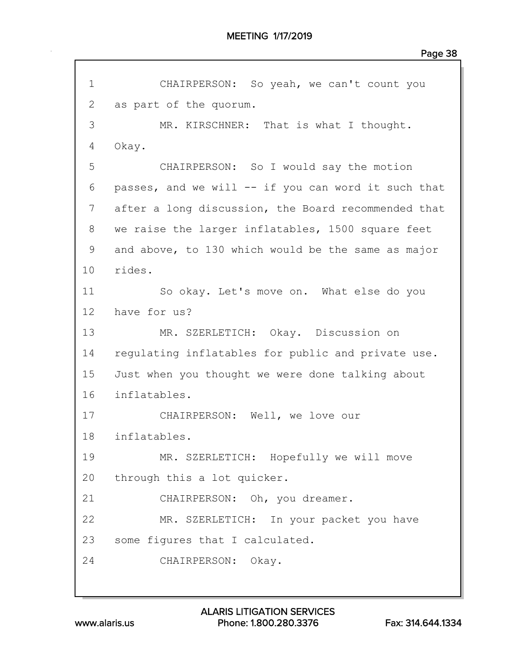```
1 CHAIRPERSON: So yeah, we can't count you
2 as part of the quorum.
 3 MR. KIRSCHNER: That is what I thought.
4 Okay.
5 CHAIRPERSON: So I would say the motion
 6 passes, and we will -- if you can word it such that
7 after a long discussion, the Board recommended that
8 we raise the larger inflatables, 1500 square feet
9 and above, to 130 which would be the same as major
10 rides.
11 So okay. Let's move on. What else do you
12 have for us?
13 MR. SZERLETICH: Okay. Discussion on
14 regulating inflatables for public and private use.
15 Just when you thought we were done talking about
16 inflatables.
17 CHAIRPERSON: Well, we love our
18 inflatables.
19 MR. SZERLETICH: Hopefully we will move
20 through this a lot quicker.
21 CHAIRPERSON: Oh, you dreamer.
22 MR. SZERLETICH: In your packet you have
23 some figures that I calculated.
24 CHAIRPERSON: Okay.
```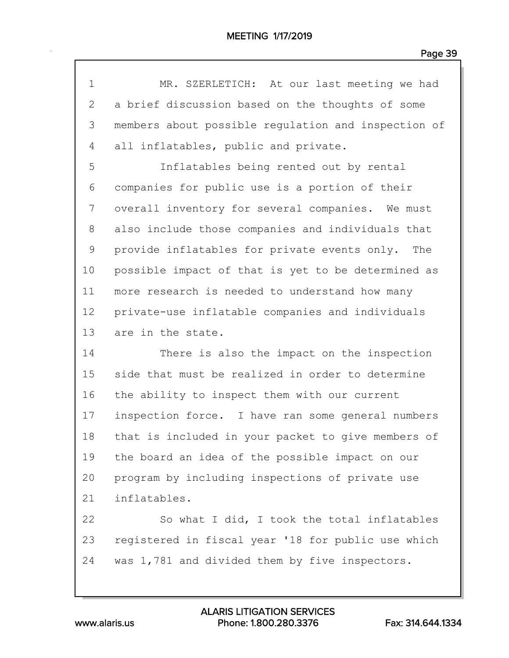| $\mathbf 1$ | MR. SZERLETICH: At our last meeting we had          |
|-------------|-----------------------------------------------------|
| 2           | a brief discussion based on the thoughts of some    |
| 3           | members about possible requlation and inspection of |
| 4           | all inflatables, public and private.                |
| 5           | Inflatables being rented out by rental              |
| 6           | companies for public use is a portion of their      |
| 7           | overall inventory for several companies. We must    |
| 8           | also include those companies and individuals that   |
| 9           | provide inflatables for private events only. The    |
| 10          | possible impact of that is yet to be determined as  |
| 11          | more research is needed to understand how many      |
| 12          | private-use inflatable companies and individuals    |
| 13          | are in the state.                                   |
| 14          | There is also the impact on the inspection          |
| 15          | side that must be realized in order to determine    |
| 16          | the ability to inspect them with our current        |
| 17          | inspection force. I have ran some general numbers   |
| 18          | that is included in your packet to give members of  |
| 19          | the board an idea of the possible impact on our     |
| 20          | program by including inspections of private use     |
| 21          | inflatables.                                        |
| 22          | So what I did, I took the total inflatables         |
| 23          | registered in fiscal year '18 for public use which  |
| 24          | was 1,781 and divided them by five inspectors.      |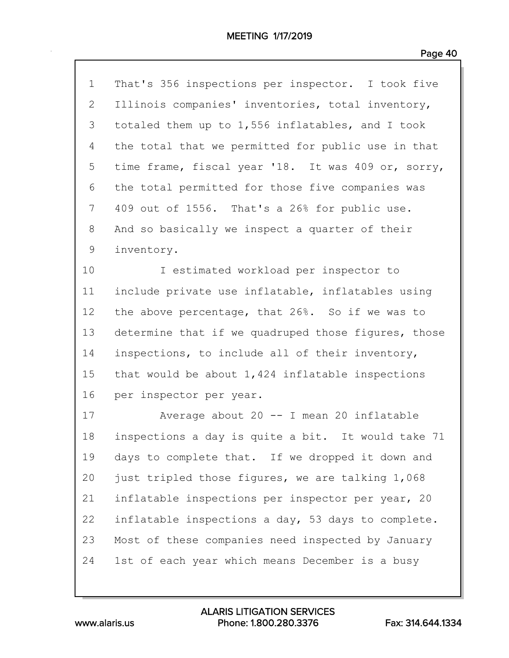| $\mathbf 1$ | That's 356 inspections per inspector. I took five   |
|-------------|-----------------------------------------------------|
| 2           | Illinois companies' inventories, total inventory,   |
| 3           | totaled them up to 1,556 inflatables, and I took    |
| 4           | the total that we permitted for public use in that  |
| 5           | time frame, fiscal year '18. It was 409 or, sorry,  |
| 6           | the total permitted for those five companies was    |
| 7           | 409 out of 1556. That's a 26% for public use.       |
| 8           | And so basically we inspect a quarter of their      |
| $\mathsf 9$ | inventory.                                          |
| 10          | I estimated workload per inspector to               |
| 11          | include private use inflatable, inflatables using   |
| 12          | the above percentage, that 26%. So if we was to     |
| 13          | determine that if we quadruped those figures, those |
| 14          | inspections, to include all of their inventory,     |
| 15          | that would be about $1,424$ inflatable inspections  |
| 16          | per inspector per year.                             |
| 17          | Average about 20 -- I mean 20 inflatable            |
| 18          | inspections a day is quite a bit. It would take 71  |
| 19          | days to complete that. If we dropped it down and    |
| 20          | just tripled those figures, we are talking 1,068    |
| 21          | inflatable inspections per inspector per year, 20   |
| 22          | inflatable inspections a day, 53 days to complete.  |
| 23          | Most of these companies need inspected by January   |
| 24          |                                                     |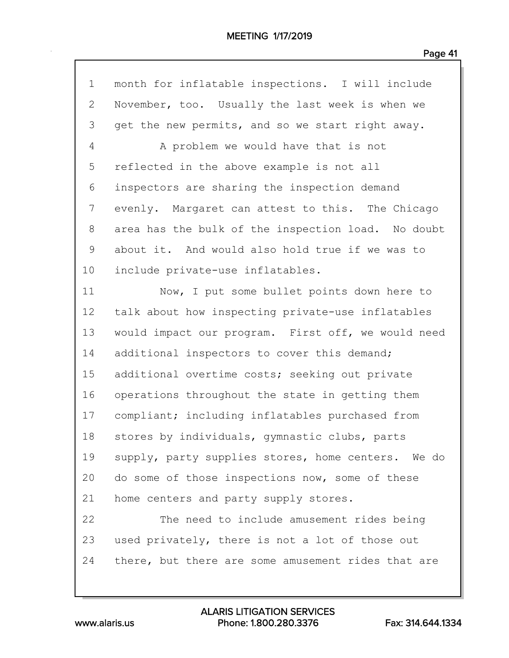| $\mathbf 1$ | month for inflatable inspections. I will include   |
|-------------|----------------------------------------------------|
| 2           | November, too. Usually the last week is when we    |
| 3           | get the new permits, and so we start right away.   |
| 4           | A problem we would have that is not                |
| 5           | reflected in the above example is not all          |
| 6           | inspectors are sharing the inspection demand       |
| 7           | evenly. Margaret can attest to this. The Chicago   |
| 8           | area has the bulk of the inspection load. No doubt |
| 9           | about it. And would also hold true if we was to    |
| 10          | include private-use inflatables.                   |
| 11          | Now, I put some bullet points down here to         |
| 12          | talk about how inspecting private-use inflatables  |
| 13          | would impact our program. First off, we would need |
| 14          | additional inspectors to cover this demand;        |
| 15          | additional overtime costs; seeking out private     |
| 16          | operations throughout the state in getting them    |
| 17          | compliant; including inflatables purchased from    |
| 18          | stores by individuals, gymnastic clubs, parts      |
| 19          | supply, party supplies stores, home centers. We do |
| 20          | do some of those inspections now, some of these    |
| 21          | home centers and party supply stores.              |
| 22          | The need to include amusement rides being          |
| 23          | used privately, there is not a lot of those out    |
| 24          | there, but there are some amusement rides that are |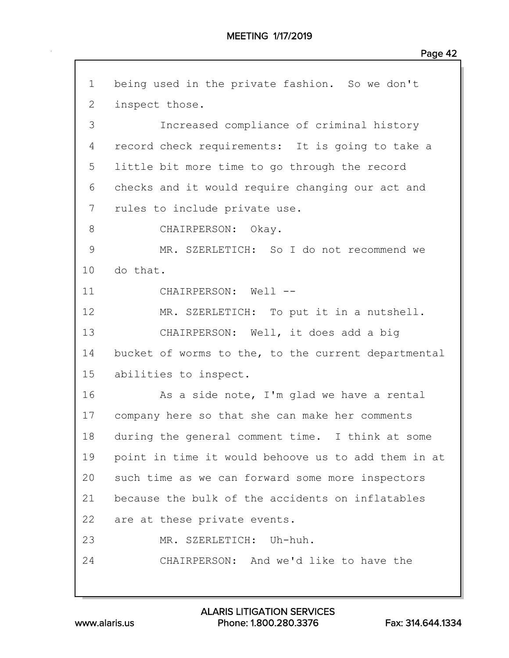| $\mathbf 1$    | being used in the private fashion. So we don't      |
|----------------|-----------------------------------------------------|
| $\overline{2}$ | inspect those.                                      |
| 3              | Increased compliance of criminal history            |
| 4              | record check requirements: It is going to take a    |
| 5              | little bit more time to go through the record       |
| 6              | checks and it would require changing our act and    |
| 7              | rules to include private use.                       |
| 8              | CHAIRPERSON: Okay.                                  |
| $\mathcal{G}$  | MR. SZERLETICH: So I do not recommend we            |
| 10             | do that.                                            |
| 11             | CHAIRPERSON: Well --                                |
| 12             | MR. SZERLETICH: To put it in a nutshell.            |
| 13             | CHAIRPERSON: Well, it does add a big                |
| 14             | bucket of worms to the, to the current departmental |
| 15             | abilities to inspect.                               |
| 16             | As a side note, I'm glad we have a rental           |
| 17             | company here so that she can make her comments      |
| 18             | during the general comment time. I think at some    |
| 19             | point in time it would behoove us to add them in at |
| 20             | such time as we can forward some more inspectors    |
| 21             | because the bulk of the accidents on inflatables    |
| 22             | are at these private events.                        |
| 23             | MR. SZERLETICH: Uh-huh.                             |
| 24             | CHAIRPERSON: And we'd like to have the              |
|                |                                                     |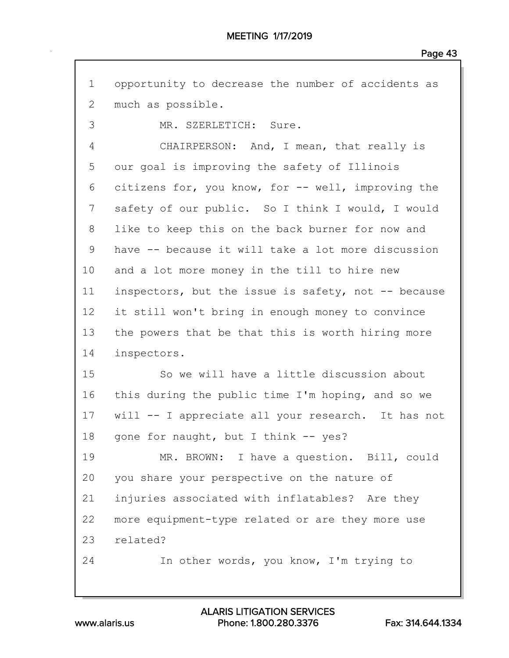| $\mathbf 1$  | opportunity to decrease the number of accidents as  |
|--------------|-----------------------------------------------------|
| $\mathbf{2}$ | much as possible.                                   |
| 3            | MR. SZERLETICH: Sure.                               |
| 4            | CHAIRPERSON: And, I mean, that really is            |
| 5            | our goal is improving the safety of Illinois        |
| 6            | citizens for, you know, for -- well, improving the  |
| 7            | safety of our public. So I think I would, I would   |
| 8            | like to keep this on the back burner for now and    |
| 9            | have -- because it will take a lot more discussion  |
| 10           | and a lot more money in the till to hire new        |
| 11           | inspectors, but the issue is safety, not -- because |
| 12           | it still won't bring in enough money to convince    |
| 13           | the powers that be that this is worth hiring more   |
| 14           | inspectors.                                         |
| 15           | So we will have a little discussion about           |
| 16           | this during the public time I'm hoping, and so we   |
| 17           | will -- I appreciate all your research. It has not  |
| 18           | gone for naught, but I think -- yes?                |
| 19           | MR. BROWN: I have a question. Bill, could           |
| 20           | you share your perspective on the nature of         |
| 21           | injuries associated with inflatables? Are they      |
| 22           | more equipment-type related or are they more use    |
| 23           | related?                                            |
| 24           | In other words, you know, I'm trying to             |
|              |                                                     |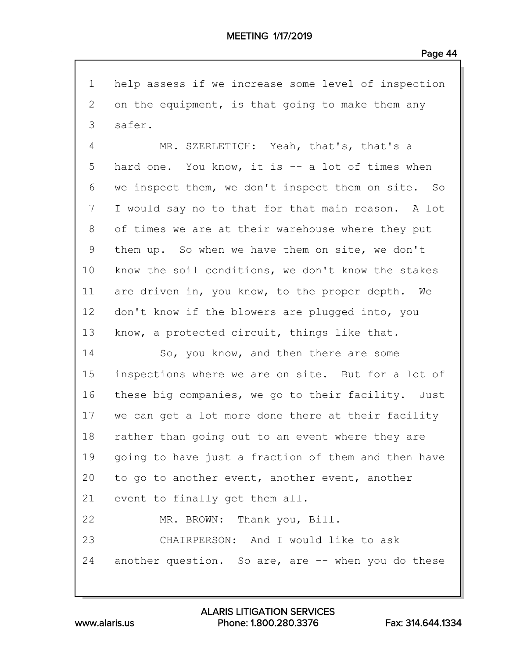1 help assess if we increase some level of inspection 2 on the equipment, is that going to make them any 3 safer.

4 MR. SZERLETICH: Yeah, that's, that's a 5 hard one. You know, it is -- a lot of times when 6 we inspect them, we don't inspect them on site. So 7 I would say no to that for that main reason. A lot 8 of times we are at their warehouse where they put 9 them up. So when we have them on site, we don't 10 know the soil conditions, we don't know the stakes 11 are driven in, you know, to the proper depth. We 12 don't know if the blowers are plugged into, you 13 know, a protected circuit, things like that.

14 So, you know, and then there are some 15 inspections where we are on site. But for a lot of 16 these big companies, we go to their facility. Just 17 we can get a lot more done there at their facility 18 rather than going out to an event where they are 19 going to have just a fraction of them and then have 20 to go to another event, another event, another 21 event to finally get them all. 22 MR. BROWN: Thank you, Bill. 23 CHAIRPERSON: And I would like to ask 24 another question. So are, are -- when you do these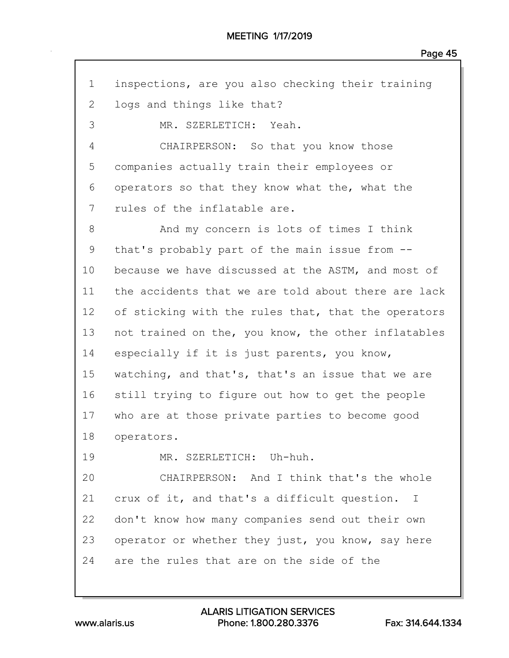| $\mathbf 1$ | inspections, are you also checking their training   |
|-------------|-----------------------------------------------------|
| 2           | logs and things like that?                          |
| 3           | MR. SZERLETICH: Yeah.                               |
| 4           | CHAIRPERSON: So that you know those                 |
| 5           | companies actually train their employees or         |
| 6           | operators so that they know what the, what the      |
| 7           | rules of the inflatable are.                        |
| 8           | And my concern is lots of times I think             |
| 9           | that's probably part of the main issue from --      |
| 10          | because we have discussed at the ASTM, and most of  |
| 11          | the accidents that we are told about there are lack |
| 12          | of sticking with the rules that, that the operators |
| 13          | not trained on the, you know, the other inflatables |
| 14          | especially if it is just parents, you know,         |
| 15          | watching, and that's, that's an issue that we are   |
| 16          | still trying to figure out how to get the people    |
| 17          | who are at those private parties to become good     |
| 18          | operators.                                          |
| 19          | MR. SZERLETICH: Uh-huh.                             |
| 20          | CHAIRPERSON: And I think that's the whole           |
| 21          | crux of it, and that's a difficult question. I      |
| 22          | don't know how many companies send out their own    |
| 23          | operator or whether they just, you know, say here   |
| 24          | are the rules that are on the side of the           |

www.alaris.us Phone: 1.800.280.3376 Fax: 314.644.1334 ALARIS LITIGATION SERVICES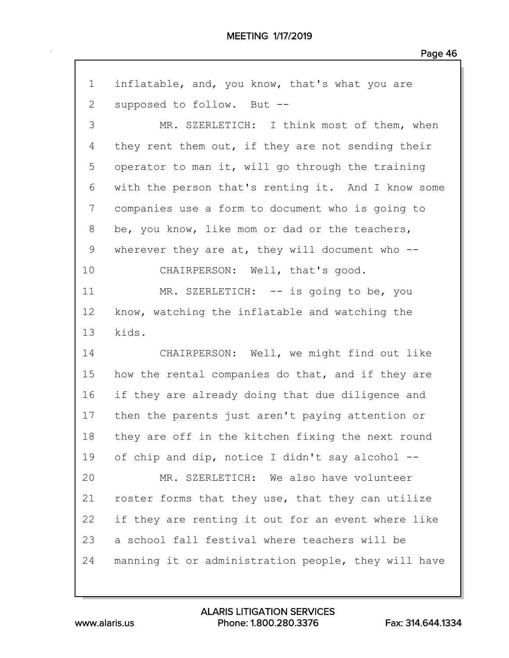| $\mathbf 1$  | inflatable, and, you know, that's what you are      |
|--------------|-----------------------------------------------------|
| $\mathbf{2}$ | supposed to follow. But --                          |
| 3            | MR. SZERLETICH: I think most of them, when          |
| 4            | they rent them out, if they are not sending their   |
| 5            | operator to man it, will go through the training    |
| 6            | with the person that's renting it. And I know some  |
| 7            | companies use a form to document who is going to    |
| 8            | be, you know, like mom or dad or the teachers,      |
| 9            | wherever they are at, they will document who $--$   |
| 10           | CHAIRPERSON: Well, that's good.                     |
| 11           | MR. SZERLETICH: -- is going to be, you              |
| 12           | know, watching the inflatable and watching the      |
| 13           | kids.                                               |
| 14           | CHAIRPERSON: Well, we might find out like           |
| 15           | how the rental companies do that, and if they are   |
| 16           | if they are already doing that due diligence and    |
| 17           | then the parents just aren't paying attention or    |
| 18           | they are off in the kitchen fixing the next round   |
| 19           | of chip and dip, notice I didn't say alcohol --     |
| 20           | MR. SZERLETICH: We also have volunteer              |
| 21           | roster forms that they use, that they can utilize   |
| 22           | if they are renting it out for an event where like  |
| 23           | a school fall festival where teachers will be       |
| 24           | manning it or administration people, they will have |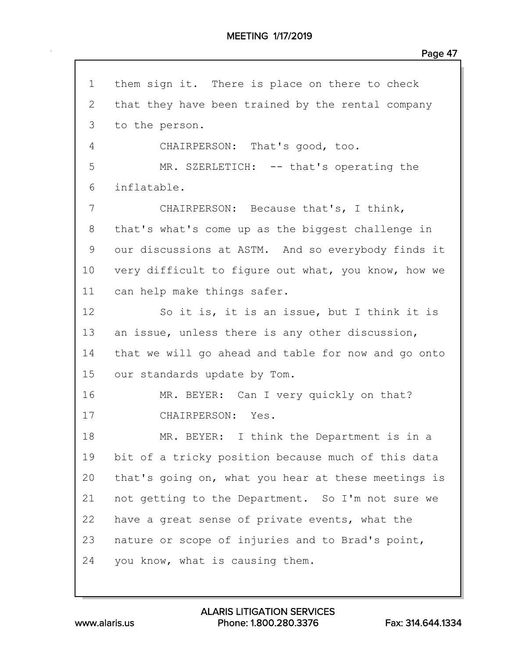| $\mathbf 1$ | them sign it. There is place on there to check      |
|-------------|-----------------------------------------------------|
| 2           | that they have been trained by the rental company   |
| 3           | to the person.                                      |
| 4           | CHAIRPERSON: That's good, too.                      |
| 5           | MR. SZERLETICH: -- that's operating the             |
| 6           | inflatable.                                         |
| 7           | CHAIRPERSON: Because that's, I think,               |
| 8           | that's what's come up as the biggest challenge in   |
| 9           | our discussions at ASTM. And so everybody finds it  |
| 10          | very difficult to figure out what, you know, how we |
| 11          | can help make things safer.                         |
| 12          | So it is, it is an issue, but I think it is         |
| 13          | an issue, unless there is any other discussion,     |
| 14          | that we will go ahead and table for now and go onto |
| 15          | our standards update by Tom.                        |
| 16          | MR. BEYER: Can I very quickly on that?              |
| 17          | CHAIRPERSON: Yes.                                   |
| 18          | MR. BEYER: I think the Department is in a           |
| 19          | bit of a tricky position because much of this data  |
| 20          | that's going on, what you hear at these meetings is |
| 21          | not getting to the Department. So I'm not sure we   |
| 22          | have a great sense of private events, what the      |
| 23          | nature or scope of injuries and to Brad's point,    |
| 24          | you know, what is causing them.                     |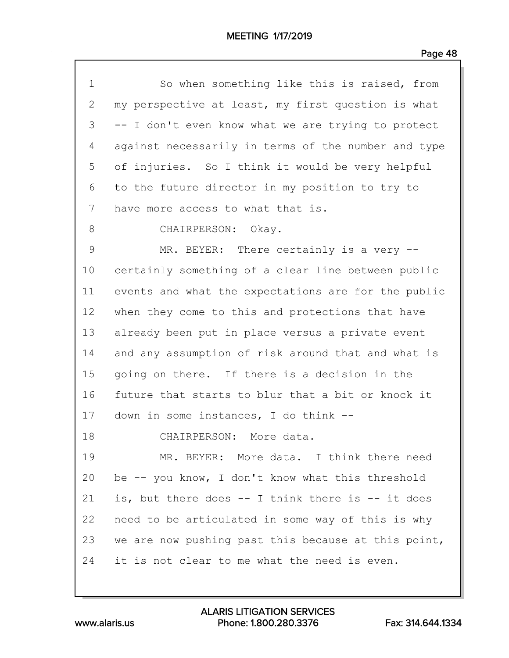| $\mathbf 1$     | So when something like this is raised, from         |
|-----------------|-----------------------------------------------------|
| $\mathbf{2}$    | my perspective at least, my first question is what  |
| 3               | -- I don't even know what we are trying to protect  |
| 4               | against necessarily in terms of the number and type |
| 5               | of injuries. So I think it would be very helpful    |
| 6               | to the future director in my position to try to     |
| 7               | have more access to what that is.                   |
| 8               | CHAIRPERSON: Okay.                                  |
| $\mathsf 9$     | MR. BEYER: There certainly is a very --             |
| 10              | certainly something of a clear line between public  |
| 11              | events and what the expectations are for the public |
| 12 <sub>2</sub> | when they come to this and protections that have    |
| 13              | already been put in place versus a private event    |
| 14              | and any assumption of risk around that and what is  |
| 15              | going on there. If there is a decision in the       |
| 16              | future that starts to blur that a bit or knock it   |
| 17              | down in some instances, I do think --               |
| 18              | CHAIRPERSON: More data.                             |
| 19              | MR. BEYER: More data. I think there need            |
| 20              | be -- you know, I don't know what this threshold    |
| 21              | is, but there does -- I think there is -- it does   |
| 22              | need to be articulated in some way of this is why   |
| 23              | we are now pushing past this because at this point, |
| 24              | it is not clear to me what the need is even.        |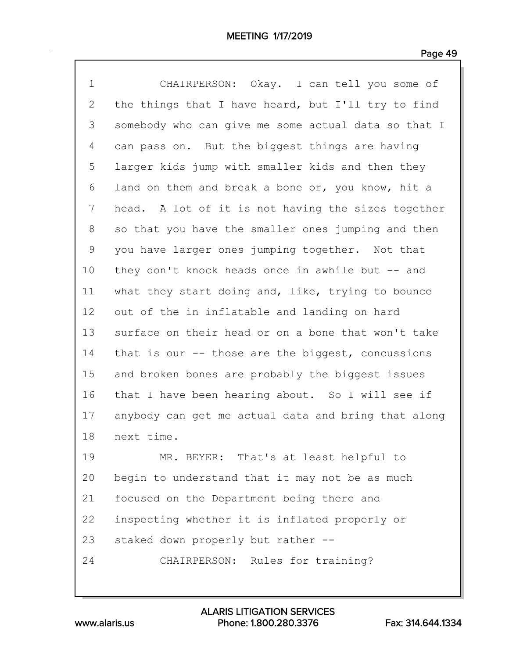| $\mathbf 1$ | CHAIRPERSON: Okay. I can tell you some of           |
|-------------|-----------------------------------------------------|
| 2           | the things that I have heard, but I'll try to find  |
| 3           | somebody who can give me some actual data so that I |
| 4           | can pass on. But the biggest things are having      |
| 5           | larger kids jump with smaller kids and then they    |
| 6           | land on them and break a bone or, you know, hit a   |
| 7           | head. A lot of it is not having the sizes together  |
| 8           | so that you have the smaller ones jumping and then  |
| 9           | you have larger ones jumping together. Not that     |
| 10          | they don't knock heads once in awhile but -- and    |
| 11          | what they start doing and, like, trying to bounce   |
| 12          | out of the in inflatable and landing on hard        |
| 13          | surface on their head or on a bone that won't take  |
| 14          | that is our -- those are the biggest, concussions   |
| 15          | and broken bones are probably the biggest issues    |
| 16          | that I have been hearing about. So I will see if    |
| 17          | anybody can get me actual data and bring that along |
| 18          | next time.                                          |
| 19          | MR. BEYER: That's at least helpful to               |
| 20          | begin to understand that it may not be as much      |
| 21          | focused on the Department being there and           |
| 22          | inspecting whether it is inflated properly or       |
| 23          | staked down properly but rather --                  |
| 24          | CHAIRPERSON: Rules for training?                    |
|             |                                                     |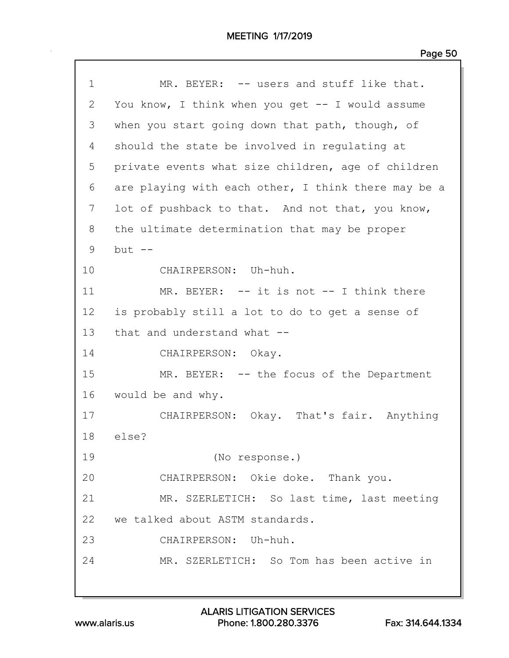| $\mathbf 1$  | MR. BEYER: -- users and stuff like that.            |
|--------------|-----------------------------------------------------|
| $\mathbf{2}$ | You know, I think when you get -- I would assume    |
| 3            | when you start going down that path, though, of     |
| 4            | should the state be involved in regulating at       |
| 5            | private events what size children, age of children  |
| 6            | are playing with each other, I think there may be a |
| 7            | lot of pushback to that. And not that, you know,    |
| 8            | the ultimate determination that may be proper       |
| 9            | $but$ $--$                                          |
| 10           | CHAIRPERSON: Uh-huh.                                |
| 11           | MR. BEYER: -- it is not -- I think there            |
| 12           | is probably still a lot to do to get a sense of     |
| 13           | that and understand what --                         |
| 14           | CHAIRPERSON: Okay.                                  |
| 15           | MR. BEYER: -- the focus of the Department           |
| 16           | would be and why.                                   |
| 17           | CHAIRPERSON: Okay. That's fair. Anything            |
| 18           | else?                                               |
| 19           | (No response.)                                      |
| 20           | CHAIRPERSON: Okie doke. Thank you.                  |
| 21           | MR. SZERLETICH: So last time, last meeting          |
| 22           | we talked about ASTM standards.                     |
| 23           | CHAIRPERSON: Uh-huh.                                |
| 24           | MR. SZERLETICH: So Tom has been active in           |
|              |                                                     |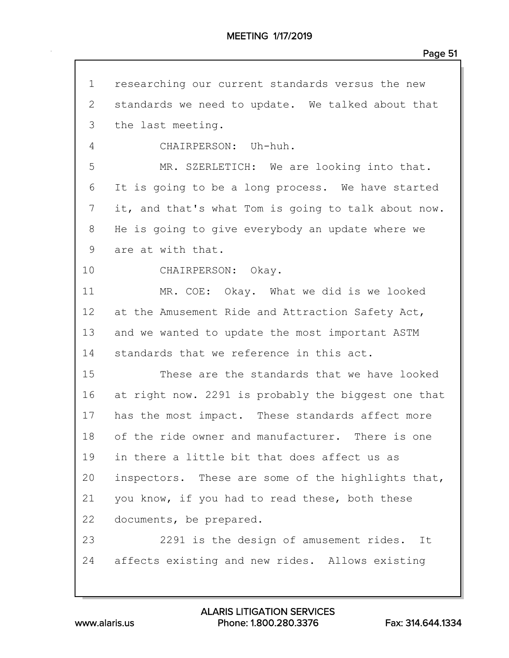| $\mathbf 1$ | researching our current standards versus the new    |
|-------------|-----------------------------------------------------|
| 2           | standards we need to update. We talked about that   |
| 3           | the last meeting.                                   |
| 4           | CHAIRPERSON: Uh-huh.                                |
| 5           | MR. SZERLETICH: We are looking into that.           |
| 6           | It is going to be a long process. We have started   |
| 7           | it, and that's what Tom is going to talk about now. |
| 8           | He is going to give everybody an update where we    |
| 9           | are at with that.                                   |
| 10          | CHAIRPERSON: Okay.                                  |
| 11          | MR. COE: Okay. What we did is we looked             |
| 12          | at the Amusement Ride and Attraction Safety Act,    |
| 13          | and we wanted to update the most important ASTM     |
| 14          | standards that we reference in this act.            |
| 15          | These are the standards that we have looked         |
| 16          | at right now. 2291 is probably the biggest one that |
| 17          | has the most impact. These standards affect more    |
| 18          | of the ride owner and manufacturer. There is one    |
| 19          | in there a little bit that does affect us as        |
| 20          | inspectors. These are some of the highlights that,  |
| 21          | you know, if you had to read these, both these      |
| 22          | documents, be prepared.                             |
| 23          | 2291 is the design of amusement rides. It           |
| 24          | affects existing and new rides. Allows existing     |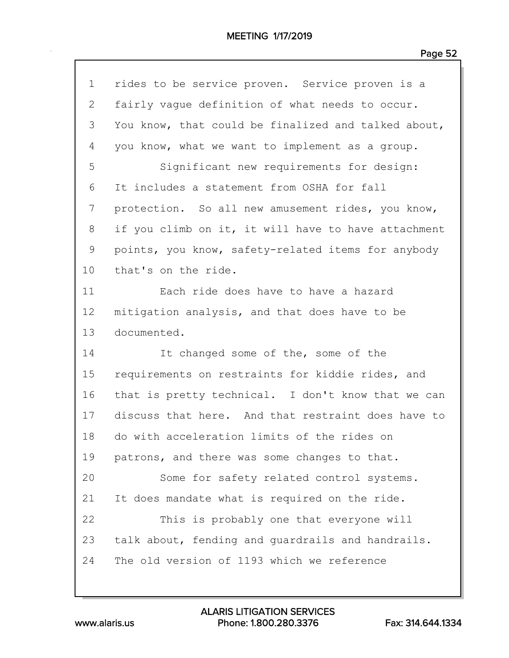| $\mathbf 1$  | rides to be service proven. Service proven is a     |
|--------------|-----------------------------------------------------|
| $\mathbf{2}$ | fairly vague definition of what needs to occur.     |
| 3            | You know, that could be finalized and talked about, |
| 4            | you know, what we want to implement as a group.     |
| 5            | Significant new requirements for design:            |
| 6            | It includes a statement from OSHA for fall          |
| 7            | protection. So all new amusement rides, you know,   |
| 8            | if you climb on it, it will have to have attachment |
| 9            | points, you know, safety-related items for anybody  |
| 10           | that's on the ride.                                 |
| 11           | Each ride does have to have a hazard                |
| 12           | mitigation analysis, and that does have to be       |
|              |                                                     |
| 13           | documented.                                         |
| 14           | It changed some of the, some of the                 |
| 15           | requirements on restraints for kiddie rides, and    |
| 16           | that is pretty technical. I don't know that we can  |
| 17           | discuss that here. And that restraint does have to  |
| 18           | do with acceleration limits of the rides on         |
| 19           | patrons, and there was some changes to that.        |
| 20           | Some for safety related control systems.            |
| 21           | It does mandate what is required on the ride.       |
| 22           | This is probably one that everyone will             |
| 23           | talk about, fending and quardrails and handrails.   |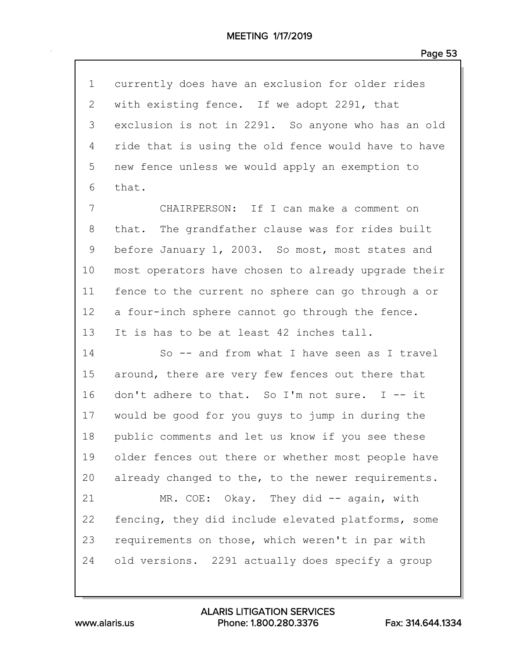| $\mathbf 1$     | currently does have an exclusion for older rides            |
|-----------------|-------------------------------------------------------------|
| $\mathbf{2}$    | with existing fence. If we adopt 2291, that                 |
| 3               | exclusion is not in 2291. So anyone who has an old          |
| 4               | ride that is using the old fence would have to have         |
| 5               | new fence unless we would apply an exemption to             |
| 6               | that.                                                       |
| 7               | CHAIRPERSON: If I can make a comment on                     |
| 8               | that. The grandfather clause was for rides built            |
| 9               | before January 1, 2003. So most, most states and            |
| 10              | most operators have chosen to already upgrade their         |
| 11              | fence to the current no sphere can go through a or          |
| 12              | a four-inch sphere cannot go through the fence.             |
| 13              | It is has to be at least 42 inches tall.                    |
| 14              | So -- and from what I have seen as I travel                 |
| 15 <sub>2</sub> | around, there are very few fences out there that            |
| $1 \subset$     | $d$ on $H + a$ dhomo $a + b$ that $a \in T$ m not quinq $T$ |

16 don't adhere to that. So I'm not sure. I -- it 17 would be good for you guys to jump in during the 18 public comments and let us know if you see these 19 older fences out there or whether most people have 20 already changed to the, to the newer requirements.

21 MR. COE: Okay. They did -- again, with 22 fencing, they did include elevated platforms, some 23 requirements on those, which weren't in par with 24 old versions. 2291 actually does specify a group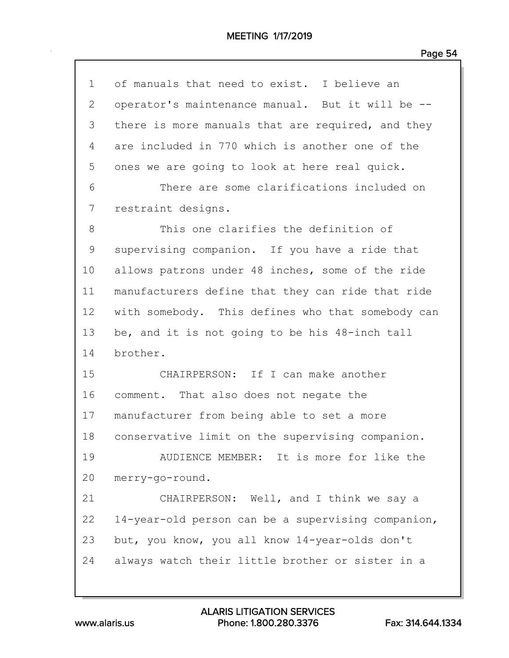| $\mathbf{1}$ | of manuals that need to exist. I believe an        |
|--------------|----------------------------------------------------|
| $\mathbf{2}$ | operator's maintenance manual. But it will be --   |
| 3            | there is more manuals that are required, and they  |
| 4            | are included in 770 which is another one of the    |
| 5            | ones we are going to look at here real quick.      |
| 6            | There are some clarifications included on          |
| 7            | restraint designs.                                 |
| 8            | This one clarifies the definition of               |
| 9            | supervising companion. If you have a ride that     |
| 10           | allows patrons under 48 inches, some of the ride   |
| 11           | manufacturers define that they can ride that ride  |
| 12           | with somebody. This defines who that somebody can  |
| 13           | be, and it is not going to be his 48-inch tall     |
| 14           | brother.                                           |
| 15           | CHAIRPERSON: If I can make another                 |
| 16           | comment. That also does not negate the             |
| 17           | manufacturer from being able to set a more         |
| 18           | conservative limit on the supervising companion.   |
| 19           | AUDIENCE MEMBER: It is more for like the           |
| 20           | merry-go-round.                                    |
| 21           | CHAIRPERSON: Well, and I think we say a            |
| 22           | 14-year-old person can be a supervising companion, |
| 23           | but, you know, you all know 14-year-olds don't     |
| 24           | always watch their little brother or sister in a   |
|              |                                                    |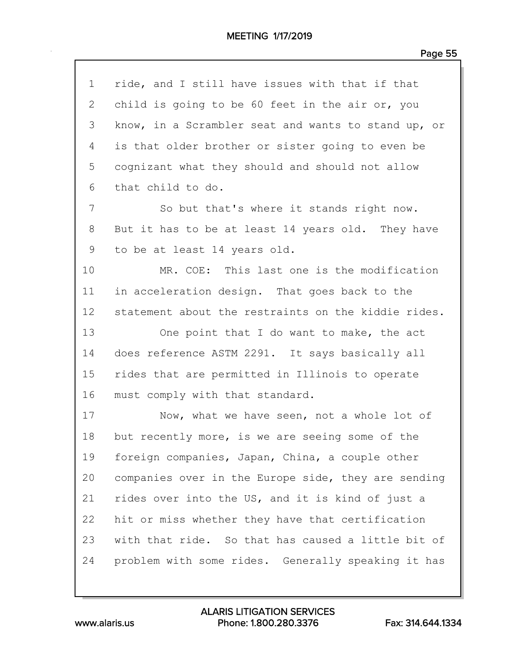| $\mathbf 1$  | ride, and I still have issues with that if that     |
|--------------|-----------------------------------------------------|
| $\mathbf{2}$ | child is going to be 60 feet in the air or, you     |
| 3            | know, in a Scrambler seat and wants to stand up, or |
| 4            | is that older brother or sister going to even be    |
| 5            | cognizant what they should and should not allow     |
| 6            | that child to do.                                   |
| 7            | So but that's where it stands right now.            |
| 8            | But it has to be at least 14 years old. They have   |
| $\mathsf 9$  | to be at least 14 years old.                        |
| 10           | MR. COE: This last one is the modification          |
| 11           | in acceleration design. That goes back to the       |
| 12           | statement about the restraints on the kiddie rides. |
| 13           | One point that I do want to make, the act           |
| 14           | does reference ASTM 2291. It says basically all     |
| 15           | rides that are permitted in Illinois to operate     |
| 16           | must comply with that standard.                     |
| 17           | Now, what we have seen, not a whole lot of          |
| 18           | but recently more, is we are seeing some of the     |
| 19           | foreign companies, Japan, China, a couple other     |
| 20           | companies over in the Europe side, they are sending |
| 21           | rides over into the US, and it is kind of just a    |
| 22           | hit or miss whether they have that certification    |
| 23           | with that ride. So that has caused a little bit of  |
| 24           | problem with some rides. Generally speaking it has  |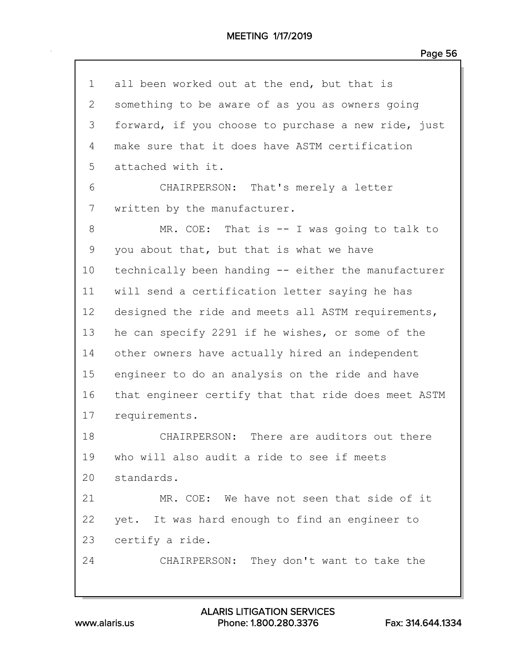| $\mathbf 1$ | all been worked out at the end, but that is         |
|-------------|-----------------------------------------------------|
| 2           | something to be aware of as you as owners going     |
| 3           | forward, if you choose to purchase a new ride, just |
| 4           | make sure that it does have ASTM certification      |
| 5           | attached with it.                                   |
| 6           | CHAIRPERSON: That's merely a letter                 |
| 7           | written by the manufacturer.                        |
| 8           | MR. COE: That is $-$ I was going to talk to         |
| 9           | you about that, but that is what we have            |
| 10          | technically been handing -- either the manufacturer |
| 11          | will send a certification letter saying he has      |
| 12          | designed the ride and meets all ASTM requirements,  |
| 13          | he can specify 2291 if he wishes, or some of the    |
| 14          | other owners have actually hired an independent     |
| 15          | engineer to do an analysis on the ride and have     |
| 16          | that engineer certify that that ride does meet ASTM |
| 17          | requirements.                                       |
| 18          | CHAIRPERSON: There are auditors out there           |
| 19          | who will also audit a ride to see if meets          |
| 20          | standards.                                          |
| 21          | MR. COE: We have not seen that side of it           |
| 22          | yet. It was hard enough to find an engineer to      |
| 23          | certify a ride.                                     |
| 24          | CHAIRPERSON: They don't want to take the            |
|             |                                                     |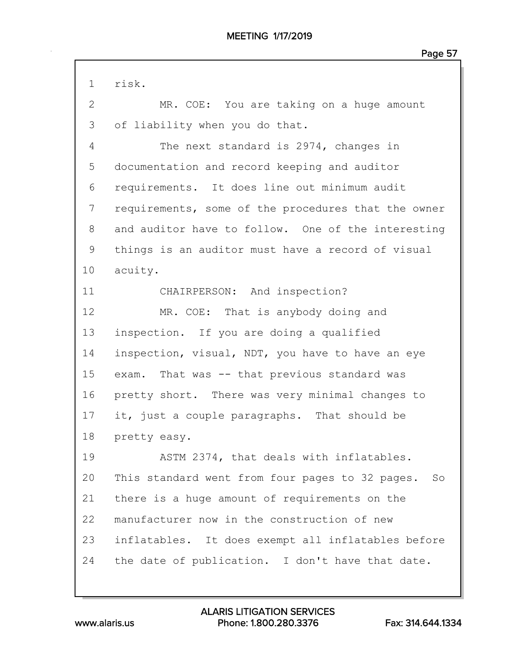1 risk. 2 MR. COE: You are taking on a huge amount 3 of liability when you do that. 4 The next standard is 2974, changes in 5 documentation and record keeping and auditor 6 requirements. It does line out minimum audit 7 requirements, some of the procedures that the owner 8 and auditor have to follow. One of the interesting 9 things is an auditor must have a record of visual 10 acuity. 11 CHAIRPERSON: And inspection? 12 MR. COE: That is anybody doing and 13 inspection. If you are doing a qualified 14 inspection, visual, NDT, you have to have an eye 15 exam. That was -- that previous standard was 16 pretty short. There was very minimal changes to 17 it, just a couple paragraphs. That should be 18 pretty easy. 19 ASTM 2374, that deals with inflatables. 20 This standard went from four pages to 32 pages. So 21 there is a huge amount of requirements on the 22 manufacturer now in the construction of new 23 inflatables. It does exempt all inflatables before 24 the date of publication. I don't have that date.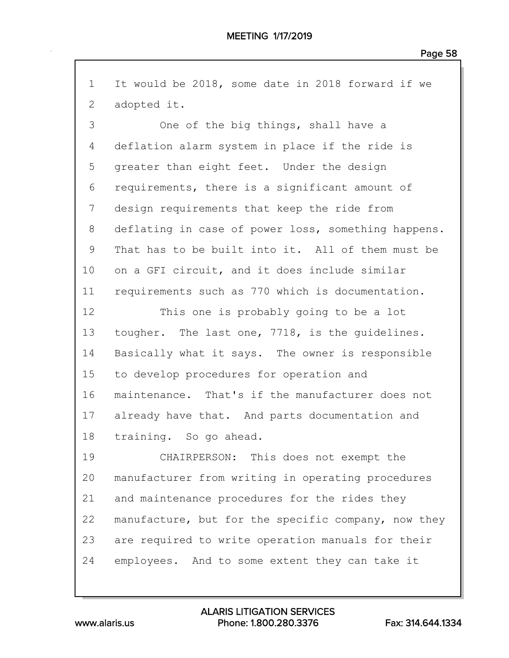1 It would be 2018, some date in 2018 forward if we 2 adopted it.

3 One of the big things, shall have a 4 deflation alarm system in place if the ride is 5 greater than eight feet. Under the design 6 requirements, there is a significant amount of 7 design requirements that keep the ride from 8 deflating in case of power loss, something happens. 9 That has to be built into it. All of them must be 10 on a GFI circuit, and it does include similar 11 requirements such as 770 which is documentation.

12 This one is probably going to be a lot 13 tougher. The last one, 7718, is the guidelines. 14 Basically what it says. The owner is responsible 15 to develop procedures for operation and 16 maintenance. That's if the manufacturer does not 17 already have that. And parts documentation and 18 training. So go ahead.

19 CHAIRPERSON: This does not exempt the 20 manufacturer from writing in operating procedures 21 and maintenance procedures for the rides they 22 manufacture, but for the specific company, now they 23 are required to write operation manuals for their 24 employees. And to some extent they can take it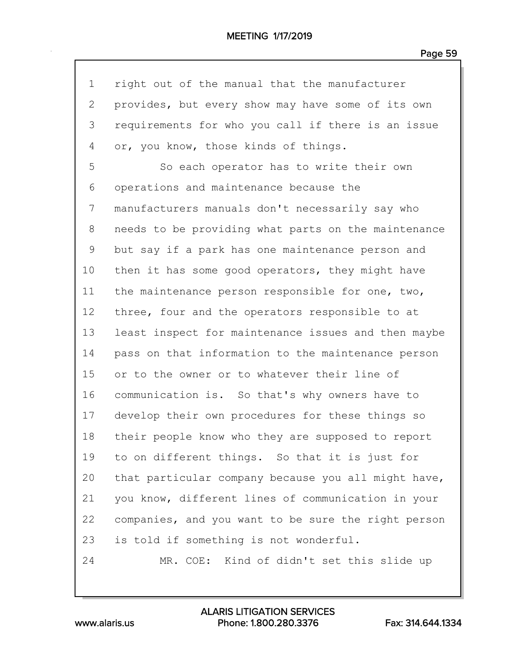| $\mathbf 1$     | right out of the manual that the manufacturer       |
|-----------------|-----------------------------------------------------|
| $\mathbf{2}$    | provides, but every show may have some of its own   |
| 3               | requirements for who you call if there is an issue  |
| 4               | or, you know, those kinds of things.                |
| 5               | So each operator has to write their own             |
| 6               | operations and maintenance because the              |
| 7               | manufacturers manuals don't necessarily say who     |
| 8               | needs to be providing what parts on the maintenance |
| 9               | but say if a park has one maintenance person and    |
| 10              | then it has some good operators, they might have    |
| 11              | the maintenance person responsible for one, two,    |
| 12 <sub>2</sub> | three, four and the operators responsible to at     |
| 13              | least inspect for maintenance issues and then maybe |
| 14              | pass on that information to the maintenance person  |
| 15              | or to the owner or to whatever their line of        |
| 16              | communication is. So that's why owners have to      |
| 17              | develop their own procedures for these things so    |
| 18              | their people know who they are supposed to report   |
| 19              | to on different things. So that it is just for      |
| 20              | that particular company because you all might have, |
| 21              | you know, different lines of communication in your  |
| 22              | companies, and you want to be sure the right person |
| 23              | is told if something is not wonderful.              |
| 24              | MR. COE: Kind of didn't set this slide up           |
|                 |                                                     |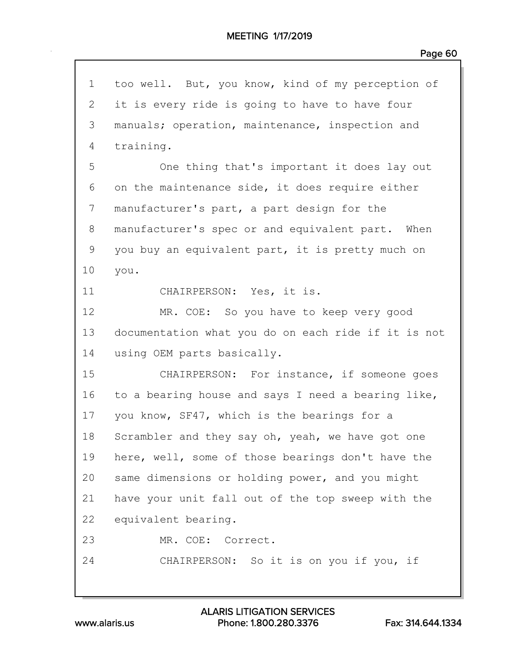| $\mathbf 1$  | too well. But, you know, kind of my perception of   |
|--------------|-----------------------------------------------------|
| $\mathbf{2}$ | it is every ride is going to have to have four      |
| 3            | manuals; operation, maintenance, inspection and     |
| 4            | training.                                           |
| 5            | One thing that's important it does lay out          |
| 6            | on the maintenance side, it does require either     |
| 7            | manufacturer's part, a part design for the          |
| 8            | manufacturer's spec or and equivalent part. When    |
| 9            | you buy an equivalent part, it is pretty much on    |
| 10           | you.                                                |
| 11           | CHAIRPERSON: Yes, it is.                            |
| 12           | MR. COE: So you have to keep very good              |
| 13           | documentation what you do on each ride if it is not |
| 14           | using OEM parts basically.                          |
| 15           | CHAIRPERSON: For instance, if someone goes          |
| 16           | to a bearing house and says I need a bearing like,  |
| 17           | you know, SF47, which is the bearings for a         |
| 18           | Scrambler and they say oh, yeah, we have got one    |
| 19           | here, well, some of those bearings don't have the   |
| 20           | same dimensions or holding power, and you might     |
| 21           | have your unit fall out of the top sweep with the   |
| 22           | equivalent bearing.                                 |
| 23           | MR. COE: Correct.                                   |
| 24           | CHAIRPERSON: So it is on you if you, if             |
|              |                                                     |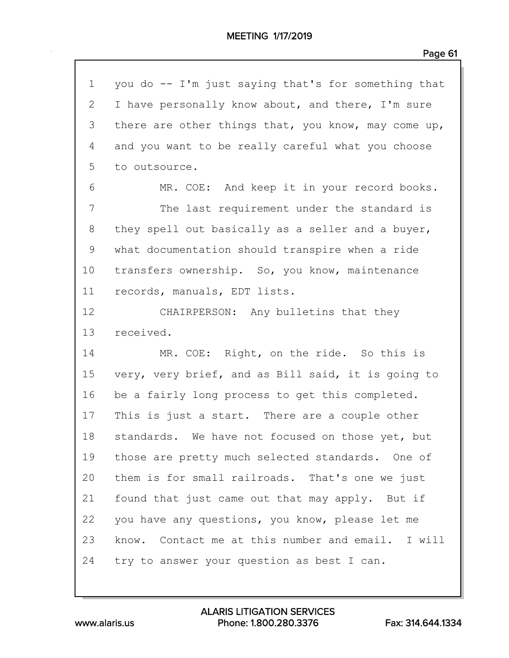| $\mathbf 1$ | you do -- I'm just saying that's for something that |
|-------------|-----------------------------------------------------|
| 2           | I have personally know about, and there, I'm sure   |
| 3           | there are other things that, you know, may come up, |
| 4           | and you want to be really careful what you choose   |
| 5           | to outsource.                                       |
| 6           | MR. COE: And keep it in your record books.          |
| 7           | The last requirement under the standard is          |
| 8           | they spell out basically as a seller and a buyer,   |
| 9           | what documentation should transpire when a ride     |
| 10          | transfers ownership. So, you know, maintenance      |
| 11          | records, manuals, EDT lists.                        |
| 12          | CHAIRPERSON: Any bulletins that they                |
| 13          | received.                                           |
| 14          | MR. COE: Right, on the ride. So this is             |
| 15          | very, very brief, and as Bill said, it is going to  |
| 16          | be a fairly long process to get this completed.     |
| 17          | This is just a start. There are a couple other      |
| 18          | standards. We have not focused on those yet, but    |
| 19          | those are pretty much selected standards. One of    |
| 20          | them is for small railroads. That's one we just     |
| 21          | found that just came out that may apply. But if     |
| 22          | you have any questions, you know, please let me     |
| 23          | know. Contact me at this number and email. I will   |
| 24          | try to answer your question as best I can.          |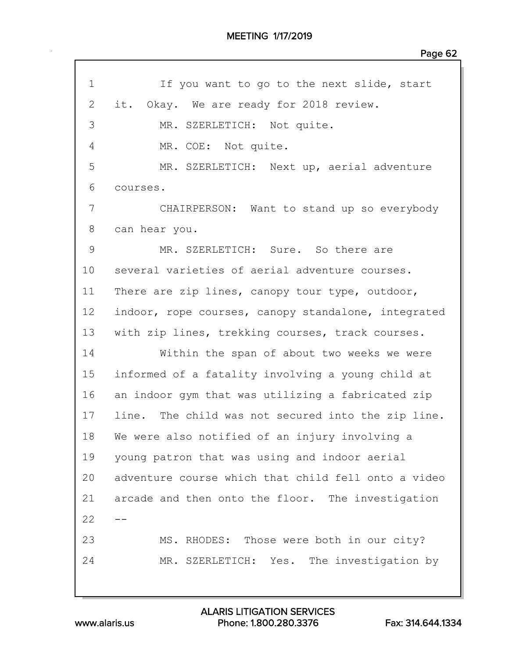| $\mathbf 1$ | If you want to go to the next slide, start          |
|-------------|-----------------------------------------------------|
| 2           | it. Okay. We are ready for 2018 review.             |
| 3           | MR. SZERLETICH: Not quite.                          |
| 4           | MR. COE: Not quite.                                 |
| 5           | MR. SZERLETICH: Next up, aerial adventure           |
| 6           | courses.                                            |
| 7           | CHAIRPERSON: Want to stand up so everybody          |
| 8           | can hear you.                                       |
| 9           | MR. SZERLETICH: Sure. So there are                  |
| 10          | several varieties of aerial adventure courses.      |
| 11          | There are zip lines, canopy tour type, outdoor,     |
| 12          | indoor, rope courses, canopy standalone, integrated |
| 13          | with zip lines, trekking courses, track courses.    |
| 14          | Within the span of about two weeks we were          |
| 15          | informed of a fatality involving a young child at   |
| 16          | an indoor gym that was utilizing a fabricated zip   |
| 17          | line. The child was not secured into the zip line.  |
| 18          | We were also notified of an injury involving a      |
| 19          | young patron that was using and indoor aerial       |
| 20          | adventure course which that child fell onto a video |
| 21          | arcade and then onto the floor. The investigation   |
| 22          |                                                     |
| 23          | MS. RHODES: Those were both in our city?            |
| 24          | MR. SZERLETICH: Yes. The investigation by           |
|             |                                                     |

www.alaris.us Phone: 1.800.280.3376 Fax: 314.644.1334 ALARIS LITIGATION SERVICES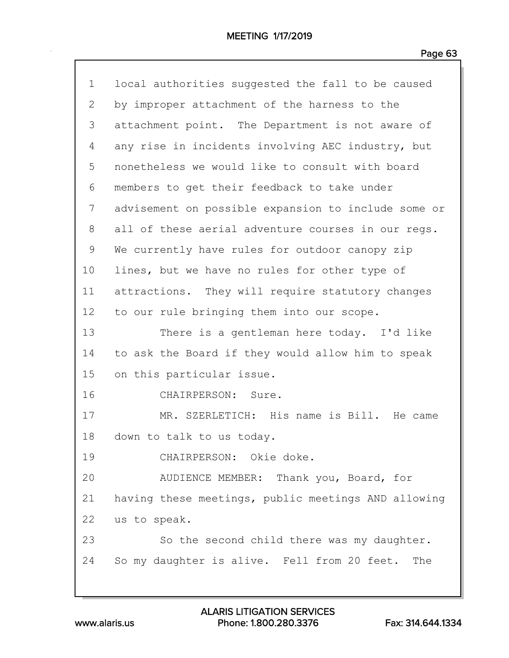| $\mathbf 1$  | local authorities suggested the fall to be caused   |
|--------------|-----------------------------------------------------|
| $\mathbf{2}$ | by improper attachment of the harness to the        |
| 3            | attachment point. The Department is not aware of    |
| 4            | any rise in incidents involving AEC industry, but   |
| 5            | nonetheless we would like to consult with board     |
| 6            | members to get their feedback to take under         |
| 7            | advisement on possible expansion to include some or |
| 8            | all of these aerial adventure courses in our regs.  |
| 9            | We currently have rules for outdoor canopy zip      |
| 10           | lines, but we have no rules for other type of       |
| 11           | attractions. They will require statutory changes    |
| 12           | to our rule bringing them into our scope.           |
| 13           | There is a gentleman here today. I'd like           |
| 14           | to ask the Board if they would allow him to speak   |
| 15           | on this particular issue.                           |
| 16           | CHAIRPERSON: Sure.                                  |
| 17           | MR. SZERLETICH: His name is Bill. He came           |
| 18           | down to talk to us today.                           |
| 19           | CHAIRPERSON: Okie doke.                             |
| 20           | AUDIENCE MEMBER: Thank you, Board, for              |
| 21           | having these meetings, public meetings AND allowing |
| 22           | us to speak.                                        |
| 23           | So the second child there was my daughter.          |
| 24           | So my daughter is alive. Fell from 20 feet.<br>The  |
|              |                                                     |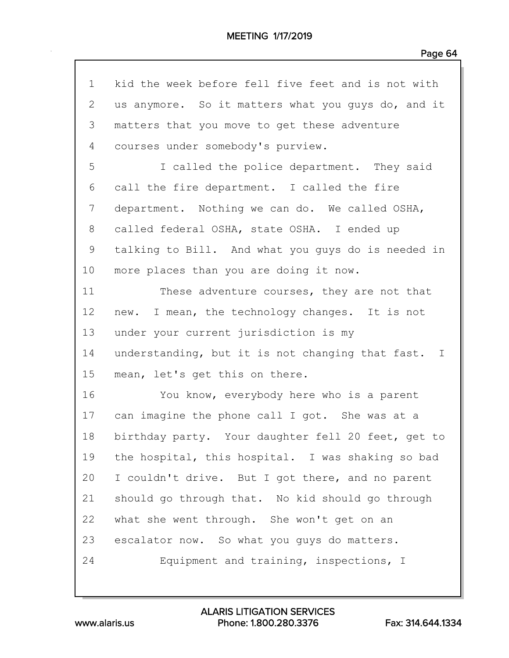| $\mathbf 1$ | kid the week before fell five feet and is not with |
|-------------|----------------------------------------------------|
| 2           | us anymore. So it matters what you guys do, and it |
| 3           | matters that you move to get these adventure       |
| 4           | courses under somebody's purview.                  |
| 5           | I called the police department. They said          |
| 6           | call the fire department. I called the fire        |
| 7           | department. Nothing we can do. We called OSHA,     |
| 8           | called federal OSHA, state OSHA. I ended up        |
| 9           | talking to Bill. And what you guys do is needed in |
| 10          | more places than you are doing it now.             |
| 11          | These adventure courses, they are not that         |
| 12          | new. I mean, the technology changes. It is not     |
| 13          | under your current jurisdiction is my              |
| 14          | understanding, but it is not changing that fast. I |
| 15          | mean, let's get this on there.                     |
| 16          | You know, everybody here who is a parent           |
| 17          | can imagine the phone call I got. She was at a     |
| 18          | birthday party. Your daughter fell 20 feet, get to |
| 19          | the hospital, this hospital. I was shaking so bad  |
| 20          | I couldn't drive. But I got there, and no parent   |
| 21          | should go through that. No kid should go through   |
| 22          | what she went through. She won't get on an         |
| 23          | escalator now. So what you guys do matters.        |
| 24          | Equipment and training, inspections, I             |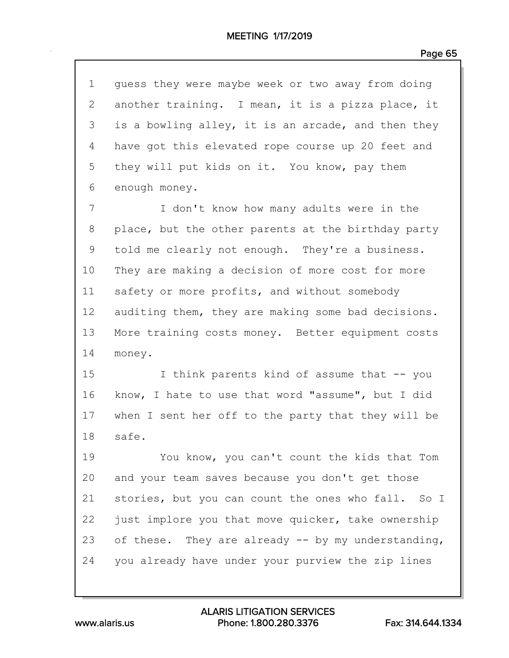| 1            | guess they were maybe week or two away from doing  |
|--------------|----------------------------------------------------|
| $\mathbf{2}$ | another training. I mean, it is a pizza place, it  |
| 3            | is a bowling alley, it is an arcade, and then they |
| 4            | have got this elevated rope course up 20 feet and  |
| 5            | they will put kids on it. You know, pay them       |
| 6            | enough money.                                      |
| 7            | I don't know how many adults were in the           |
| 8            | place, but the other parents at the birthday party |
| $\mathsf 9$  | told me clearly not enough. They're a business.    |
| 10           | They are making a decision of more cost for more   |
| 11           | safety or more profits, and without somebody       |
| 12           | auditing them, they are making some bad decisions. |
| 13           | More training costs money. Better equipment costs  |
| 14           | money.                                             |
| 15           | I think parents kind of assume that -- you         |
| 16           | know, I hate to use that word "assume", but I did  |
| 17           | when I sent her off to the party that they will be |
| 18           | safe.                                              |
| 19           | You know, you can't count the kids that Tom        |
| 20           | and your team saves because you don't get those    |
| 21           | stories, but you can count the ones who fall. So I |
| 22           | just implore you that move quicker, take ownership |
| 23           | of these. They are already -- by my understanding, |
| 24           | you already have under your purview the zip lines  |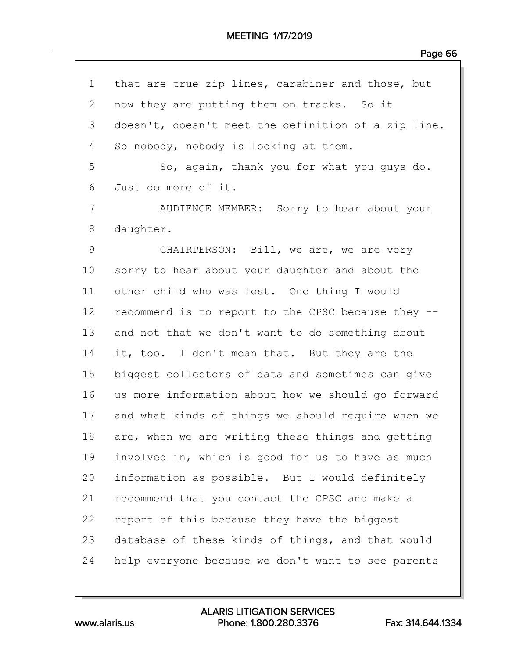| $\mathbf 1$ | that are true zip lines, carabiner and those, but   |
|-------------|-----------------------------------------------------|
| 2           | now they are putting them on tracks. So it          |
| 3           | doesn't, doesn't meet the definition of a zip line. |
| 4           | So nobody, nobody is looking at them.               |
| 5           | So, again, thank you for what you guys do.          |
| 6           | Just do more of it.                                 |
| 7           | AUDIENCE MEMBER: Sorry to hear about your           |
| 8           | daughter.                                           |
| $\mathsf 9$ | CHAIRPERSON: Bill, we are, we are very              |
| 10          | sorry to hear about your daughter and about the     |
| 11          | other child who was lost. One thing I would         |
| 12          | recommend is to report to the CPSC because they --  |
| 13          | and not that we don't want to do something about    |
| 14          | it, too. I don't mean that. But they are the        |
| 15          | biggest collectors of data and sometimes can give   |
| 16          | us more information about how we should go forward  |
| 17          | and what kinds of things we should require when we  |
| 18          | are, when we are writing these things and getting   |
| 19          | involved in, which is good for us to have as much   |
| 20          | information as possible. But I would definitely     |
| 21          | recommend that you contact the CPSC and make a      |
| 22          | report of this because they have the biggest        |
| 23          | database of these kinds of things, and that would   |
| 24          | help everyone because we don't want to see parents  |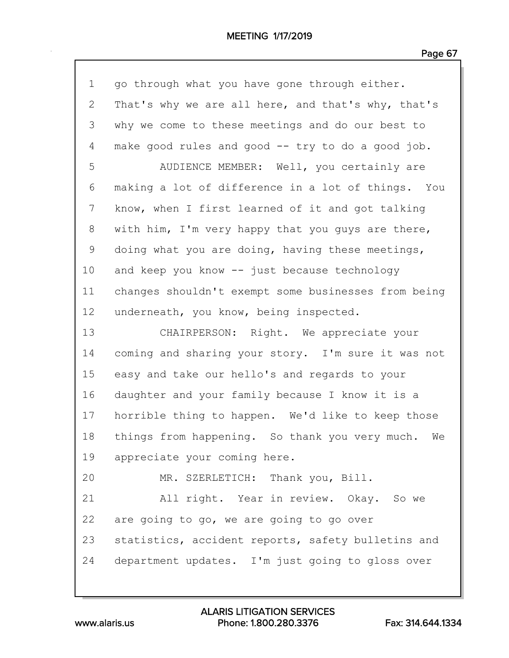| $\mathbf 1$ | go through what you have gone through either.       |
|-------------|-----------------------------------------------------|
| 2           | That's why we are all here, and that's why, that's  |
| 3           | why we come to these meetings and do our best to    |
| 4           | make good rules and good -- try to do a good job.   |
| 5           | AUDIENCE MEMBER: Well, you certainly are            |
| 6           | making a lot of difference in a lot of things. You  |
| 7           | know, when I first learned of it and got talking    |
| 8           | with him, I'm very happy that you guys are there,   |
| 9           | doing what you are doing, having these meetings,    |
| 10          | and keep you know -- just because technology        |
| 11          | changes shouldn't exempt some businesses from being |
| 12          | underneath, you know, being inspected.              |
| 13          | CHAIRPERSON: Right. We appreciate your              |
| 14          | coming and sharing your story. I'm sure it was not  |
| 15          | easy and take our hello's and regards to your       |
| 16          | daughter and your family because I know it is a     |
| 17          | horrible thing to happen. We'd like to keep those   |
| 18          | things from happening. So thank you very much. We   |
| 19          | appreciate your coming here.                        |
| 20          | MR. SZERLETICH: Thank you, Bill.                    |
| 21          | All right. Year in review. Okay. So we              |
| 22          | are going to go, we are going to go over            |
| 23          | statistics, accident reports, safety bulletins and  |
| 24          | department updates. I'm just going to gloss over    |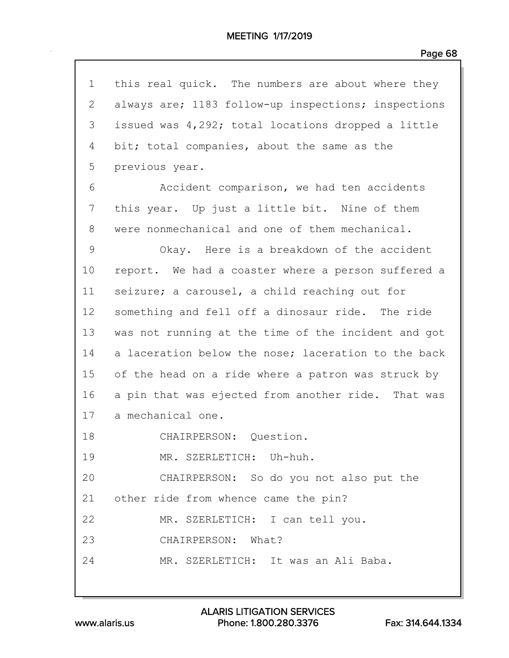| $\mathbf 1$  | this real quick. The numbers are about where they   |
|--------------|-----------------------------------------------------|
| $\mathbf{2}$ | always are; 1183 follow-up inspections; inspections |
| 3            | issued was 4,292; total locations dropped a little  |
| 4            | bit; total companies, about the same as the         |
| 5            | previous year.                                      |
| 6            | Accident comparison, we had ten accidents           |
| 7            | this year. Up just a little bit. Nine of them       |
| 8            | were nonmechanical and one of them mechanical.      |
| 9            | Okay. Here is a breakdown of the accident           |
| 10           | report. We had a coaster where a person suffered a  |
| 11           | seizure; a carousel, a child reaching out for       |
| 12           | something and fell off a dinosaur ride. The ride    |
| 13           | was not running at the time of the incident and got |
| 14           | a laceration below the nose; laceration to the back |
| 15           | of the head on a ride where a patron was struck by  |
| 16           | a pin that was ejected from another ride. That was  |
| 17           | a mechanical one.                                   |
| 18           | CHAIRPERSON: Question.                              |
| 19           | MR. SZERLETICH: Uh-huh.                             |
| 20           | CHAIRPERSON: So do you not also put the             |
|              | 21 other ride from whence came the pin?             |
| 22           | MR. SZERLETICH: I can tell you.                     |
| 23           | CHAIRPERSON: What?                                  |
| 24           | MR. SZERLETICH: It was an Ali Baba.                 |
|              |                                                     |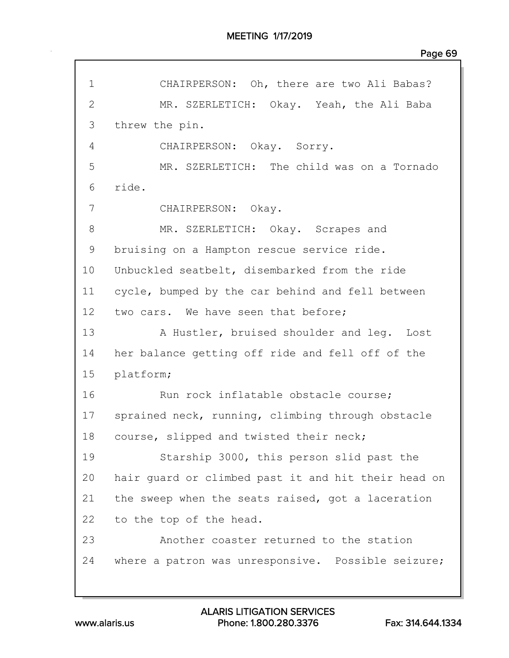| $\mathbf 1$     | CHAIRPERSON: Oh, there are two Ali Babas?           |
|-----------------|-----------------------------------------------------|
| $\overline{2}$  | MR. SZERLETICH: Okay. Yeah, the Ali Baba            |
| 3               | threw the pin.                                      |
| 4               | CHAIRPERSON: Okay. Sorry.                           |
| 5               | MR. SZERLETICH: The child was on a Tornado          |
| 6               | ride.                                               |
| 7               | CHAIRPERSON: Okay.                                  |
| 8               | MR. SZERLETICH: Okay. Scrapes and                   |
| 9               | bruising on a Hampton rescue service ride.          |
| 10              | Unbuckled seatbelt, disembarked from the ride       |
| 11              | cycle, bumped by the car behind and fell between    |
| 12 <sub>2</sub> | two cars. We have seen that before;                 |
| 13              | A Hustler, bruised shoulder and leg. Lost           |
| 14              | her balance getting off ride and fell off of the    |
| 15              | platform;                                           |
| 16              | Run rock inflatable obstacle course;                |
| 17              | sprained neck, running, climbing through obstacle   |
| 18              | course, slipped and twisted their neck;             |
| 19              | Starship 3000, this person slid past the            |
| 20              | hair guard or climbed past it and hit their head on |
| 21              | the sweep when the seats raised, got a laceration   |
| 22              | to the top of the head.                             |
| 23              | Another coaster returned to the station             |
| 24              | where a patron was unresponsive. Possible seizure;  |
|                 |                                                     |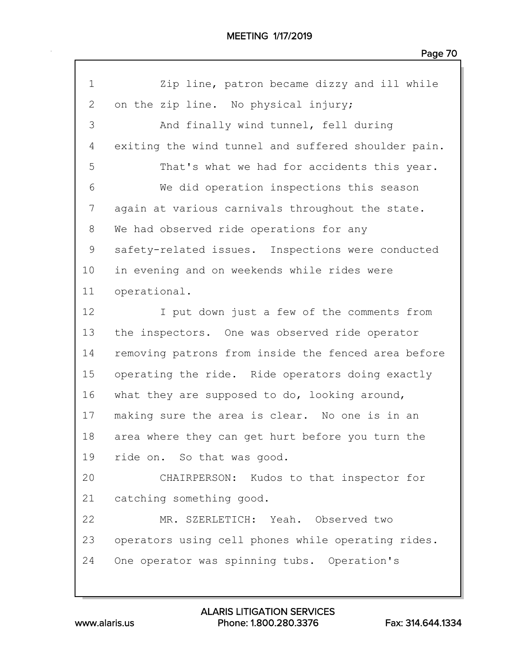| $\mathbf 1$  | Zip line, patron became dizzy and ill while         |
|--------------|-----------------------------------------------------|
| $\mathbf{2}$ | on the zip line. No physical injury;                |
| 3            | And finally wind tunnel, fell during                |
| 4            | exiting the wind tunnel and suffered shoulder pain. |
| 5            | That's what we had for accidents this year.         |
| 6            | We did operation inspections this season            |
| 7            | again at various carnivals throughout the state.    |
| 8            | We had observed ride operations for any             |
| 9            | safety-related issues. Inspections were conducted   |
| 10           | in evening and on weekends while rides were         |
| 11           | operational.                                        |
| 12           | I put down just a few of the comments from          |
| 13           | the inspectors. One was observed ride operator      |
| 14           | removing patrons from inside the fenced area before |
| 15           | operating the ride. Ride operators doing exactly    |
| 16           | what they are supposed to do, looking around,       |
| 17           | making sure the area is clear. No one is in an      |
| 18           | area where they can get hurt before you turn the    |
| 19           | ride on. So that was good.                          |
| 20           | CHAIRPERSON: Kudos to that inspector for            |
| 21           | catching something good.                            |
| 22           | MR. SZERLETICH: Yeah. Observed two                  |
| 23           | operators using cell phones while operating rides.  |
| 24           | One operator was spinning tubs. Operation's         |
|              |                                                     |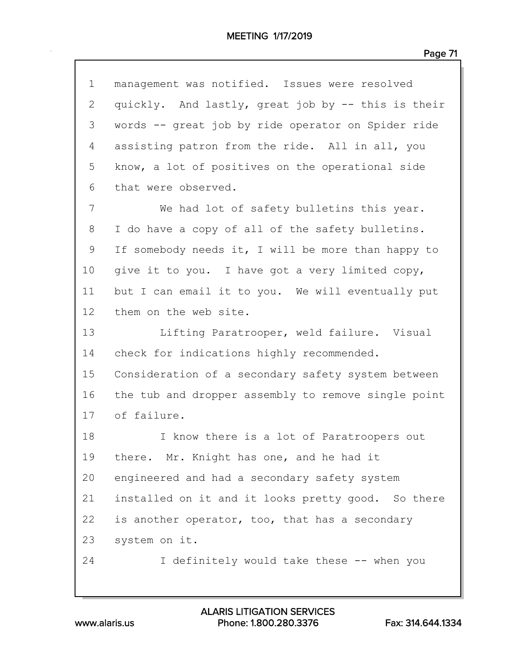| $\frac{1}{2}$ |  | Ω |  |  |  |
|---------------|--|---|--|--|--|
|---------------|--|---|--|--|--|

| $\mathbf 1$     | management was notified. Issues were resolved       |
|-----------------|-----------------------------------------------------|
| $\mathbf{2}$    | quickly. And lastly, great job by -- this is their  |
| 3               | words -- great job by ride operator on Spider ride  |
| 4               | assisting patron from the ride. All in all, you     |
| 5               | know, a lot of positives on the operational side    |
| 6               | that were observed.                                 |
| 7               | We had lot of safety bulletins this year.           |
| 8               | I do have a copy of all of the safety bulletins.    |
| 9               | If somebody needs it, I will be more than happy to  |
| 10              | give it to you. I have got a very limited copy,     |
| 11              | but I can email it to you. We will eventually put   |
| 12 <sub>2</sub> | them on the web site.                               |
| 13              | Lifting Paratrooper, weld failure. Visual           |
| 14              | check for indications highly recommended.           |
| 15              | Consideration of a secondary safety system between  |
| 16              | the tub and dropper assembly to remove single point |
| 17              | of failure.                                         |
| 18              | I know there is a lot of Paratroopers out           |
| 19              | there. Mr. Knight has one, and he had it            |
| 20              | engineered and had a secondary safety system        |
| 21              | installed on it and it looks pretty good. So there  |
| 22              | is another operator, too, that has a secondary      |
| 23              | system on it.                                       |
| 24              | I definitely would take these -- when you           |
|                 |                                                     |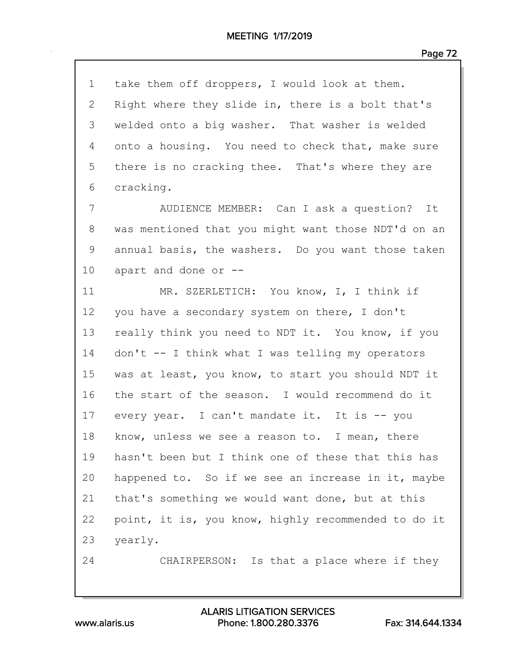| $\mathbf 1$ | take them off droppers, I would look at them.       |
|-------------|-----------------------------------------------------|
| 2           | Right where they slide in, there is a bolt that's   |
| 3           | welded onto a big washer. That washer is welded     |
| 4           | onto a housing. You need to check that, make sure   |
| 5           | there is no cracking thee. That's where they are    |
| 6           | cracking.                                           |
| 7           | AUDIENCE MEMBER: Can I ask a question? It           |
| 8           | was mentioned that you might want those NDT'd on an |
| 9           | annual basis, the washers. Do you want those taken  |
| 10          | apart and done or --                                |
| 11          | MR. SZERLETICH: You know, I, I think if             |
| 12          | you have a secondary system on there, I don't       |
| 13          | really think you need to NDT it. You know, if you   |
| 14          | don't -- I think what I was telling my operators    |
| 15          | was at least, you know, to start you should NDT it  |
| 16          | the start of the season. I would recommend do it    |
| 17          | every year. I can't mandate it. It is -- you        |
| 18          | know, unless we see a reason to. I mean, there      |
| 19          | hasn't been but I think one of these that this has  |
| 20          | happened to. So if we see an increase in it, maybe  |
| 21          | that's something we would want done, but at this    |
| 22          | point, it is, you know, highly recommended to do it |
| 23          | yearly.                                             |
| 24          | CHAIRPERSON: Is that a place where if they          |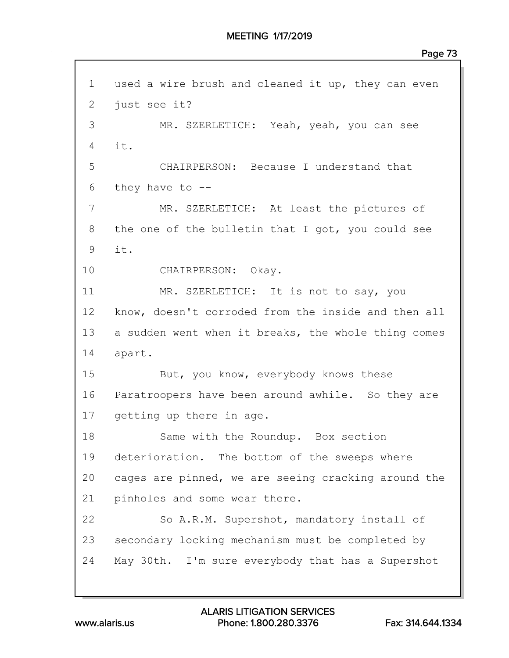1 used a wire brush and cleaned it up, they can even 2 just see it? 3 MR. SZERLETICH: Yeah, yeah, you can see 4 it. 5 CHAIRPERSON: Because I understand that 6 they have to -- 7 MR. SZERLETICH: At least the pictures of 8 the one of the bulletin that I got, you could see 9 it. 10 CHAIRPERSON: Okay. 11 MR. SZERLETICH: It is not to say, you 12 know, doesn't corroded from the inside and then all 13 a sudden went when it breaks, the whole thing comes 14 apart. 15 But, you know, everybody knows these 16 Paratroopers have been around awhile. So they are 17 getting up there in age. 18 Same with the Roundup. Box section 19 deterioration. The bottom of the sweeps where 20 cages are pinned, we are seeing cracking around the 21 pinholes and some wear there. 22 So A.R.M. Supershot, mandatory install of 23 secondary locking mechanism must be completed by 24 May 30th. I'm sure everybody that has a Supershot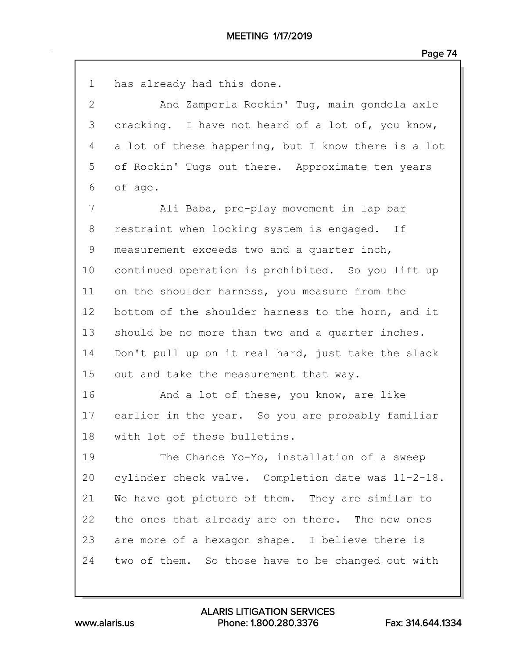| $\mathbf 1$     | has already had this done.                          |
|-----------------|-----------------------------------------------------|
| 2               | And Zamperla Rockin' Tug, main gondola axle         |
| 3               | cracking. I have not heard of a lot of, you know,   |
| 4               | a lot of these happening, but I know there is a lot |
| 5               | of Rockin' Tugs out there. Approximate ten years    |
| 6               | of age.                                             |
| 7               | Ali Baba, pre-play movement in lap bar              |
| 8               | restraint when locking system is engaged. If        |
| 9               | measurement exceeds two and a quarter inch,         |
| 10              | continued operation is prohibited. So you lift up   |
| 11              | on the shoulder harness, you measure from the       |
| 12 <sup>°</sup> | bottom of the shoulder harness to the horn, and it  |
| 13              | should be no more than two and a quarter inches.    |
| 14              | Don't pull up on it real hard, just take the slack  |
| 15              | out and take the measurement that way.              |
| 16              | And a lot of these, you know, are like              |
| 17              | earlier in the year. So you are probably familiar   |
| 18              | with lot of these bulletins.                        |
| 19              | The Chance Yo-Yo, installation of a sweep           |
| 20              | cylinder check valve. Completion date was 11-2-18.  |
| 21              | We have got picture of them. They are similar to    |
| 22              | the ones that already are on there. The new ones    |
| 23              | are more of a hexagon shape. I believe there is     |
| 24              | two of them. So those have to be changed out with   |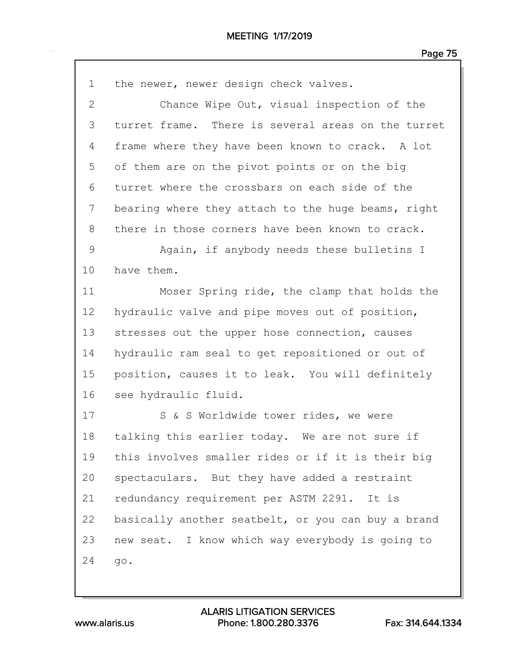| 1            | the newer, newer design check valves.              |
|--------------|----------------------------------------------------|
| $\mathbf{2}$ | Chance Wipe Out, visual inspection of the          |
| 3            | turret frame. There is several areas on the turret |
| 4            | frame where they have been known to crack. A lot   |
| 5            | of them are on the pivot points or on the big      |
| 6            | turret where the crossbars on each side of the     |
| 7            | bearing where they attach to the huge beams, right |
| 8            | there in those corners have been known to crack.   |
| 9            | Again, if anybody needs these bulletins I          |
| 10           | have them.                                         |
| 11           | Moser Spring ride, the clamp that holds the        |
| 12           | hydraulic valve and pipe moves out of position,    |
| 13           | stresses out the upper hose connection, causes     |
| 14           | hydraulic ram seal to get repositioned or out of   |
| 15           | position, causes it to leak. You will definitely   |
| 16           | see hydraulic fluid.                               |
| 17           | S & S Worldwide tower rides, we were               |
| 18           | talking this earlier today. We are not sure if     |
| 19           | this involves smaller rides or if it is their big  |
| 20           | spectaculars. But they have added a restraint      |
| 21           | redundancy requirement per ASTM 2291. It is        |
| 22           | basically another seatbelt, or you can buy a brand |
| 23           | new seat. I know which way everybody is going to   |
| 24           | go.                                                |
|              |                                                    |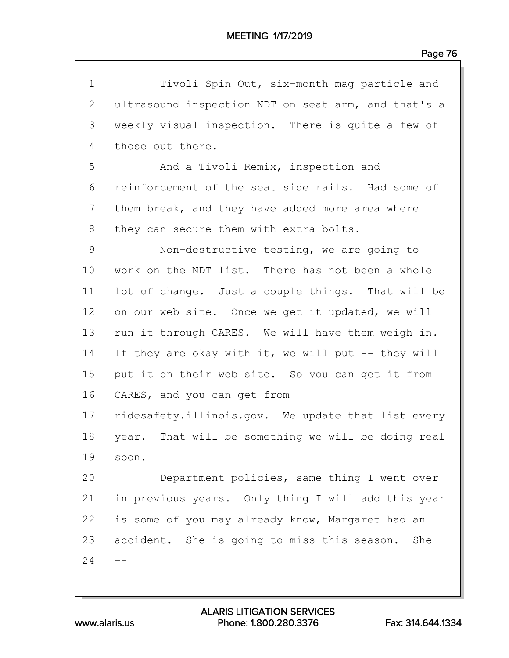| $\mathbf 1$ | Tivoli Spin Out, six-month mag particle and         |
|-------------|-----------------------------------------------------|
| 2           | ultrasound inspection NDT on seat arm, and that's a |
| 3           | weekly visual inspection. There is quite a few of   |
| 4           | those out there.                                    |
| 5           | And a Tivoli Remix, inspection and                  |
| 6           | reinforcement of the seat side rails. Had some of   |
| 7           | them break, and they have added more area where     |
| 8           | they can secure them with extra bolts.              |
| 9           | Non-destructive testing, we are going to            |
| 10          | work on the NDT list. There has not been a whole    |
| 11          | lot of change. Just a couple things. That will be   |
| 12          | on our web site. Once we get it updated, we will    |
| 13          | run it through CARES. We will have them weigh in.   |
| 14          | If they are okay with it, we will put -- they will  |
| 15          | put it on their web site. So you can get it from    |
| 16          | CARES, and you can get from                         |
| 17          | ridesafety.illinois.gov. We update that list every  |
| 18          | year. That will be something we will be doing real  |
| 19          | soon.                                               |
| 20          | Department policies, same thing I went over         |
| 21          | in previous years. Only thing I will add this year  |
| 22          | is some of you may already know, Margaret had an    |
| 23          | accident. She is going to miss this season.<br>She  |
| 24          |                                                     |
|             |                                                     |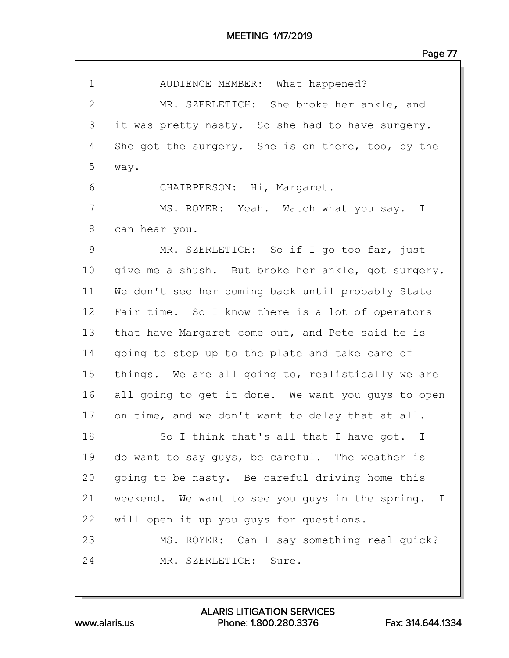| 1            | AUDIENCE MEMBER: What happened?                        |
|--------------|--------------------------------------------------------|
| $\mathbf{2}$ | MR. SZERLETICH: She broke her ankle, and               |
| 3            | it was pretty nasty. So she had to have surgery.       |
| 4            | She got the surgery. She is on there, too, by the      |
| 5            | way.                                                   |
| 6            | CHAIRPERSON: Hi, Margaret.                             |
| 7            | MS. ROYER: Yeah. Watch what you say. I                 |
| 8            | can hear you.                                          |
| 9            | MR. SZERLETICH: So if I go too far, just               |
| 10           | give me a shush. But broke her ankle, got surgery.     |
| 11           | We don't see her coming back until probably State      |
| 12           | Fair time. So I know there is a lot of operators       |
| 13           | that have Margaret come out, and Pete said he is       |
| 14           | going to step up to the plate and take care of         |
| 15           | things. We are all going to, realistically we are      |
| 16           | all going to get it done. We want you guys to open     |
| 17           | on time, and we don't want to delay that at all.       |
| 18           | So I think that's all that I have got.<br>$\mathbf{I}$ |
| 19           | do want to say quys, be careful. The weather is        |
| 20           | going to be nasty. Be careful driving home this        |
| 21           | weekend. We want to see you guys in the spring. I      |
| 22           | will open it up you guys for questions.                |
| 23           | MS. ROYER: Can I say something real quick?             |
| 24           | MR. SZERLETICH: Sure.                                  |
|              |                                                        |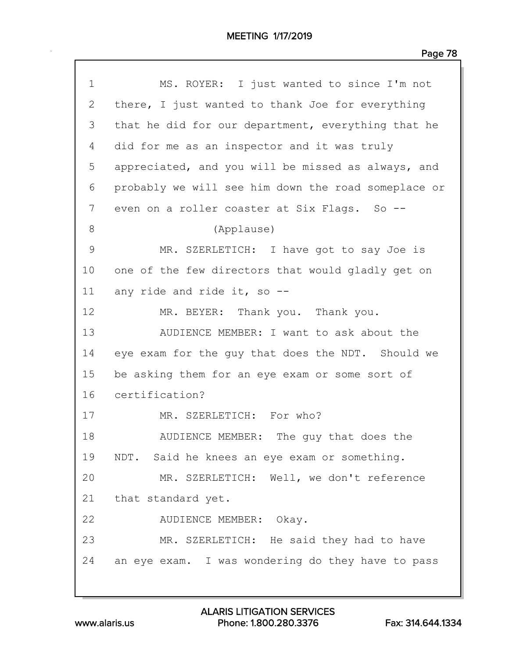| $\mathbf 1$  | MS. ROYER: I just wanted to since I'm not           |
|--------------|-----------------------------------------------------|
| $\mathbf{2}$ | there, I just wanted to thank Joe for everything    |
| 3            | that he did for our department, everything that he  |
| 4            | did for me as an inspector and it was truly         |
| 5            | appreciated, and you will be missed as always, and  |
| 6            | probably we will see him down the road someplace or |
| 7            | even on a roller coaster at Six Flags. So --        |
| 8            | (Applause)                                          |
| 9            | MR. SZERLETICH: I have got to say Joe is            |
| 10           | one of the few directors that would gladly get on   |
| 11           | any ride and ride it, so --                         |
| 12           | MR. BEYER: Thank you. Thank you.                    |
| 13           | AUDIENCE MEMBER: I want to ask about the            |
| 14           | eye exam for the guy that does the NDT. Should we   |
| 15           | be asking them for an eye exam or some sort of      |
| 16           | certification?                                      |
| 17           | MR. SZERLETICH: For who?                            |
| 18           | AUDIENCE MEMBER: The guy that does the              |
| 19           | NDT. Said he knees an eye exam or something.        |
| 20           | MR. SZERLETICH: Well, we don't reference            |
| 21           | that standard yet.                                  |
| 22           | AUDIENCE MEMBER: Okay.                              |
| 23           | MR. SZERLETICH: He said they had to have            |
| 24           | an eye exam. I was wondering do they have to pass   |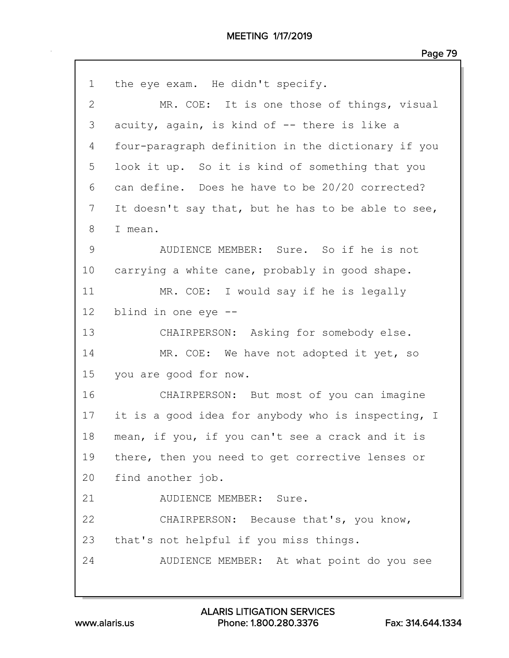| $\mathbf 1$  | the eye exam. He didn't specify.                   |
|--------------|----------------------------------------------------|
| $\mathbf{2}$ | MR. COE: It is one those of things, visual         |
| 3            | acuity, again, is kind of -- there is like a       |
| 4            | four-paragraph definition in the dictionary if you |
| 5            | look it up. So it is kind of something that you    |
| 6            | can define. Does he have to be 20/20 corrected?    |
| 7            | It doesn't say that, but he has to be able to see, |
| 8            | I mean.                                            |
| 9            | AUDIENCE MEMBER: Sure. So if he is not             |
| 10           | carrying a white cane, probably in good shape.     |
| 11           | MR. COE: I would say if he is legally              |
| 12           | blind in one eye --                                |
| 13           | CHAIRPERSON: Asking for somebody else.             |
| 14           | MR. COE: We have not adopted it yet, so            |
| 15           | you are good for now.                              |
| 16           | CHAIRPERSON: But most of you can imagine           |
| 17           | it is a good idea for anybody who is inspecting, I |
| 18           | mean, if you, if you can't see a crack and it is   |
| 19           | there, then you need to get corrective lenses or   |
| 20           | find another job.                                  |
| 21           | AUDIENCE MEMBER: Sure.                             |
| 22           | CHAIRPERSON: Because that's, you know,             |
| 23           | that's not helpful if you miss things.             |
| 24           | AUDIENCE MEMBER: At what point do you see          |
|              |                                                    |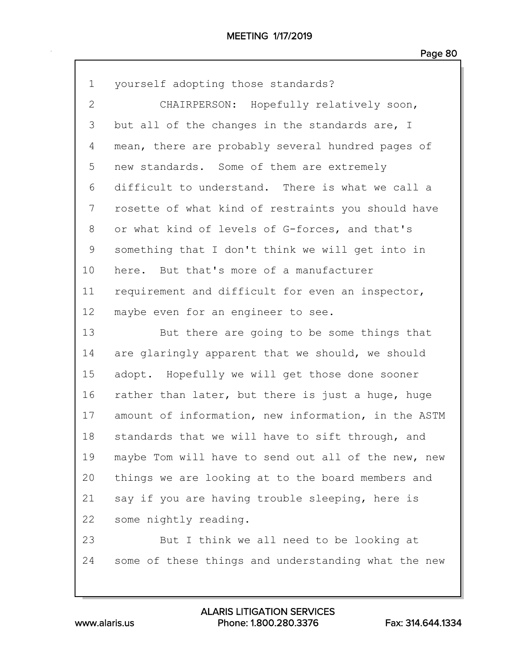| $\mathbf 1$  | yourself adopting those standards?                  |
|--------------|-----------------------------------------------------|
| $\mathbf{2}$ | CHAIRPERSON: Hopefully relatively soon,             |
| 3            | but all of the changes in the standards are, I      |
| 4            | mean, there are probably several hundred pages of   |
| 5            | new standards. Some of them are extremely           |
| 6            | difficult to understand. There is what we call a    |
| 7            | rosette of what kind of restraints you should have  |
| 8            | or what kind of levels of G-forces, and that's      |
| 9            | something that I don't think we will get into in    |
| 10           | here. But that's more of a manufacturer             |
| 11           | requirement and difficult for even an inspector,    |
| 12           | maybe even for an engineer to see.                  |
| 13           | But there are going to be some things that          |
| 14           | are glaringly apparent that we should, we should    |
| 15           | adopt. Hopefully we will get those done sooner      |
| 16           | rather than later, but there is just a huge, huge   |
| 17           | amount of information, new information, in the ASTM |
| 18           | standards that we will have to sift through, and    |
| 19           | maybe Tom will have to send out all of the new, new |
| 20           | things we are looking at to the board members and   |
| 21           | say if you are having trouble sleeping, here is     |
| 22           | some nightly reading.                               |
| 23           | But I think we all need to be looking at            |
| 24           | some of these things and understanding what the new |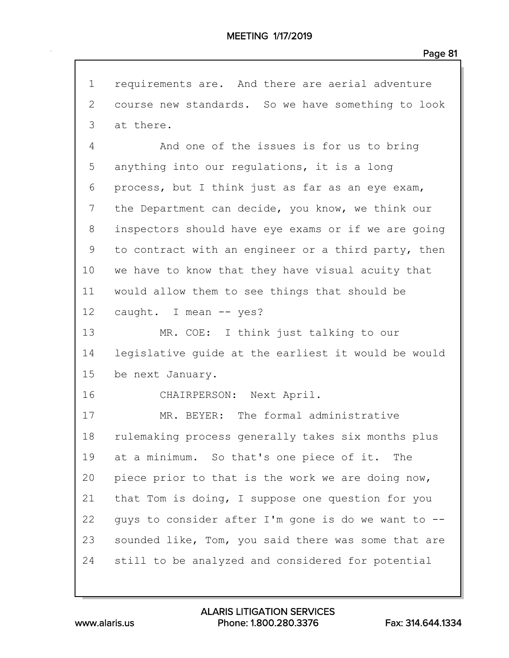1 requirements are. And there are aerial adventure 2 course new standards. So we have something to look 3 at there. 4 And one of the issues is for us to bring 5 anything into our regulations, it is a long 6 process, but I think just as far as an eye exam, 7 the Department can decide, you know, we think our 8 inspectors should have eye exams or if we are going 9 to contract with an engineer or a third party, then 10 we have to know that they have visual acuity that 11 would allow them to see things that should be 12 caught. I mean -- yes? 13 MR. COE: I think just talking to our 14 legislative guide at the earliest it would be would 15 be next January. 16 CHAIRPERSON: Next April. 17 MR. BEYER: The formal administrative 18 rulemaking process generally takes six months plus 19 at a minimum. So that's one piece of it. The 20 piece prior to that is the work we are doing now, 21 that Tom is doing, I suppose one question for you 22 guys to consider after I'm gone is do we want to -- 23 sounded like, Tom, you said there was some that are 24 still to be analyzed and considered for potential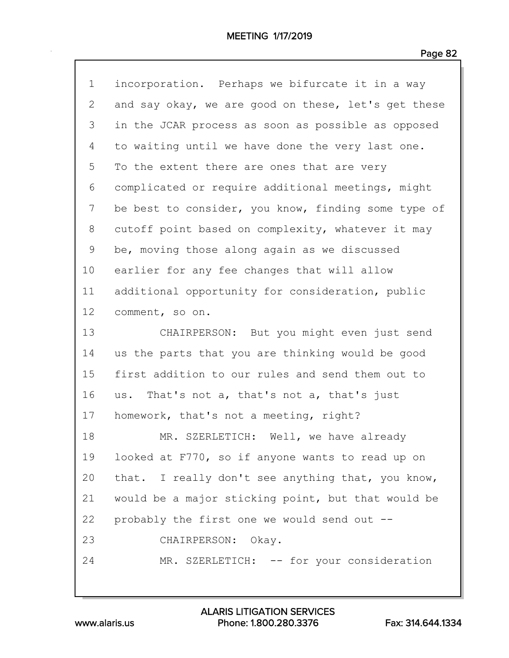| $\mathbf 1$  | incorporation. Perhaps we bifurcate it in a way     |
|--------------|-----------------------------------------------------|
| $\mathbf{2}$ | and say okay, we are good on these, let's get these |
| 3            | in the JCAR process as soon as possible as opposed  |
| 4            | to waiting until we have done the very last one.    |
| 5            | To the extent there are ones that are very          |
| 6            | complicated or require additional meetings, might   |
| 7            | be best to consider, you know, finding some type of |
| 8            | cutoff point based on complexity, whatever it may   |
| 9            | be, moving those along again as we discussed        |
| 10           | earlier for any fee changes that will allow         |
| 11           | additional opportunity for consideration, public    |
| 12           | comment, so on.                                     |
| 13           | CHAIRPERSON: But you might even just send           |
| 14           | us the parts that you are thinking would be good    |
| 15           | first addition to our rules and send them out to    |
| 16           | us. That's not a, that's not a, that's just         |
| 17           | homework, that's not a meeting, right?              |
| 18           | MR. SZERLETICH: Well, we have already               |
| 19           | looked at F770, so if anyone wants to read up on    |
| 20           | that. I really don't see anything that, you know,   |
| 21           | would be a major sticking point, but that would be  |
| 22           | probably the first one we would send out --         |
| 23           | CHAIRPERSON: Okay.                                  |
| 24           | MR. SZERLETICH: -- for your consideration           |
|              |                                                     |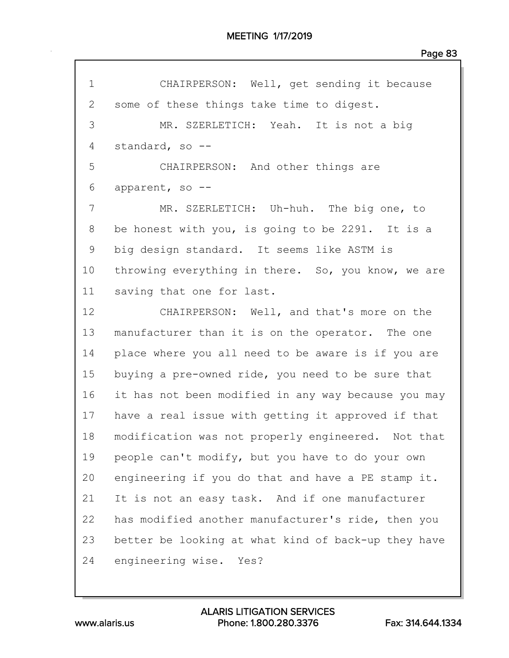| $\mathbf 1$ | CHAIRPERSON: Well, get sending it because           |
|-------------|-----------------------------------------------------|
| 2           | some of these things take time to digest.           |
| 3           | MR. SZERLETICH: Yeah. It is not a big               |
| 4           | standard, so --                                     |
| 5           | CHAIRPERSON: And other things are                   |
| 6           | apparent, so --                                     |
| 7           | MR. SZERLETICH: Uh-huh. The big one, to             |
| 8           | be honest with you, is going to be 2291. It is a    |
| $\mathsf 9$ | big design standard. It seems like ASTM is          |
| 10          | throwing everything in there. So, you know, we are  |
| 11          | saving that one for last.                           |
| 12          | CHAIRPERSON: Well, and that's more on the           |
| 13          | manufacturer than it is on the operator. The one    |
| 14          | place where you all need to be aware is if you are  |
| 15          | buying a pre-owned ride, you need to be sure that   |
| 16          | it has not been modified in any way because you may |
| 17          | have a real issue with getting it approved if that  |
| 18          | modification was not properly engineered. Not that  |
| 19          | people can't modify, but you have to do your own    |
| 20          | engineering if you do that and have a PE stamp it.  |
| 21          | It is not an easy task. And if one manufacturer     |
| 22          | has modified another manufacturer's ride, then you  |
| 23          | better be looking at what kind of back-up they have |
| 24          | engineering wise. Yes?                              |
|             |                                                     |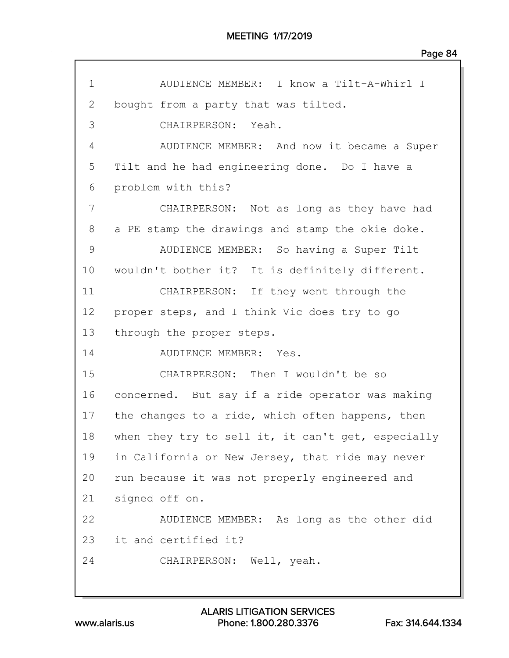| $\mathbf 1$     | AUDIENCE MEMBER: I know a Tilt-A-Whirl I           |
|-----------------|----------------------------------------------------|
| 2               | bought from a party that was tilted.               |
| 3               | CHAIRPERSON: Yeah.                                 |
| 4               | AUDIENCE MEMBER: And now it became a Super         |
| 5               | Tilt and he had engineering done. Do I have a      |
| 6               | problem with this?                                 |
| 7               | CHAIRPERSON: Not as long as they have had          |
| 8               | a PE stamp the drawings and stamp the okie doke.   |
| 9               | AUDIENCE MEMBER: So having a Super Tilt            |
| 10              | wouldn't bother it? It is definitely different.    |
| 11              | CHAIRPERSON: If they went through the              |
| 12 <sup>°</sup> | proper steps, and I think Vic does try to go       |
| 13              | through the proper steps.                          |
| 14              | AUDIENCE MEMBER: Yes.                              |
| 15              | CHAIRPERSON: Then I wouldn't be so                 |
| 16              | concerned. But say if a ride operator was making   |
| 17              | the changes to a ride, which often happens, then   |
| 18              | when they try to sell it, it can't get, especially |
| 19              | in California or New Jersey, that ride may never   |
| 20              | run because it was not properly engineered and     |
| 21              | signed off on.                                     |
| 22              | AUDIENCE MEMBER: As long as the other did          |
| 23              | it and certified it?                               |
| 24              | CHAIRPERSON: Well, yeah.                           |
|                 |                                                    |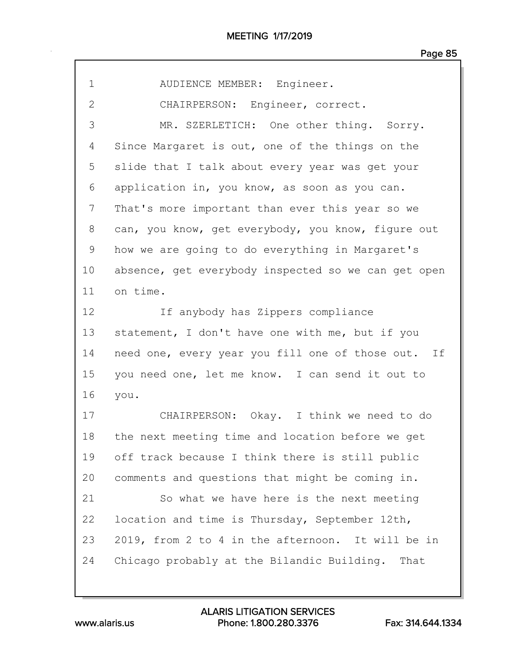| 1              | AUDIENCE MEMBER: Engineer.                          |
|----------------|-----------------------------------------------------|
| $\overline{2}$ | CHAIRPERSON: Engineer, correct.                     |
| 3              | MR. SZERLETICH: One other thing. Sorry.             |
| 4              | Since Margaret is out, one of the things on the     |
| 5              | slide that I talk about every year was get your     |
| 6              | application in, you know, as soon as you can.       |
| 7              | That's more important than ever this year so we     |
| 8              | can, you know, get everybody, you know, figure out  |
| 9              | how we are going to do everything in Margaret's     |
| 10             | absence, get everybody inspected so we can get open |
| 11             | on time.                                            |
| 12             | If anybody has Zippers compliance                   |
| 13             | statement, I don't have one with me, but if you     |
| 14             | need one, every year you fill one of those out. If  |
| 15             | you need one, let me know. I can send it out to     |
| 16             | you.                                                |
| 17             | CHAIRPERSON: Okay. I think we need to do            |
| 18             | the next meeting time and location before we get    |
| 19             | off track because I think there is still public     |
| 20             | comments and questions that might be coming in.     |
| 21             | So what we have here is the next meeting            |
| 22             | location and time is Thursday, September 12th,      |
| 23             | 2019, from 2 to 4 in the afternoon. It will be in   |
| 24             | Chicago probably at the Bilandic Building. That     |
|                |                                                     |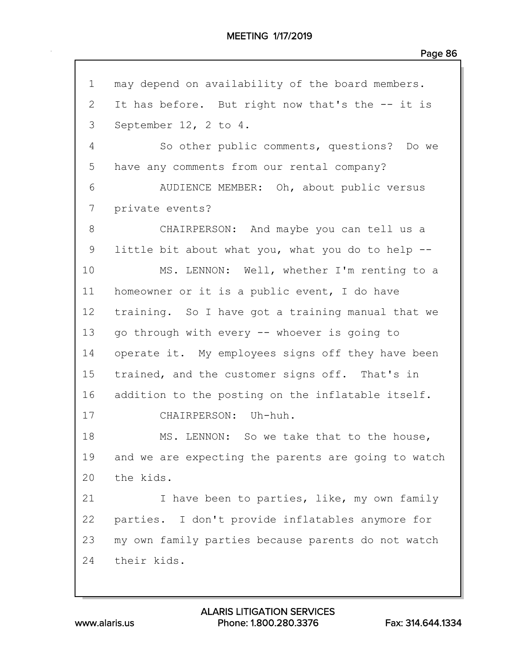| $\mathbf 1$  | may depend on availability of the board members.    |
|--------------|-----------------------------------------------------|
| $\mathbf{2}$ | It has before. But right now that's the -- it is    |
| 3            | September 12, 2 to 4.                               |
| 4            | So other public comments, questions? Do we          |
| 5            | have any comments from our rental company?          |
| 6            | AUDIENCE MEMBER: Oh, about public versus            |
| 7            | private events?                                     |
| 8            | CHAIRPERSON: And maybe you can tell us a            |
| 9            | little bit about what you, what you do to help --   |
| 10           | MS. LENNON: Well, whether I'm renting to a          |
| 11           | homeowner or it is a public event, I do have        |
| 12           | training. So I have got a training manual that we   |
| 13           | go through with every -- whoever is going to        |
| 14           | operate it. My employees signs off they have been   |
| 15           | trained, and the customer signs off. That's in      |
| 16           | addition to the posting on the inflatable itself.   |
| 17           | CHAIRPERSON: Uh-huh.                                |
| 18           | MS. LENNON: So we take that to the house,           |
| 19           | and we are expecting the parents are going to watch |
| 20           | the kids.                                           |
| 21           | I have been to parties, like, my own family         |
| 22           | parties. I don't provide inflatables anymore for    |
| 23           | my own family parties because parents do not watch  |
| 24           | their kids.                                         |
|              |                                                     |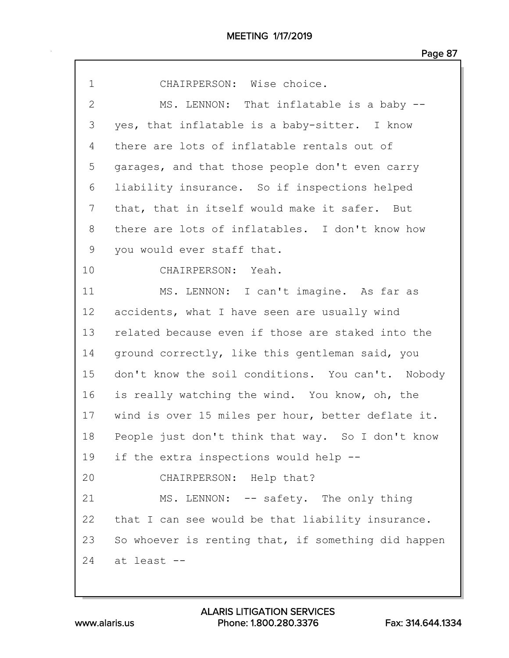| $\mathbf 1$    | CHAIRPERSON: Wise choice.                           |
|----------------|-----------------------------------------------------|
| $\overline{2}$ | MS. LENNON: That inflatable is a baby --            |
| 3              | yes, that inflatable is a baby-sitter. I know       |
| 4              | there are lots of inflatable rentals out of         |
| 5              | garages, and that those people don't even carry     |
| 6              | liability insurance. So if inspections helped       |
| 7              | that, that in itself would make it safer. But       |
| 8              | there are lots of inflatables. I don't know how     |
| 9              | you would ever staff that.                          |
| 10             | CHAIRPERSON: Yeah.                                  |
| 11             | MS. LENNON: I can't imagine. As far as              |
| 12             | accidents, what I have seen are usually wind        |
| 13             | related because even if those are staked into the   |
| 14             | ground correctly, like this gentleman said, you     |
| 15             | don't know the soil conditions. You can't. Nobody   |
| 16             | is really watching the wind. You know, oh, the      |
| 17             | wind is over 15 miles per hour, better deflate it.  |
| 18             | People just don't think that way. So I don't know   |
| 19             | if the extra inspections would help --              |
| 20             | CHAIRPERSON: Help that?                             |
| 21             | MS. LENNON: -- safety. The only thing               |
| 22             | that I can see would be that liability insurance.   |
| 23             | So whoever is renting that, if something did happen |
| 24             | at least --                                         |
|                |                                                     |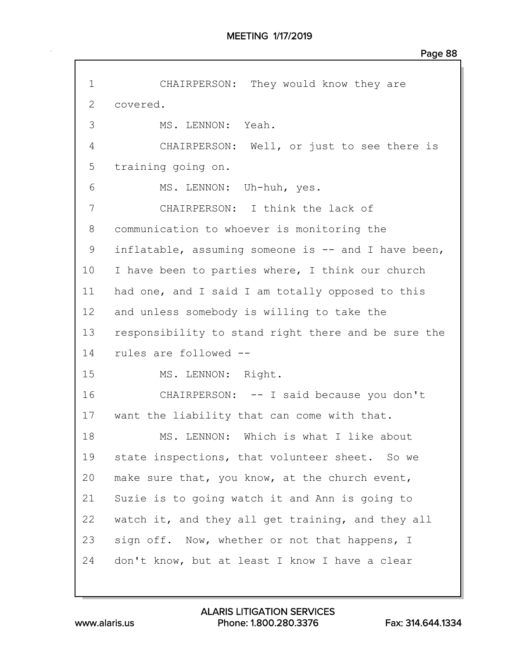| $\mathbf 1$  | CHAIRPERSON: They would know they are               |
|--------------|-----------------------------------------------------|
| $\mathbf{2}$ | covered.                                            |
| 3            | MS. LENNON: Yeah.                                   |
| 4            | CHAIRPERSON: Well, or just to see there is          |
| 5            | training going on.                                  |
| 6            | MS. LENNON: Uh-huh, yes.                            |
| 7            | CHAIRPERSON: I think the lack of                    |
| 8            | communication to whoever is monitoring the          |
| 9            | inflatable, assuming someone is -- and I have been, |
| 10           | I have been to parties where, I think our church    |
| 11           | had one, and I said I am totally opposed to this    |
| 12           | and unless somebody is willing to take the          |
| 13           | responsibility to stand right there and be sure the |
| 14           | rules are followed --                               |
| 15           | MS. LENNON: Right.                                  |
| 16           | CHAIRPERSON: -- I said because you don't            |
| 17           | want the liability that can come with that.         |
| 18           | MS. LENNON: Which is what I like about              |
| 19           | state inspections, that volunteer sheet. So we      |
| 20           | make sure that, you know, at the church event,      |
| 21           | Suzie is to going watch it and Ann is going to      |
| 22           | watch it, and they all get training, and they all   |
| 23           | sign off. Now, whether or not that happens, I       |
| 24           | don't know, but at least I know I have a clear      |
|              |                                                     |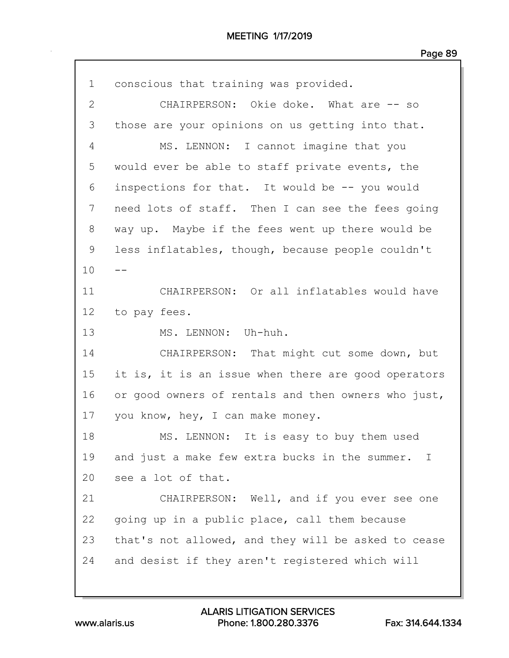| $\mathbf 1$  | conscious that training was provided.                          |
|--------------|----------------------------------------------------------------|
| $\mathbf{2}$ | CHAIRPERSON: Okie doke. What are -- so                         |
| 3            | those are your opinions on us getting into that.               |
| 4            | MS. LENNON: I cannot imagine that you                          |
| 5            | would ever be able to staff private events, the                |
| 6            | inspections for that. It would be -- you would                 |
| 7            | need lots of staff. Then I can see the fees going              |
| 8            | way up. Maybe if the fees went up there would be               |
| 9            | less inflatables, though, because people couldn't              |
| 10           |                                                                |
| 11           | CHAIRPERSON: Or all inflatables would have                     |
| 12           | to pay fees.                                                   |
| 13           | MS. LENNON: Uh-huh.                                            |
| 14           | CHAIRPERSON: That might cut some down, but                     |
| 15           | it is, it is an issue when there are good operators            |
| 16           | or good owners of rentals and then owners who just,            |
| 17           | you know, hey, I can make money.                               |
| 18           | MS. LENNON: It is easy to buy them used                        |
| 19           | and just a make few extra bucks in the summer.<br>$\mathbf{I}$ |
| 20           | see a lot of that.                                             |
| 21           | CHAIRPERSON: Well, and if you ever see one                     |
| 22           | going up in a public place, call them because                  |
| 23           | that's not allowed, and they will be asked to cease            |
| 24           | and desist if they aren't registered which will                |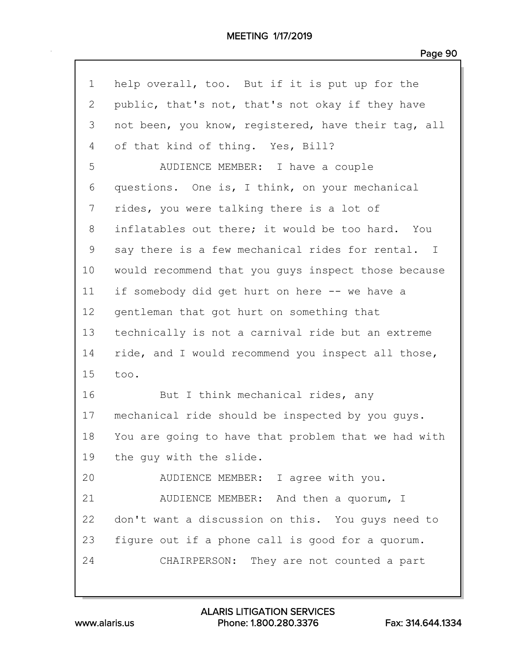## MEETING 1/17/2019

| 1            | help overall, too. But if it is put up for the      |
|--------------|-----------------------------------------------------|
| $\mathbf{2}$ | public, that's not, that's not okay if they have    |
| 3            | not been, you know, registered, have their tag, all |
| 4            | of that kind of thing. Yes, Bill?                   |
| 5            | AUDIENCE MEMBER: I have a couple                    |
| 6            | questions. One is, I think, on your mechanical      |
| 7            | rides, you were talking there is a lot of           |
| 8            | inflatables out there; it would be too hard. You    |
| 9            | say there is a few mechanical rides for rental. I   |
| 10           | would recommend that you guys inspect those because |
| 11           | if somebody did get hurt on here -- we have a       |
| 12           | gentleman that got hurt on something that           |
| 13           | technically is not a carnival ride but an extreme   |
| 14           | ride, and I would recommend you inspect all those,  |
| 15           | too.                                                |
| 16           | But I think mechanical rides, any                   |
| 17           | mechanical ride should be inspected by you guys.    |
| 18           | You are going to have that problem that we had with |
| 19           | the guy with the slide.                             |
| 20           | AUDIENCE MEMBER: I agree with you.                  |
| 21           | AUDIENCE MEMBER: And then a quorum, I               |
| 22           | don't want a discussion on this. You guys need to   |
| 23           | figure out if a phone call is good for a quorum.    |
| 24           | CHAIRPERSON: They are not counted a part            |
|              |                                                     |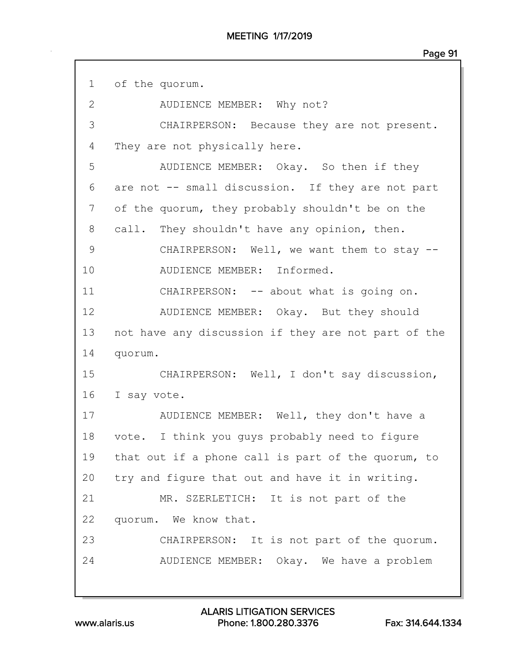| $1 \quad$      | of the quorum.                                      |
|----------------|-----------------------------------------------------|
| $\overline{2}$ | AUDIENCE MEMBER: Why not?                           |
| 3              | CHAIRPERSON: Because they are not present.          |
| 4              | They are not physically here.                       |
| 5              | AUDIENCE MEMBER: Okay. So then if they              |
| 6              | are not -- small discussion. If they are not part   |
| 7              | of the quorum, they probably shouldn't be on the    |
| 8              | call. They shouldn't have any opinion, then.        |
| 9              | CHAIRPERSON: Well, we want them to stay --          |
| 10             | AUDIENCE MEMBER: Informed.                          |
| 11             | CHAIRPERSON: -- about what is going on.             |
| 12             | AUDIENCE MEMBER: Okay. But they should              |
| 13             | not have any discussion if they are not part of the |
| 14             | quorum.                                             |
| 15             | CHAIRPERSON: Well, I don't say discussion,          |
| 16             | I say vote.                                         |
| 17             | AUDIENCE MEMBER: Well, they don't have a            |
| 18             | vote. I think you guys probably need to figure      |
| 19             | that out if a phone call is part of the quorum, to  |
| 20             | try and figure that out and have it in writing.     |
| 21             | MR. SZERLETICH: It is not part of the               |
| 22             | quorum. We know that.                               |
| 23             | CHAIRPERSON: It is not part of the quorum.          |
| 24             | AUDIENCE MEMBER: Okay. We have a problem            |
|                |                                                     |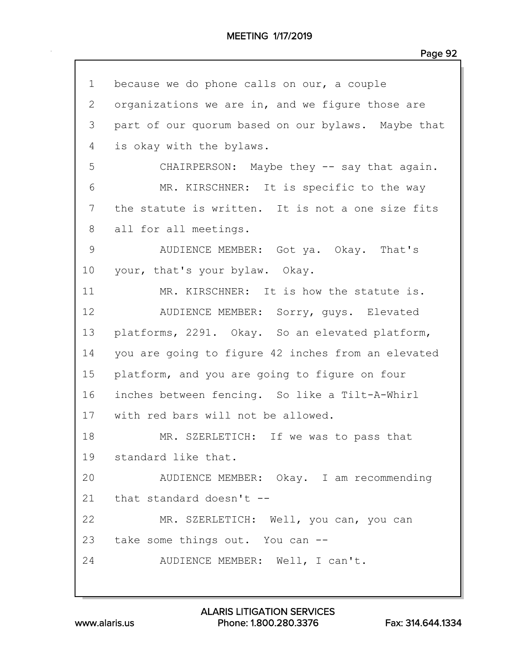| $\mathbf 1$  | because we do phone calls on our, a couple         |
|--------------|----------------------------------------------------|
| $\mathbf{2}$ | organizations we are in, and we figure those are   |
| 3            | part of our quorum based on our bylaws. Maybe that |
| 4            | is okay with the bylaws.                           |
| 5            | CHAIRPERSON: Maybe they -- say that again.         |
| 6            | MR. KIRSCHNER: It is specific to the way           |
| 7            | the statute is written. It is not a one size fits  |
| 8            | all for all meetings.                              |
| 9            | AUDIENCE MEMBER: Got ya. Okay. That's              |
| 10           | your, that's your bylaw. Okay.                     |
| 11           | MR. KIRSCHNER: It is how the statute is.           |
| 12           | AUDIENCE MEMBER: Sorry, guys. Elevated             |
| 13           | platforms, 2291. Okay. So an elevated platform,    |
| 14           | you are going to figure 42 inches from an elevated |
| 15           | platform, and you are going to figure on four      |
| 16           | inches between fencing. So like a Tilt-A-Whirl     |
| 17           | with red bars will not be allowed.                 |
| 18           | MR. SZERLETICH: If we was to pass that             |
|              | 19 standard like that.                             |
| 20           | AUDIENCE MEMBER: Okay. I am recommending           |
|              | 21 that standard doesn't --                        |
| 22           | MR. SZERLETICH: Well, you can, you can             |
|              | 23 take some things out. You can --                |
| 24           | AUDIENCE MEMBER: Well, I can't.                    |
|              |                                                    |

www.alaris.us Phone: 1.800.280.3376 Fax: 314.644.1334 ALARIS LITIGATION SERVICES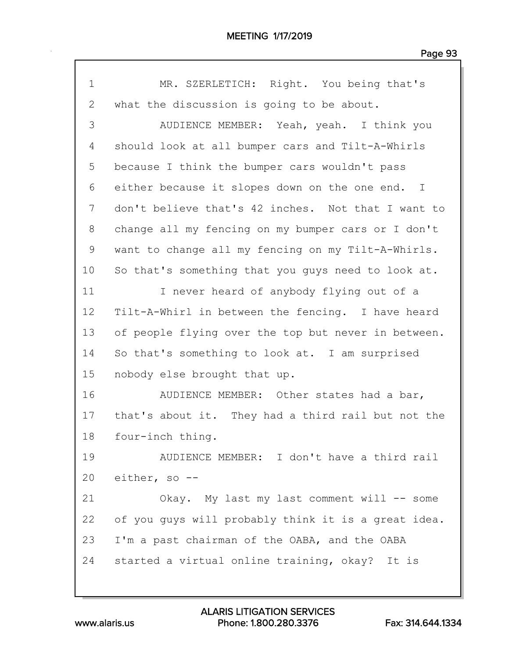| $\mathbf 1$    | MR. SZERLETICH: Right. You being that's             |
|----------------|-----------------------------------------------------|
| $\overline{2}$ | what the discussion is going to be about.           |
| 3              | AUDIENCE MEMBER: Yeah, yeah. I think you            |
| 4              | should look at all bumper cars and Tilt-A-Whirls    |
| 5              | because I think the bumper cars wouldn't pass       |
| 6              | either because it slopes down on the one end. I     |
| 7              | don't believe that's 42 inches. Not that I want to  |
| 8              | change all my fencing on my bumper cars or I don't  |
| 9              | want to change all my fencing on my Tilt-A-Whirls.  |
| 10             | So that's something that you guys need to look at.  |
| 11             | I never heard of anybody flying out of a            |
| 12             | Tilt-A-Whirl in between the fencing. I have heard   |
| 13             | of people flying over the top but never in between. |
| 14             | So that's something to look at. I am surprised      |
| 15             | nobody else brought that up.                        |
| 16             | AUDIENCE MEMBER: Other states had a bar,            |
| 17             | that's about it. They had a third rail but not the  |
| 18             | four-inch thing.                                    |
| 19             | AUDIENCE MEMBER: I don't have a third rail          |
| 20             | either, so --                                       |
| 21             | Okay. My last my last comment will -- some          |
| 22             | of you quys will probably think it is a great idea. |
| 23             | I'm a past chairman of the OABA, and the OABA       |
| 24             | started a virtual online training, okay? It is      |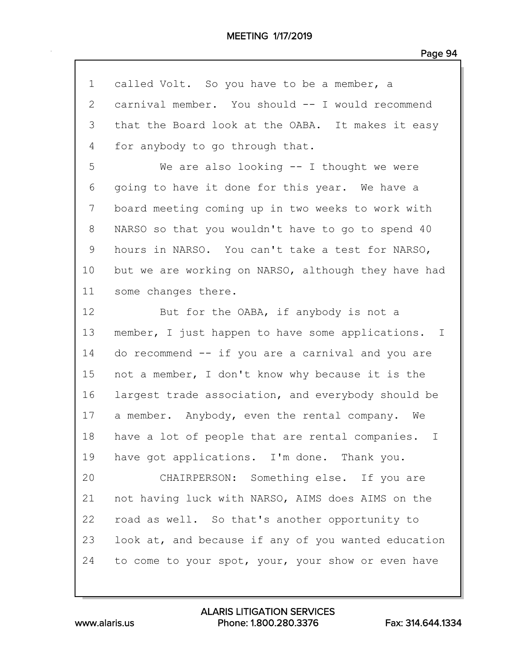| $\mathbf 1$ | called Volt. So you have to be a member, a          |
|-------------|-----------------------------------------------------|
| 2           | carnival member. You should -- I would recommend    |
| 3           | that the Board look at the OABA. It makes it easy   |
| 4           | for anybody to go through that.                     |
| 5           | We are also looking $--$ I thought we were          |
| 6           | going to have it done for this year. We have a      |
| 7           | board meeting coming up in two weeks to work with   |
| 8           | NARSO so that you wouldn't have to go to spend 40   |
| 9           | hours in NARSO. You can't take a test for NARSO,    |
| 10          | but we are working on NARSO, although they have had |
| 11          | some changes there.                                 |
| 12          | But for the OABA, if anybody is not a               |
| 13          | member, I just happen to have some applications. I  |
| 14          | do recommend -- if you are a carnival and you are   |
| 15          | not a member, I don't know why because it is the    |
| 16          | largest trade association, and everybody should be  |
| 17          | a member. Anybody, even the rental company. We      |
| 18          | have a lot of people that are rental companies. I   |
| 19          | have got applications. I'm done. Thank you.         |
| 20          | CHAIRPERSON: Something else. If you are             |
| 21          | not having luck with NARSO, AIMS does AIMS on the   |
| 22          | road as well. So that's another opportunity to      |
| 23          | look at, and because if any of you wanted education |
| 24          | to come to your spot, your, your show or even have  |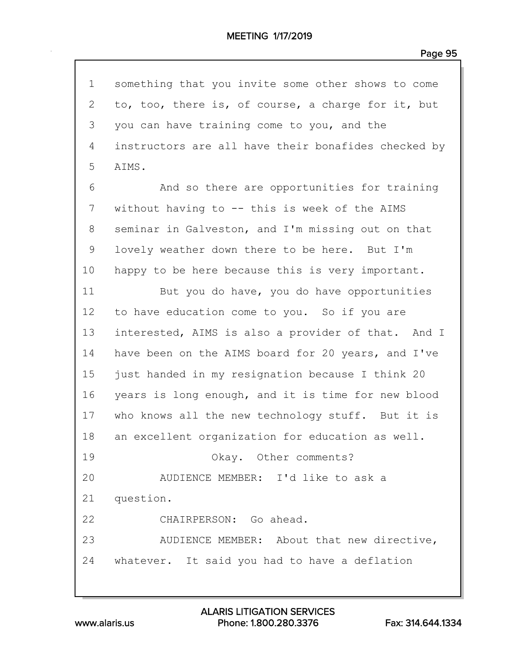| $\mathbf 1$ | something that you invite some other shows to come  |
|-------------|-----------------------------------------------------|
| 2           | to, too, there is, of course, a charge for it, but  |
| 3           | you can have training come to you, and the          |
| 4           | instructors are all have their bonafides checked by |
| 5           | AIMS.                                               |
| 6           | And so there are opportunities for training         |
| 7           | without having to -- this is week of the AIMS       |
| 8           | seminar in Galveston, and I'm missing out on that   |
| 9           | lovely weather down there to be here. But I'm       |
| 10          | happy to be here because this is very important.    |
| 11          | But you do have, you do have opportunities          |
| 12          | to have education come to you. So if you are        |
| 13          | interested, AIMS is also a provider of that. And I  |
| 14          | have been on the AIMS board for 20 years, and I've  |
| 15          | just handed in my resignation because I think 20    |
| 16          | years is long enough, and it is time for new blood  |
| 17          | who knows all the new technology stuff. But it is   |
| 18          | an excellent organization for education as well.    |
| 19          | Okay. Other comments?                               |
| 20          | AUDIENCE MEMBER: I'd like to ask a                  |
| 21          | question.                                           |
| 22          | CHAIRPERSON: Go ahead.                              |
| 23          | AUDIENCE MEMBER: About that new directive,          |
|             | 24 whatever. It said you had to have a deflation    |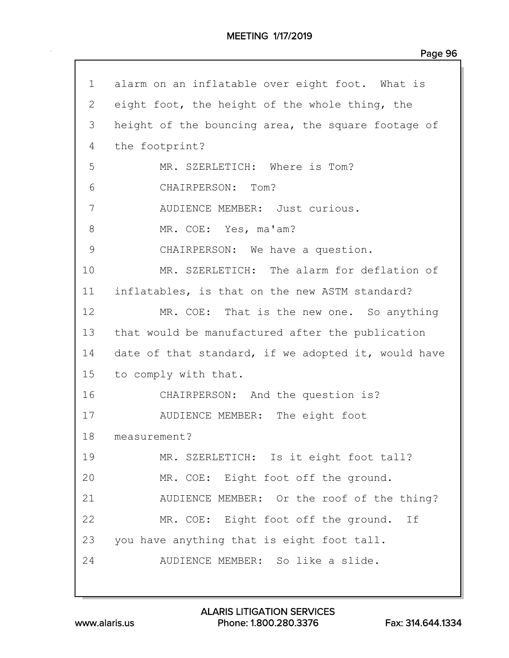## MEETING 1/17/2019

| $\mathbf{1}$ | alarm on an inflatable over eight foot. What is     |
|--------------|-----------------------------------------------------|
| 2            | eight foot, the height of the whole thing, the      |
| 3            | height of the bouncing area, the square footage of  |
| 4            | the footprint?                                      |
| 5            | MR. SZERLETICH: Where is Tom?                       |
| 6            | CHAIRPERSON: Tom?                                   |
| 7            | AUDIENCE MEMBER: Just curious.                      |
| 8            | MR. COE: Yes, ma'am?                                |
| 9            | CHAIRPERSON: We have a question.                    |
| 10           | MR. SZERLETICH: The alarm for deflation of          |
| 11           | inflatables, is that on the new ASTM standard?      |
| 12           | MR. COE: That is the new one. So anything           |
| 13           | that would be manufactured after the publication    |
| 14           | date of that standard, if we adopted it, would have |
| 15           | to comply with that.                                |
| 16           | CHAIRPERSON: And the question is?                   |
| 17           | AUDIENCE MEMBER: The eight foot                     |
| 18           | measurement?                                        |
| 19           | MR. SZERLETICH: Is it eight foot tall?              |
| 20           | MR. COE: Eight foot off the ground.                 |
| 21           | AUDIENCE MEMBER: Or the roof of the thing?          |
| 22           | MR. COE: Eight foot off the ground. If              |
| 23           | you have anything that is eight foot tall.          |
| 24           | AUDIENCE MEMBER: So like a slide.                   |
|              |                                                     |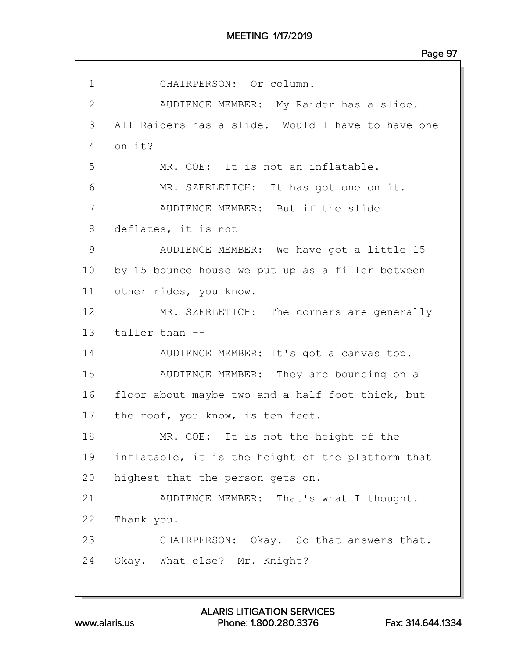| $\mathbf 1$     | CHAIRPERSON: Or column.                           |
|-----------------|---------------------------------------------------|
| $\mathbf{2}$    | AUDIENCE MEMBER: My Raider has a slide.           |
| 3               | All Raiders has a slide. Would I have to have one |
| 4               | on it?                                            |
| 5               | MR. COE: It is not an inflatable.                 |
| 6               | MR. SZERLETICH: It has got one on it.             |
| 7               | AUDIENCE MEMBER: But if the slide                 |
| 8               | deflates, it is not --                            |
| 9               | AUDIENCE MEMBER: We have got a little 15          |
| 10              | by 15 bounce house we put up as a filler between  |
| 11              | other rides, you know.                            |
| 12 <sup>°</sup> | MR. SZERLETICH: The corners are generally         |
| 13              | taller than --                                    |
| 14              | AUDIENCE MEMBER: It's got a canvas top.           |
| 15              | AUDIENCE MEMBER: They are bouncing on a           |
| 16              | floor about maybe two and a half foot thick, but  |
| 17              | the roof, you know, is ten feet.                  |
| 18              | MR. COE: It is not the height of the              |
| 19              | inflatable, it is the height of the platform that |
| 20              | highest that the person gets on.                  |
| 21              | AUDIENCE MEMBER: That's what I thought.           |
| 22              | Thank you.                                        |
| 23              | CHAIRPERSON: Okay. So that answers that.          |
| 24              | Okay. What else? Mr. Knight?                      |
|                 |                                                   |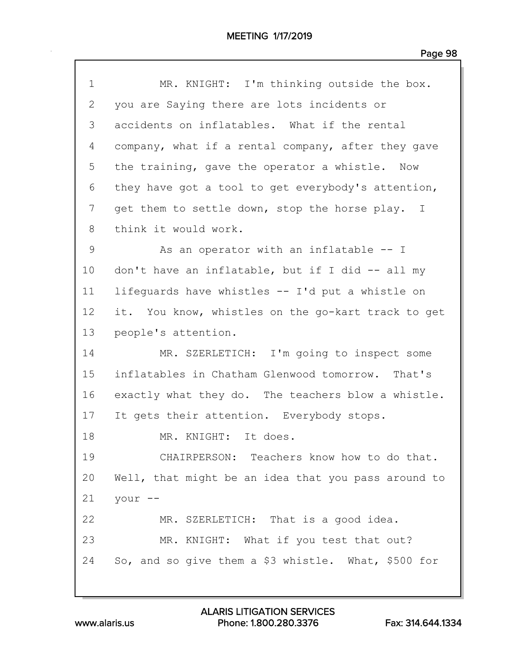| $\mathbf 1$  | MR. KNIGHT: I'm thinking outside the box.           |
|--------------|-----------------------------------------------------|
| $\mathbf{2}$ | you are Saying there are lots incidents or          |
| 3            | accidents on inflatables. What if the rental        |
| 4            | company, what if a rental company, after they gave  |
| 5            | the training, gave the operator a whistle. Now      |
| 6            | they have got a tool to get everybody's attention,  |
| 7            | get them to settle down, stop the horse play. I     |
| 8            | think it would work.                                |
| 9            | As an operator with an inflatable -- I              |
| 10           | don't have an inflatable, but if I did -- all my    |
| 11           | lifequards have whistles -- I'd put a whistle on    |
| 12           | it. You know, whistles on the go-kart track to get  |
| 13           | people's attention.                                 |
| 14           | MR. SZERLETICH: I'm going to inspect some           |
| 15           | inflatables in Chatham Glenwood tomorrow. That's    |
| 16           | exactly what they do. The teachers blow a whistle.  |
| 17           | It gets their attention. Everybody stops.           |
| 18           | MR. KNIGHT: It does.                                |
| 19           | CHAIRPERSON: Teachers know how to do that.          |
| 20           | Well, that might be an idea that you pass around to |
| 21           | your --                                             |
| 22           | MR. SZERLETICH: That is a good idea.                |
| 23           | MR. KNIGHT: What if you test that out?              |
| 24           | So, and so give them a \$3 whistle. What, \$500 for |
|              |                                                     |

www.alaris.us Phone: 1.800.280.3376 Fax: 314.644.1334 ALARIS LITIGATION SERVICES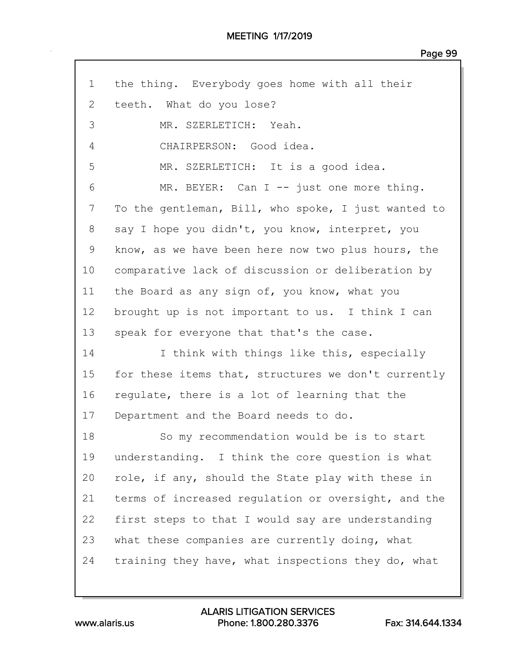| $\mathbf 1$  | the thing. Everybody goes home with all their       |  |  |  |  |  |
|--------------|-----------------------------------------------------|--|--|--|--|--|
| $\mathbf{2}$ | teeth. What do you lose?                            |  |  |  |  |  |
| 3            | MR. SZERLETICH: Yeah.                               |  |  |  |  |  |
| 4            | CHAIRPERSON: Good idea.                             |  |  |  |  |  |
| 5            | MR. SZERLETICH: It is a good idea.                  |  |  |  |  |  |
| 6            | MR. BEYER: Can I -- just one more thing.            |  |  |  |  |  |
| 7            | To the gentleman, Bill, who spoke, I just wanted to |  |  |  |  |  |
| 8            | say I hope you didn't, you know, interpret, you     |  |  |  |  |  |
| 9            | know, as we have been here now two plus hours, the  |  |  |  |  |  |
| 10           | comparative lack of discussion or deliberation by   |  |  |  |  |  |
| 11           | the Board as any sign of, you know, what you        |  |  |  |  |  |
| 12           | brought up is not important to us. I think I can    |  |  |  |  |  |
| 13           | speak for everyone that that's the case.            |  |  |  |  |  |
| 14           | I think with things like this, especially           |  |  |  |  |  |
| 15           | for these items that, structures we don't currently |  |  |  |  |  |
| 16           | regulate, there is a lot of learning that the       |  |  |  |  |  |
| 17           | Department and the Board needs to do.               |  |  |  |  |  |
| 18           | So my recommendation would be is to start           |  |  |  |  |  |
| 19           | understanding. I think the core question is what    |  |  |  |  |  |
| 20           | role, if any, should the State play with these in   |  |  |  |  |  |
| 21           | terms of increased regulation or oversight, and the |  |  |  |  |  |
| 22           | first steps to that I would say are understanding   |  |  |  |  |  |
| 23           | what these companies are currently doing, what      |  |  |  |  |  |
| 24           | training they have, what inspections they do, what  |  |  |  |  |  |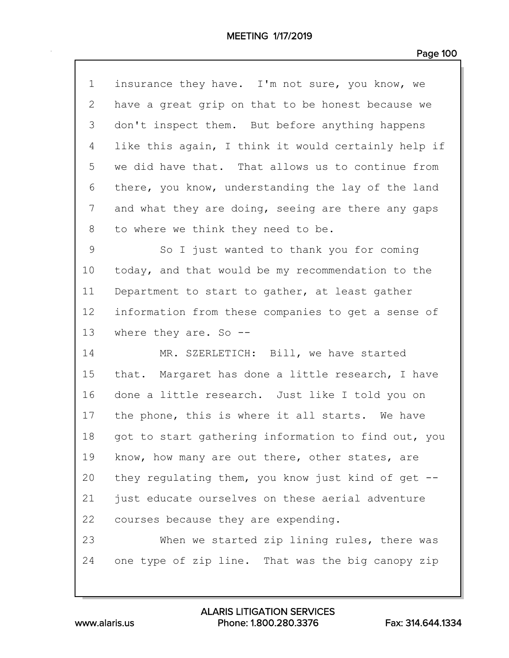| $\mathbf 1$   | insurance they have. I'm not sure, you know, we     |
|---------------|-----------------------------------------------------|
| 2             | have a great grip on that to be honest because we   |
| 3             | don't inspect them. But before anything happens     |
| 4             | like this again, I think it would certainly help if |
| 5             | we did have that. That allows us to continue from   |
| 6             | there, you know, understanding the lay of the land  |
| 7             | and what they are doing, seeing are there any gaps  |
| 8             | to where we think they need to be.                  |
| $\mathcal{G}$ | So I just wanted to thank you for coming            |
| 10            | today, and that would be my recommendation to the   |
| 11            | Department to start to gather, at least gather      |
| 12            | information from these companies to get a sense of  |
| 13            | where they are. So $-$ -                            |
| 14            | MR. SZERLETICH: Bill, we have started               |
| 15            | that. Margaret has done a little research, I have   |
| 16            | done a little research. Just like I told you on     |
| 17            | the phone, this is where it all starts. We have     |
| 18            | got to start gathering information to find out, you |
| 19            | know, how many are out there, other states, are     |
| 20            | they regulating them, you know just kind of get --  |
| 21            | just educate ourselves on these aerial adventure    |
| 22            | courses because they are expending.                 |
| 23            | When we started zip lining rules, there was         |
| 24            | one type of zip line. That was the big canopy zip   |
|               |                                                     |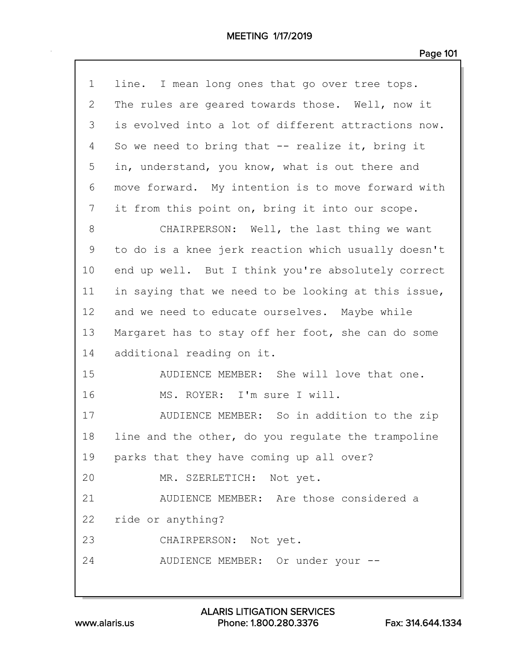| $\mathbf 1$ | line. I mean long ones that go over tree tops.      |
|-------------|-----------------------------------------------------|
| 2           | The rules are geared towards those. Well, now it    |
| 3           | is evolved into a lot of different attractions now. |
| 4           | So we need to bring that $-$ realize it, bring it   |
| 5           | in, understand, you know, what is out there and     |
| 6           | move forward. My intention is to move forward with  |
| 7           | it from this point on, bring it into our scope.     |
| 8           | CHAIRPERSON: Well, the last thing we want           |
| 9           | to do is a knee jerk reaction which usually doesn't |
| 10          | end up well. But I think you're absolutely correct  |
| 11          | in saying that we need to be looking at this issue, |
| 12          | and we need to educate ourselves. Maybe while       |
| 13          | Margaret has to stay off her foot, she can do some  |
| 14          | additional reading on it.                           |
| 15          | AUDIENCE MEMBER: She will love that one.            |
| 16          | MS. ROYER: I'm sure I will.                         |
| 17          | AUDIENCE MEMBER: So in addition to the zip          |
| 18          | line and the other, do you regulate the trampoline  |
|             | 19 parks that they have coming up all over?         |
| 20          | MR. SZERLETICH: Not yet.                            |
| 21          | AUDIENCE MEMBER: Are those considered a             |
|             | 22 ride or anything?                                |
| 23          | CHAIRPERSON: Not yet.                               |
| 24          | AUDIENCE MEMBER: Or under your --                   |
|             |                                                     |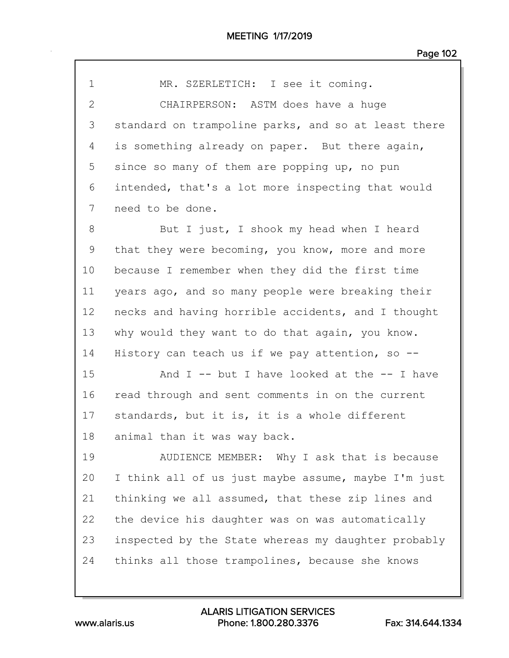| $\overline{2}$ | CHAIRPERSON: ASTM does have a huge                  |  |  |  |  |  |
|----------------|-----------------------------------------------------|--|--|--|--|--|
| 3              | standard on trampoline parks, and so at least there |  |  |  |  |  |
| 4              | is something already on paper. But there again,     |  |  |  |  |  |
| 5              | since so many of them are popping up, no pun        |  |  |  |  |  |
| 6              | intended, that's a lot more inspecting that would   |  |  |  |  |  |
| 7              | need to be done.                                    |  |  |  |  |  |
| 8              | But I just, I shook my head when I heard            |  |  |  |  |  |
| 9              | that they were becoming, you know, more and more    |  |  |  |  |  |
| 10             | because I remember when they did the first time     |  |  |  |  |  |
| 11             | years ago, and so many people were breaking their   |  |  |  |  |  |
| 12             | necks and having horrible accidents, and I thought  |  |  |  |  |  |
| 13             | why would they want to do that again, you know.     |  |  |  |  |  |
| 14             | History can teach us if we pay attention, so $-$ -  |  |  |  |  |  |
| 15             | And $I$ -- but I have looked at the -- I have       |  |  |  |  |  |
| 16             | read through and sent comments in on the current    |  |  |  |  |  |
| 17             | standards, but it is, it is a whole different       |  |  |  |  |  |
| 18             | animal than it was way back.                        |  |  |  |  |  |
| 19             | AUDIENCE MEMBER: Why I ask that is because          |  |  |  |  |  |
| 20             | I think all of us just maybe assume, maybe I'm just |  |  |  |  |  |
| 21             | thinking we all assumed, that these zip lines and   |  |  |  |  |  |
| 22             | the device his daughter was on was automatically    |  |  |  |  |  |
| 23             | inspected by the State whereas my daughter probably |  |  |  |  |  |
|                |                                                     |  |  |  |  |  |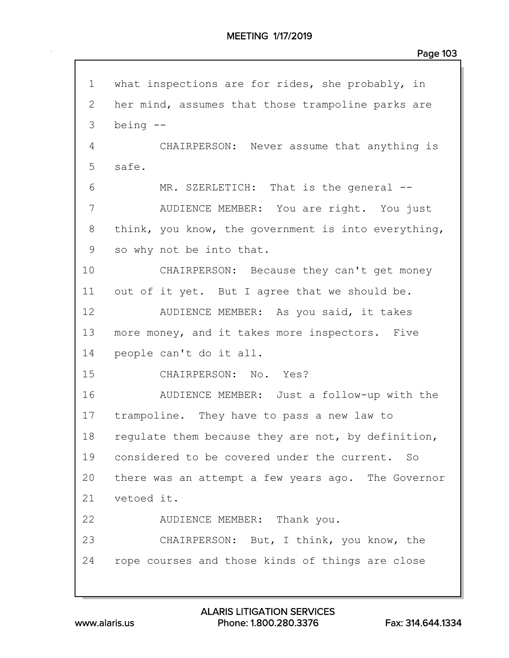| $\mathbf 1$  | what inspections are for rides, she probably, in    |  |  |  |  |  |
|--------------|-----------------------------------------------------|--|--|--|--|--|
| $\mathbf{2}$ | her mind, assumes that those trampoline parks are   |  |  |  |  |  |
| 3            | being $--$                                          |  |  |  |  |  |
| 4            | CHAIRPERSON: Never assume that anything is          |  |  |  |  |  |
| 5            | safe.                                               |  |  |  |  |  |
| 6            | MR. SZERLETICH: That is the general --              |  |  |  |  |  |
| 7            | AUDIENCE MEMBER: You are right. You just            |  |  |  |  |  |
| 8            | think, you know, the government is into everything, |  |  |  |  |  |
| 9            | so why not be into that.                            |  |  |  |  |  |
| 10           | CHAIRPERSON: Because they can't get money           |  |  |  |  |  |
| 11           | out of it yet. But I agree that we should be.       |  |  |  |  |  |
| 12           | AUDIENCE MEMBER: As you said, it takes              |  |  |  |  |  |
| 13           | more money, and it takes more inspectors. Five      |  |  |  |  |  |
| 14           | people can't do it all.                             |  |  |  |  |  |
| 15           | CHAIRPERSON: No. Yes?                               |  |  |  |  |  |
| 16           | AUDIENCE MEMBER: Just a follow-up with the          |  |  |  |  |  |
| 17           | trampoline. They have to pass a new law to          |  |  |  |  |  |
| 18           | regulate them because they are not, by definition,  |  |  |  |  |  |
| 19           | considered to be covered under the current. So      |  |  |  |  |  |
| 20           | there was an attempt a few years ago. The Governor  |  |  |  |  |  |
| 21           | vetoed it.                                          |  |  |  |  |  |
| 22           | AUDIENCE MEMBER: Thank you.                         |  |  |  |  |  |
| 23           | CHAIRPERSON: But, I think, you know, the            |  |  |  |  |  |
|              | 24 rope courses and those kinds of things are close |  |  |  |  |  |
|              |                                                     |  |  |  |  |  |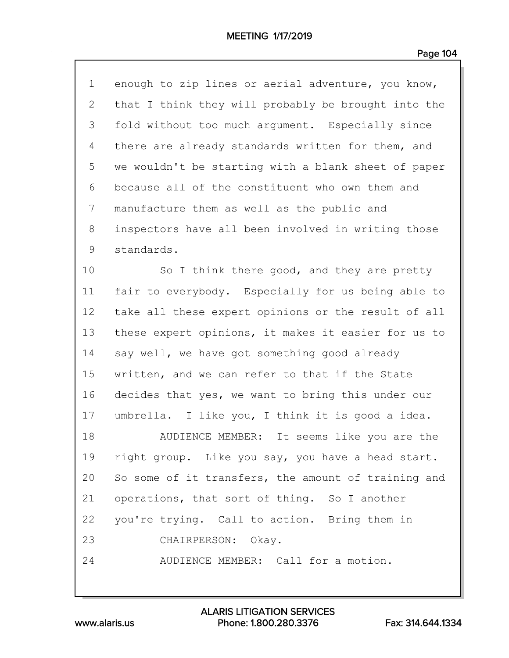| $\mathbf 1$  | enough to zip lines or aerial adventure, you know,  |
|--------------|-----------------------------------------------------|
| $\mathbf{2}$ | that I think they will probably be brought into the |
| 3            | fold without too much argument. Especially since    |
| 4            | there are already standards written for them, and   |
| 5            | we wouldn't be starting with a blank sheet of paper |
| 6            | because all of the constituent who own them and     |
| 7            | manufacture them as well as the public and          |
| 8            | inspectors have all been involved in writing those  |
| 9            | standards.                                          |
| 10           | So I think there good, and they are pretty          |
| 11           | fair to everybody. Especially for us being able to  |
| 12           | take all these expert opinions or the result of all |
| 13           | these expert opinions, it makes it easier for us to |
| 14           | say well, we have got something good already        |
| 15           | written, and we can refer to that if the State      |
| 16           | decides that yes, we want to bring this under our   |
| 17           | umbrella. I like you, I think it is good a idea.    |
| 18           | AUDIENCE MEMBER:<br>It seems like you are the       |
| 19           | right group. Like you say, you have a head start.   |
| 20           | So some of it transfers, the amount of training and |
| 21           | operations, that sort of thing. So I another        |
| 22           | you're trying. Call to action. Bring them in        |
| 23           | CHAIRPERSON: Okay.                                  |
| 24           | AUDIENCE MEMBER: Call for a motion.                 |
|              |                                                     |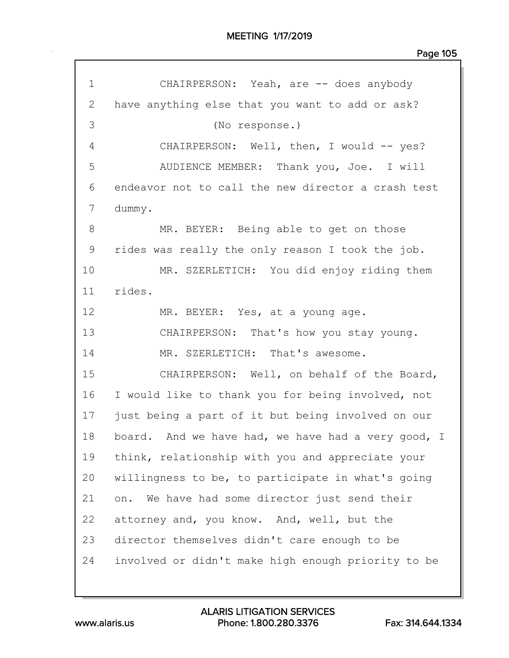| $\mathbf 1$ | CHAIRPERSON: Yeah, are -- does anybody             |  |  |  |  |  |
|-------------|----------------------------------------------------|--|--|--|--|--|
| 2           | have anything else that you want to add or ask?    |  |  |  |  |  |
| 3           | (No response.)                                     |  |  |  |  |  |
| 4           | CHAIRPERSON: Well, then, I would -- yes?           |  |  |  |  |  |
| 5           | AUDIENCE MEMBER: Thank you, Joe. I will            |  |  |  |  |  |
| 6           | endeavor not to call the new director a crash test |  |  |  |  |  |
| 7           | dummy.                                             |  |  |  |  |  |
| 8           | MR. BEYER: Being able to get on those              |  |  |  |  |  |
| 9           | rides was really the only reason I took the job.   |  |  |  |  |  |
| 10          | MR. SZERLETICH: You did enjoy riding them          |  |  |  |  |  |
| 11          | rides.                                             |  |  |  |  |  |
| 12          | MR. BEYER: Yes, at a young age.                    |  |  |  |  |  |
| 13          | CHAIRPERSON: That's how you stay young.            |  |  |  |  |  |
| 14          | MR. SZERLETICH: That's awesome.                    |  |  |  |  |  |
| 15          | CHAIRPERSON: Well, on behalf of the Board,         |  |  |  |  |  |
| 16          | I would like to thank you for being involved, not  |  |  |  |  |  |
| 17          | just being a part of it but being involved on our  |  |  |  |  |  |
| 18          | board. And we have had, we have had a very good, I |  |  |  |  |  |
| 19          | think, relationship with you and appreciate your   |  |  |  |  |  |
| 20          | willingness to be, to participate in what's going  |  |  |  |  |  |
| 21          | We have had some director just send their<br>on.   |  |  |  |  |  |
| 22          | attorney and, you know. And, well, but the         |  |  |  |  |  |
| 23          | director themselves didn't care enough to be       |  |  |  |  |  |
| 24          | involved or didn't make high enough priority to be |  |  |  |  |  |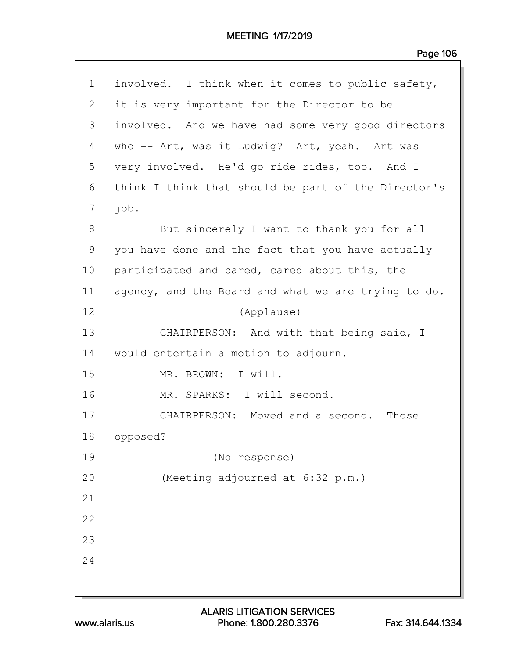| $\mathbf 1$ | involved. I think when it comes to public safety,   |  |  |  |  |  |
|-------------|-----------------------------------------------------|--|--|--|--|--|
| 2           | it is very important for the Director to be         |  |  |  |  |  |
| 3           | involved. And we have had some very good directors  |  |  |  |  |  |
| 4           | who -- Art, was it Ludwig? Art, yeah. Art was       |  |  |  |  |  |
| 5           | very involved. He'd go ride rides, too. And I       |  |  |  |  |  |
| 6           | think I think that should be part of the Director's |  |  |  |  |  |
| 7           | job.                                                |  |  |  |  |  |
| 8           | But sincerely I want to thank you for all           |  |  |  |  |  |
| 9           | you have done and the fact that you have actually   |  |  |  |  |  |
| 10          | participated and cared, cared about this, the       |  |  |  |  |  |
| 11          | agency, and the Board and what we are trying to do. |  |  |  |  |  |
| 12          | (Applause)                                          |  |  |  |  |  |
| 13          | CHAIRPERSON: And with that being said, I            |  |  |  |  |  |
| 14          | would entertain a motion to adjourn.                |  |  |  |  |  |
| 15          | MR. BROWN: I will.                                  |  |  |  |  |  |
| 16          | MR. SPARKS: I will second.                          |  |  |  |  |  |
| 17          | CHAIRPERSON: Moved and a second.<br>Those           |  |  |  |  |  |
| 18          | opposed?                                            |  |  |  |  |  |
| 19          | (No response)                                       |  |  |  |  |  |
| 20          | (Meeting adjourned at 6:32 p.m.)                    |  |  |  |  |  |
| 21          |                                                     |  |  |  |  |  |
| 22          |                                                     |  |  |  |  |  |
| 23          |                                                     |  |  |  |  |  |
| 24          |                                                     |  |  |  |  |  |
|             |                                                     |  |  |  |  |  |
|             |                                                     |  |  |  |  |  |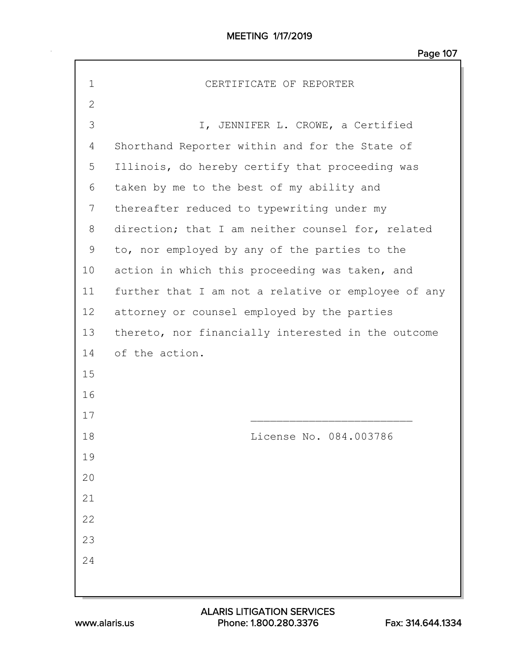MEETING 1/17/2019

| $\mathbf 1$  | CERTIFICATE OF REPORTER                             |  |  |  |  |
|--------------|-----------------------------------------------------|--|--|--|--|
| $\mathbf{2}$ |                                                     |  |  |  |  |
| 3            | I, JENNIFER L. CROWE, a Certified                   |  |  |  |  |
| 4            | Shorthand Reporter within and for the State of      |  |  |  |  |
| 5            | Illinois, do hereby certify that proceeding was     |  |  |  |  |
| 6            | taken by me to the best of my ability and           |  |  |  |  |
| 7            | thereafter reduced to typewriting under my          |  |  |  |  |
| 8            | direction; that I am neither counsel for, related   |  |  |  |  |
| 9            | to, nor employed by any of the parties to the       |  |  |  |  |
| 10           | action in which this proceeding was taken, and      |  |  |  |  |
| 11           | further that I am not a relative or employee of any |  |  |  |  |
| 12           | attorney or counsel employed by the parties         |  |  |  |  |
| 13           | thereto, nor financially interested in the outcome  |  |  |  |  |
| 14           | of the action.                                      |  |  |  |  |
| 15           |                                                     |  |  |  |  |
| 16           |                                                     |  |  |  |  |
| 17           |                                                     |  |  |  |  |
| 18           | License No. 084.003786                              |  |  |  |  |
| 19           |                                                     |  |  |  |  |
| 20           |                                                     |  |  |  |  |
| 21           |                                                     |  |  |  |  |
| 22           |                                                     |  |  |  |  |
| 23           |                                                     |  |  |  |  |
| 24           |                                                     |  |  |  |  |
|              |                                                     |  |  |  |  |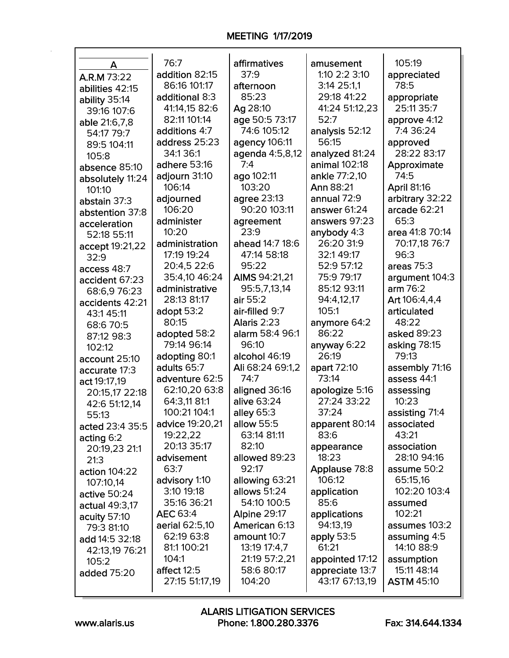## MEETING 1/17/2019

| A                | 76:7            | affirmatives     | amusement       | 105:19             |
|------------------|-----------------|------------------|-----------------|--------------------|
| A.R.M 73:22      | addition 82:15  | 37:9             | 1:10 2:2 3:10   | appreciated        |
| abilities 42:15  | 86:16 101:17    | afternoon        | 3:14 25:1,1     | 78:5               |
| ability 35:14    | additional 8:3  | 85:23            | 29:18 41:22     | appropriate        |
| 39:16 107:6      | 41:14,15 82:6   | Ag 28:10         | 41:24 51:12,23  | 25:11 35:7         |
| able 21:6,7,8    | 82:11 101:14    | age 50:5 73:17   | 52:7            | approve 4:12       |
| 54:17 79:7       | additions 4:7   | 74:6 105:12      | analysis 52:12  | 7:4 36:24          |
| 89:5 104:11      | address 25:23   | agency 106:11    | 56:15           | approved           |
| 105:8            | 34:1 36:1       | agenda 4:5,8,12  | analyzed 81:24  | 28:22 83:17        |
| absence 85:10    | adhere 53:16    | 7:4              | animal 102:18   | Approximate        |
| absolutely 11:24 | adjourn 31:10   | ago 102:11       | ankle 77:2,10   | 74:5               |
| 101:10           | 106:14          | 103:20           | Ann 88:21       | <b>April 81:16</b> |
| abstain 37:3     | adjourned       | agree 23:13      | annual 72:9     | arbitrary 32:22    |
| abstention 37:8  | 106:20          | 90:20 103:11     | answer 61:24    | arcade 62:21       |
| acceleration     | administer      | agreement        | answers 97:23   | 65:3               |
| 52:18 55:11      | 10:20           | 23:9             | anybody 4:3     | area 41:8 70:14    |
| accept 19:21,22  | administration  | ahead 14:7 18:6  | 26:20 31:9      | 70:17,18 76:7      |
| 32:9             | 17:19 19:24     | 47:14 58:18      | 32:149:17       | 96:3               |
| access 48:7      | 20:4,5 22:6     | 95:22            | 52:9 57:12      | areas $75:3$       |
| accident 67:23   | 35:4,10 46:24   | AIMS 94:21,21    | 75:9 79:17      | argument 104:3     |
| 68:6,976:23      | administrative  | 95:5,7,13,14     | 85:12 93:11     | arm 76:2           |
| accidents 42:21  | 28:13 81:17     | air 55:2         | 94:4,12,17      | Art 106:4,4,4      |
| 43:1 45:11       | adopt 53:2      | air-filled 9:7   | 105:1           | articulated        |
| 68:6 70:5        | 80:15           | Alaris 2:23      | anymore 64:2    | 48:22              |
| 87:12 98:3       | adopted 58:2    | alarm 58:4 96:1  | 86:22           | asked 89:23        |
| 102:12           | 79:14 96:14     | 96:10            | anyway 6:22     | asking 78:15       |
| account 25:10    | adopting 80:1   | alcohol 46:19    | 26:19           | 79:13              |
| accurate 17:3    | adults 65:7     | Ali 68:24 69:1,2 | apart 72:10     | assembly 71:16     |
| act 19:17,19     | adventure 62:5  | 74:7             | 73:14           | assess 44:1        |
| 20:15,17 22:18   | 62:10,20 63:8   | aligned 36:16    | apologize 5:16  | assessing          |
| 42:6 51:12,14    | 64:3,11 81:1    | alive 63:24      | 27:24 33:22     | 10:23              |
| 55:13            | 100:21 104:1    | alley 65:3       | 37:24           | assisting 71:4     |
| acted 23:4 35:5  | advice 19:20,21 | allow 55:5       | apparent 80:14  | associated         |
| acting 6:2       | 19:22,22        | 63:14 81:11      | 83:6            | 43:21              |
| 20:19,23 21:1    | 20:13 35:17     | 82:10            | appearance      | association        |
| 21:3             | advisement      | allowed 89:23    | 18:23           | 28:10 94:16        |
| action 104:22    | 63:7            | 92:17            | Applause 78:8   | assume 50:2        |
| 107:10,14        | advisory 1:10   | allowing 63:21   | 106:12          | 65:15,16           |
| active 50:24     | 3:10 19:18      | allows 51:24     | application     | 102:20 103:4       |
| actual 49:3,17   | 35:16 36:21     | 54:10 100:5      | 85:6            | assumed            |
| acuity 57:10     | <b>AEC 63:4</b> | Alpine 29:17     | applications    | 102:21             |
| 79:3 81:10       | aerial 62:5,10  | American 6:13    | 94:13,19        | assumes 103:2      |
| add 14:5 32:18   | 62:19 63:8      | amount 10:7      | apply 53:5      | assuming 4:5       |
| 42:13,19 76:21   | 81:1 100:21     | 13:19 17:4,7     | 61:21           | 14:10 88:9         |
| 105:2            | 104:1           | 21:19 57:2,21    | appointed 17:12 | assumption         |
| added 75:20      | affect 12:5     | 58:6 80:17       | appreciate 13:7 | 15:11 48:14        |
|                  | 27:15 51:17,19  | 104:20           | 43:17 67:13,19  | <b>ASTM 45:10</b>  |

www.alaris.us Phone: 1.800.280.3376 Fax: 314.644.1334 ALARIS LITIGATION SERVICES

 $\mathbf{I}$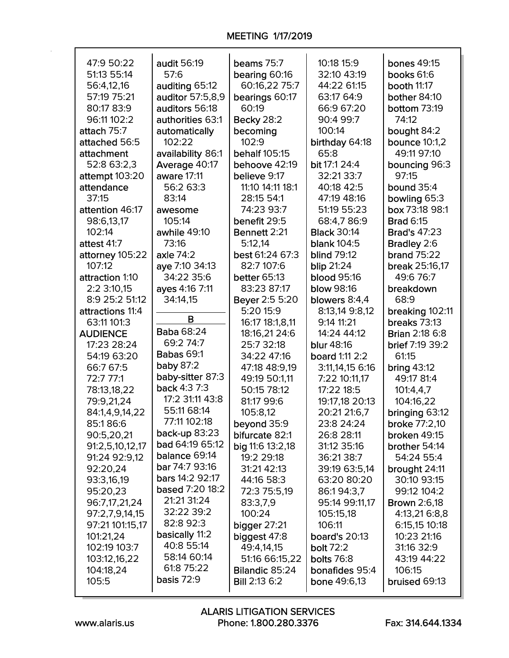| 47:9 50:22       | audit 56:19            | beams 75:7           | 10:18 15:9           | <b>bones 49:15</b>    |
|------------------|------------------------|----------------------|----------------------|-----------------------|
| 51:13 55:14      | 57:6                   | bearing 60:16        | 32:10 43:19          | books 61:6            |
| 56:4,12,16       | auditing 65:12         | 60:16,22 75:7        | 44:22 61:15          | <b>booth 11:17</b>    |
| 57:19 75:21      | auditor 57:5,8,9       | bearings 60:17       | 63:17 64:9           | bother 84:10          |
| 80:17 83:9       | auditors 56:18         | 60:19                | 66:9 67:20           | bottom 73:19          |
| 96:11 102:2      | authorities 63:1       | <b>Becky 28:2</b>    | 90:4 99:7            | 74:12                 |
| attach 75:7      | automatically          | becoming             | 100:14               | bought 84:2           |
| attached 56:5    | 102:22                 | 102:9                | birthday 64:18       | <b>bounce 10:1,2</b>  |
| attachment       | availability 86:1      | behalf 105:15        | 65:8                 | 49:11 97:10           |
| 52:8 63:2,3      | Average 40:17          | behoove 42:19        | bit 17:1 24:4        | bouncing 96:3         |
| attempt 103:20   | aware 17:11            | believe 9:17         | 32:21 33:7           | 97:15                 |
| attendance       | 56:2 63:3              | 11:10 14:11 18:1     | 40:18 42:5           | bound 35:4            |
| 37:15            | 83:14                  | 28:15 54:1           | 47:19 48:16          | bowling 65:3          |
| attention 46:17  | awesome                | 74:23 93:7           | 51:19 55:23          | box 73:18 98:1        |
| 98:6,13,17       | 105:14                 | benefit 29:5         | 68:4,786:9           | <b>Brad 6:15</b>      |
| 102:14           | awhile 49:10           | Bennett 2:21         | <b>Black 30:14</b>   | <b>Brad's 47:23</b>   |
| attest 41:7      | 73:16                  | 5:12,14              | <b>blank 104:5</b>   | Bradley 2:6           |
| attorney 105:22  | axle 74:2              | best 61:24 67:3      | <b>blind 79:12</b>   | <b>brand 75:22</b>    |
| 107:12           | aye 7:10 34:13         | 82:7 107:6           | blip 21:24           | break 25:16,17        |
| attraction 1:10  | 34:22 35:6             | <b>better 65:13</b>  | <b>blood 95:16</b>   | 49:6 76:7             |
| 2:2 3:10,15      | ayes 4:16 7:11         | 83:23 87:17          | <b>blow 98:16</b>    | breakdown             |
| 8:9 25:2 51:12   | 34:14,15               | Beyer 2:5 5:20       | blowers 8:4,4        | 68:9                  |
| attractions 11:4 |                        | 5:20 15:9            | 8:13,14 9:8,12       | breaking 102:11       |
| 63:11 101:3      | B                      | 16:17 18:1,8,11      | 9:14 11:21           | breaks 73:13          |
| <b>AUDIENCE</b>  | <b>Baba 68:24</b>      | 18:16,21 24:6        | 14:24 44:12          | <b>Brian 2:18 6:8</b> |
| 17:23 28:24      | 69:2 74:7              | 25:7 32:18           | <b>blur</b> 48:16    | brief 7:19 39:2       |
| 54:19 63:20      | <b>Babas 69:1</b>      | 34:22 47:16          | board 1:11 2:2       | 61:15                 |
| 66:7 67:5        | baby 87:2              | 47:18 48:9,19        | 3:11,14,15 6:16      | bring $43:12$         |
| 72:7 77:1        | baby-sitter 87:3       | 49:19 50:1.11        | 7:22 10:11,17        | 49:17 81:4            |
| 78:13,18,22      | back 4:3 7:3           | 50:15 78:12          | 17:22 18:5           | 101:4,4,7             |
| 79:9,21,24       | 17:2 31:11 43:8        | 81:17 99:6           | 19:17,18 20:13       | 104:16,22             |
| 84:1,4,9,14,22   | 55:11 68:14            | 105:8,12             | 20:21 21:6,7         | bringing 63:12        |
| 85:186:6         | 77:11 102:18           | beyond 35:9          | 23:8 24:24           | <b>broke 77:2,10</b>  |
| 90:5,20,21       | <b>back-up 83:23</b>   | bifurcate 82:1       | 26:8 28:11           | broken 49:15          |
| 91:2,5,10,12,17  | bad 64:19 65:12        | big 11:6 13:2,18     | 31:12 35:16          | brother 54:14         |
| 91:24 92:9,12    | balance 69:14          | 19:2 29:18           | 36:21 38:7           | 54:24 55:4            |
| 92:20,24         | <b>bar</b> 74:7 93:16  | 31:21 42:13          | 39:19 63:5,14        | brought 24:11         |
| 93:3,16,19       | <b>bars 14:2 92:17</b> | 44:16 58:3           | 63:20 80:20          | 30:10 93:15           |
| 95:20,23         | based 7:20 18:2        | 72:3 75:5,19         | 86:194:3.7           | 99:12 104:2           |
| 96:7,17,21,24    | 21:21 31:24            | 83:3,7,9             | 95:14 99:11,17       | <b>Brown 2:6,18</b>   |
| 97:2,7,9,14,15   | 32:22 39:2             | 100:24               | 105:15,18            | 4:13,21 6:8,8         |
| 97:21 101:15,17  | 82:8 92:3              | bigger $27:21$       | 106:11               | 6:15,15 10:18         |
| 101:21,24        | basically 11:2         | biggest 47:8         | <b>board's 20:13</b> | 10:23 21:16           |
| 102:19 103:7     | 40:8 55:14             | 49:4,14,15           | bolt 72:2            | 31:16 32:9            |
| 103:12,16,22     | 58:14 60:14            | 51:16 66:15,22       | <b>bolts</b> 76:8    | 43:19 44:22           |
| 104:18,24        | 61:8 75:22             | Bilandic 85:24       | bonafides 95:4       | 106:15                |
| 105:5            | basis 72:9             | <b>Bill 2:13 6:2</b> | bone 49:6,13         | bruised 69:13         |
|                  |                        |                      |                      |                       |

٦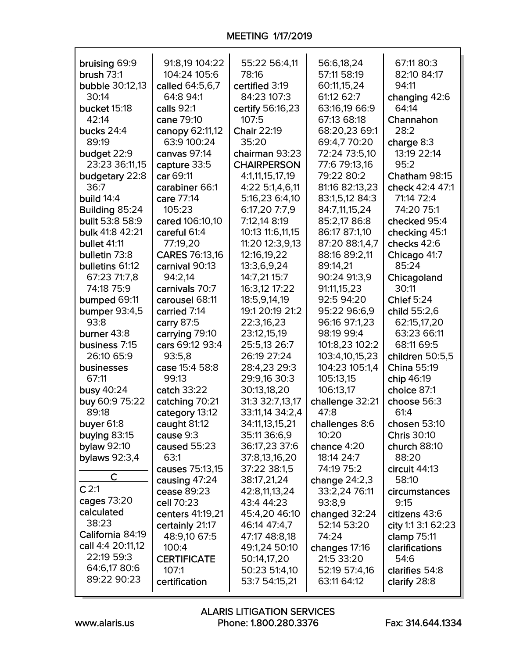| bruising 69:9          | 91:8,19 104:22                  | 55:22 56:4,11                 | 56:6,18,24                   | 67:11 80:3                        |
|------------------------|---------------------------------|-------------------------------|------------------------------|-----------------------------------|
| brush $73:1$           | 104:24 105:6                    | 78:16                         | 57:11 58:19                  | 82:10 84:17                       |
| <b>bubble 30:12,13</b> | called 64:5,6,7                 | certified 3:19                | 60:11,15,24                  | 94:11                             |
| 30:14                  | 64:8 94:1                       | 84:23 107:3                   | 61:12 62:7                   | changing 42:6                     |
| bucket 15:18           | calls 92:1                      | certify 56:16,23              | 63:16,19 66:9                | 64:14                             |
| 42:14                  | cane 79:10                      | 107:5                         | 67:13 68:18                  | Channahon                         |
| bucks 24:4             | canopy 62:11,12                 | Chair 22:19                   | 68:20,23 69:1                | 28:2                              |
| 89:19                  | 63:9 100:24                     | 35:20                         | 69:4,7 70:20                 | charge 8:3                        |
| budget 22:9            | canvas 97:14                    | chairman 93:23                | 72:24 73:5,10                | 13:19 22:14                       |
| 23:23 36:11,15         | capture 33:5                    | <b>CHAIRPERSON</b>            | 77:6 79:13,16                | 95:2                              |
| budgetary 22:8         | car 69:11                       | 4:1,11,15,17,19               | 79:22 80:2                   | Chatham 98:15                     |
| 36:7                   | carabiner 66:1                  | 4:22 5:1,4,6,11               | 81:16 82:13,23               | check 42:4 47:1                   |
| build 14:4             | care 77:14                      | 5:16,23 6:4,10                | 83:1,5,12 84:3               | 71:14 72:4                        |
| Building 85:24         | 105:23                          | 6:17,20 7:7,9                 | 84:7,11,15,24                | 74:20 75:1                        |
| <b>built</b> 53:8 58:9 | cared 106:10,10                 | 7:12,14 8:19                  | 85:2,17 86:8                 | checked 95:4                      |
| bulk 41:8 42:21        | careful 61:4                    | 10:13 11:6,11,15              | 86:17 87:1,10                | checking 45:1                     |
| bullet 41:11           | 77:19,20                        | 11:20 12:3,9,13               | 87:20 88:1,4,7               | checks 42:6                       |
| bulletin 73:8          | CARES 76:13,16                  | 12:16,19,22                   | 88:16 89:2,11                | Chicago 41:7                      |
| bulletins 61:12        | carnival 90:13                  | 13:3,6,9,24                   | 89:14,21                     | 85:24                             |
| 67:23 71:7.8           | 94:2,14                         | 14:7,21 15:7                  | 90:24 91:3,9                 | Chicagoland                       |
| 74:18 75:9             | carnivals 70:7                  | 16:3,12 17:22                 | 91:11,15,23                  | 30:11                             |
| bumped 69:11           | carousel 68:11                  | 18:5,9,14,19                  | 92:5 94:20                   | <b>Chief 5:24</b>                 |
| <b>bumper 93:4,5</b>   | carried 7:14                    | 19:1 20:19 21:2               | 95:22 96:6,9                 | child 55:2,6                      |
| 93:8                   | carry 87:5                      | 22:3,16,23                    | 96:16 97:1,23                | 62:15,17,20                       |
| burner 43:8            | carrying 79:10                  | 23:12,15,19                   | 98:19 99:4                   | 63:23 66:11                       |
| business 7:15          | cars 69:12 93:4                 | 25:5,13 26:7                  | 101:8,23 102:2               | 68:11 69:5                        |
| 26:10 65:9             | 93:5,8                          | 26:19 27:24                   | 103:4,10,15,23               | children 50:5,5                   |
| businesses             | case 15:4 58:8                  | 28:4,23 29:3                  | 104:23 105:1,4               | China 55:19                       |
| 67:11                  | 99:13                           | 29:9,16 30:3                  | 105:13,15                    | chip 46:19                        |
| busy 40:24             | catch 33:22                     | 30:13,18,20                   | 106:13,17                    | choice 87:1                       |
| buy 60:9 75:22         | catching 70:21                  | 31:3 32:7,13,17               | challenge 32:21              | choose 56:3                       |
| 89:18                  | category 13:12                  | 33:11,14 34:2,4               | 47:8                         | 61:4                              |
| buyer 61:8             | caught 81:12                    | 34:11,13,15,21                | challenges 8:6               | chosen $53:10$                    |
| buying 83:15           | cause 9:3                       | 35:11 36:6,9                  | 10:20                        | <b>Chris 30:10</b>                |
| <b>bylaw 92:10</b>     | caused 55:23                    | 36:17,23 37:6                 | chance 4:20                  | church $88:10$                    |
| <b>bylaws</b> 92:3,4   | 63:1                            | 37:8,13,16,20                 | 18:14 24:7                   | 88:20                             |
| $\mathsf{C}$           | causes 75:13,15                 | 37:22 38:1,5                  | 74:19 75:2                   | circuit 44:13                     |
| C <sub>2:1</sub>       | causing 47:24                   | 38:17,21,24                   | change $24:2,3$              | 58:10                             |
| cages 73:20            | cease 89:23                     | 42:8,11,13,24                 | 33:2,24 76:11                | circumstances                     |
| calculated             | cell 70:23                      | 43:4 44:23                    | 93:8,9                       | 9:15                              |
| 38:23                  | centers 41:19,21                | 45:4,20 46:10<br>46:14 47:4,7 | changed 32:24<br>52:14 53:20 | citizens 43:6                     |
| California 84:19       | certainly 21:17<br>48:9,10 67:5 | 47:17 48:8,18                 | 74:24                        | city 1:1 3:1 62:23<br>clamp 75:11 |
| call 4:4 20:11,12      | 100:4                           | 49:1,24 50:10                 |                              | clarifications                    |
| 22:19 59:3             | <b>CERTIFICATE</b>              | 50:14,17,20                   | changes 17:16<br>21:5 33:20  | 54:6                              |
| 64:6,17 80:6           | 107:1                           | 50:23 51:4,10                 | 52:19 57:4,16                | clarifies 54:8                    |
| 89:22 90:23            | certification                   | 53:7 54:15,21                 | 63:11 64:12                  | clarify 28:8                      |
|                        |                                 |                               |                              |                                   |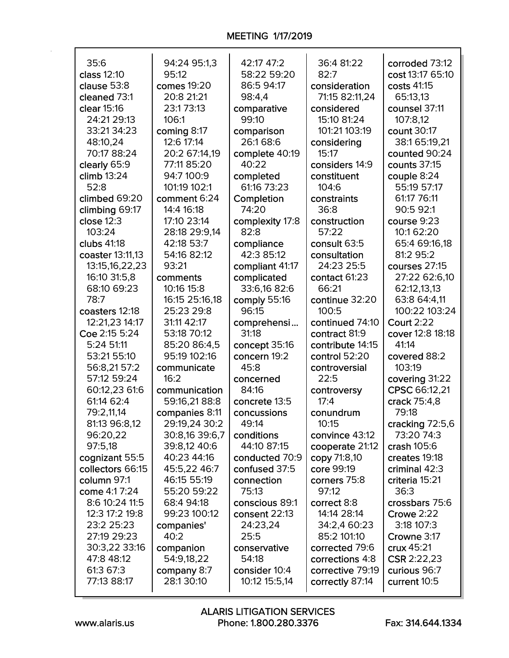| 35:6             | 94:24 95:1,3   | 42:17 47:2      | 36:4 81:22       | corroded 73:12    |
|------------------|----------------|-----------------|------------------|-------------------|
| class 12:10      | 95:12          | 58:22 59:20     | 82:7             | cost 13:17 65:10  |
| clause 53:8      | comes 19:20    | 86:5 94:17      | consideration    | costs 41:15       |
| cleaned 73:1     | 20:8 21:21     | 98:4,4          | 71:15 82:11,24   | 65:13,13          |
| clear 15:16      | 23:173:13      | comparative     | considered       | counsel 37:11     |
| 24:21 29:13      | 106:1          | 99:10           | 15:10 81:24      | 107:8,12          |
| 33:21 34:23      | coming 8:17    | comparison      | 101:21 103:19    | count 30:17       |
| 48:10,24         | 12:6 17:14     | 26:168:6        | considering      | 38:1 65:19,21     |
| 70:17 88:24      | 20:2 67:14,19  | complete 40:19  | 15:17            | counted 90:24     |
| clearly 65:9     | 77:11 85:20    | 40:22           | considers 14:9   | counts 37:15      |
| climb 13:24      | 94:7 100:9     | completed       | constituent      | couple 8:24       |
| 52:8             | 101:19 102:1   | 61:16 73:23     | 104:6            | 55:19 57:17       |
| climbed 69:20    | comment 6:24   | Completion      | constraints      | 61:17 76:11       |
| climbing 69:17   | 14:4 16:18     | 74:20           | 36:8             | 90:5 92:1         |
| close $12:3$     | 17:10 23:14    | complexity 17:8 | construction     | course 9:23       |
| 103:24           | 28:18 29:9,14  | 82:8            | 57:22            | 10:1 62:20        |
| clubs 41:18      | 42:18 53:7     | compliance      | consult 63:5     | 65:4 69:16,18     |
| coaster 13:11,13 | 54:16 82:12    | 42:3 85:12      | consultation     | 81:2 95:2         |
| 13:15,16,22,23   | 93:21          | compliant 41:17 | 24:23 25:5       | courses 27:15     |
| 16:10 31:5,8     | comments       | complicated     | contact 61:23    | 27:22 62:6,10     |
| 68:10 69:23      | 10:16 15:8     | 33:6,16 82:6    | 66:21            | 62:12,13,13       |
| 78:7             | 16:15 25:16,18 | comply 55:16    | continue 32:20   | 63:8 64:4,11      |
| coasters 12:18   | 25:23 29:8     | 96:15           | 100:5            | 100:22 103:24     |
| 12:21,23 14:17   | 31:11 42:17    | comprehensi     | continued 74:10  | <b>Court 2:22</b> |
| Coe 2:15 5:24    | 53:18 70:12    | 31:18           | contract 81:9    | cover 12:8 18:18  |
| 5:24 51:11       | 85:20 86:4,5   | concept 35:16   | contribute 14:15 | 41:14             |
| 53:21 55:10      | 95:19 102:16   | concern 19:2    | control 52:20    | covered 88:2      |
| 56:8,21 57:2     | communicate    | 45:8            | controversial    | 103:19            |
| 57:12 59:24      | 16:2           | concerned       | 22:5             | covering 31:22    |
| 60:12,23 61:6    | communication  | 84:16           | controversy      | CPSC 66:12,21     |
| 61:14 62:4       | 59:16,21 88:8  | concrete 13:5   | 17:4             | crack 75:4,8      |
| 79:2,11,14       | companies 8:11 | concussions     | conundrum        | 79:18             |
| 81:13 96:8,12    | 29:19,24 30:2  | 49:14           | 10:15            | cracking 72:5,6   |
| 96:20,22         | 30:8,16 39:6,7 | conditions      | convince 43:12   | 73:20 74:3        |
| 97:5,18          | 39:8,12 40:6   | 44:10 87:15     | cooperate 21:12  | crash 105:6       |
| cognizant 55:5   | 40:23 44:16    | conducted 70:9  | copy 71:8,10     | creates 19:18     |
| collectors 66:15 | 45:5,22 46:7   | confused 37:5   | core 99:19       | criminal 42:3     |
| column 97:1      | 46:15 55:19    | connection      | corners 75:8     | criteria 15:21    |
| come 4:17:24     | 55:20 59:22    | 75:13           | 97:12            | 36:3              |
| 8:6 10:24 11:5   | 68:4 94:18     | conscious 89:1  | correct 8:8      | crossbars 75:6    |
| 12:3 17:2 19:8   | 99:23 100:12   | consent 22:13   | 14:14 28:14      | Crowe 2:22        |
| 23:2 25:23       | companies'     | 24:23,24        | 34:2,4 60:23     | 3:18 107:3        |
| 27:19 29:23      | 40:2           | 25:5            | 85:2 101:10      | Crowne 3:17       |
| 30:3,22 33:16    | companion      | conservative    | corrected 79:6   | crux 45:21        |
| 47:8 48:12       | 54:9,18,22     | 54:18           | corrections 4:8  | CSR 2:22,23       |
| 61:3 67:3        | company 8:7    | consider 10:4   | corrective 79:19 | curious 96:7      |
| 77:13 88:17      | 28:130:10      | 10:12 15:5,14   | correctly 87:14  | current 10:5      |
|                  |                |                 |                  |                   |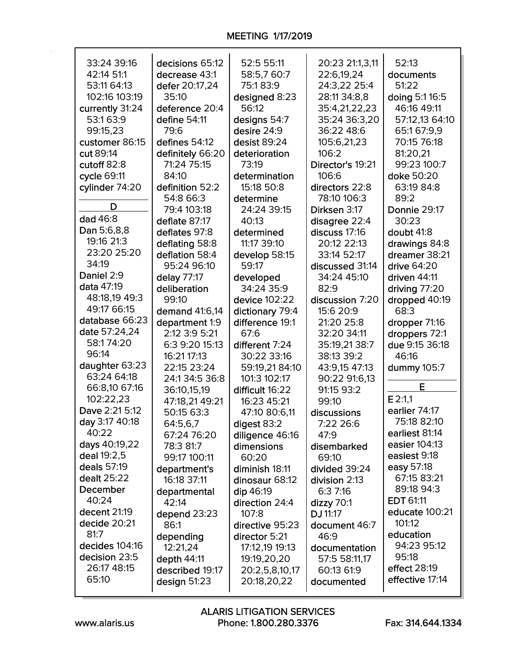| 33:24 39:16     | decisions 65:12      | 52:5 55:11                     | 20:23 21:1,3,11             | 52:13                            |
|-----------------|----------------------|--------------------------------|-----------------------------|----------------------------------|
| 42:14 51:1      | decrease 43:1        | 58:5,7 60:7                    | 22:6,19,24                  | documents                        |
| 53:11 64:13     | defer 20:17,24       | 75:183:9                       | 24:3,22 25:4                | 51:22                            |
| 102:16 103:19   | 35:10                | designed 8:23                  | 28:11 34:8,8                | doing 5:1 16:5                   |
| currently 31:24 | deference 20:4       | 56:12                          | 35:4,21,22,23               | 46:16 49:11                      |
| 53:1 63:9       | define 54:11         | designs 54:7                   | 35:24 36:3,20               | 57:12,13 64:10                   |
| 99:15,23        | 79:6                 | desire 24:9                    | 36:22 48:6                  | 65:1 67:9,9                      |
| customer 86:15  | defines 54:12        | desist 89:24                   | 105:6,21,23                 | 70:15 76:18                      |
| cut 89:14       | definitely 66:20     | deterioration                  | 106:2                       | 81:20,21                         |
| cutoff 82:8     | 71:24 75:15          | 73:19                          | Director's 19:21            | 99:23 100:7                      |
| cycle 69:11     | 84:10                | determination                  | 106:6                       | doke 50:20                       |
| cylinder 74:20  | definition 52:2      | 15:18 50:8                     | directors 22:8              | 63:19 84:8                       |
|                 | 54:8 66:3            | determine                      | 78:10 106:3                 | 89:2                             |
| D               | 79:4 103:18          | 24:24 39:15                    | Dirksen 3:17                | Donnie 29:17                     |
| dad 46:8        | deflate 87:17        | 40:13                          | disagree 22:4               | 30:23                            |
| Dan 5:6,8,8     | deflates 97:8        | determined                     | discuss 17:16               | doubt 41:8                       |
| 19:16 21:3      | deflating 58:8       | 11:17 39:10                    | 20:12 22:13                 | drawings 84:8                    |
| 23:20 25:20     | deflation 58:4       | develop 58:15                  | 33:14 52:17                 | dreamer 38:21                    |
| 34:19           | 95:24 96:10          | 59:17                          | discussed 31:14             | drive 64:20                      |
| Daniel 2:9      | delay 77:17          | developed                      | 34:24 45:10                 | driven 44:11                     |
| data 47:19      | deliberation         | 34:24 35:9                     | 82:9                        |                                  |
| 48:18,19 49:3   | 99:10                | device 102:22                  | discussion 7:20             | driving $77:20$<br>dropped 40:19 |
| 49:17 66:15     | demand 41:6,14       | dictionary 79:4                | 15:6 20:9                   | 68:3                             |
| database 66:23  | department 1:9       | difference 19:1                | 21:20 25:8                  |                                  |
| date 57:24,24   | 2:12 3:9 5:21        | 67:6                           | 32:20 34:11                 | dropper 71:16                    |
| 58:174:20       | 6:3 9:20 15:13       | different 7:24                 | 35:19,21 38:7               | droppers 72:1<br>due 9:15 36:18  |
| 96:14           | 16:21 17:13          | 30:22 33:16                    | 38:13 39:2                  | 46:16                            |
| daughter 63:23  | 22:15 23:24          |                                |                             |                                  |
| 63:24 64:18     | 24:1 34:5 36:8       | 59:19,21 84:10<br>101:3 102:17 | 43:9,15 47:13               | dummy 105:7                      |
| 66:8,10 67:16   | 36:10,15,19          | difficult 16:22                | 90:22 91:6,13<br>91:15 93:2 | Е                                |
| 102:22,23       | 47:18,21 49:21       | 16:23 45:21                    | 99:10                       | $E$ 2:1,1                        |
| Dave 2:21 5:12  | 50:15 63:3           |                                |                             | earlier 74:17                    |
| day 3:17 40:18  |                      | 47:10 80:6,11                  | discussions<br>7:22 26:6    | 75:18 82:10                      |
| 40:22           | 64:5,6,7             | digest 83:2                    |                             | earliest 81:14                   |
| days 40:19,22   | 67:24 76:20          | diligence 46:16                | 47:9<br>disembarked         | easier 104:13                    |
| deal 19:2,5     | 78:3 81:7            | dimensions<br>60:20            | 69:10                       | easiest 9:18                     |
| deals 57:19     | 99:17 100:11         | diminish 18:11                 | divided 39:24               | easy 57:18                       |
| dealt 25:22     | department's         | dinosaur 68:12                 |                             | 67:15 83:21                      |
| December        | 16:18 37:11          |                                | division 2:13               | 89:18 94:3                       |
| 40:24           | departmental         | dip 46:19                      | 6:37:16                     | <b>EDT 61:11</b>                 |
| decent 21:19    | 42:14                | direction 24:4                 | dizzy 70:1                  | educate 100:21                   |
| decide 20:21    | depend 23:23<br>86:1 | 107:8                          | DJ 11:17                    | 101:12                           |
| 81:7            |                      | directive 95:23                | document 46:7               | education                        |
| decides 104:16  | depending            | director 5:21                  | 46:9                        | 94:23 95:12                      |
| decision 23:5   | 12:21,24             | 17:12,19 19:13                 | documentation               | 95:18                            |
| 26:17 48:15     | depth 44:11          | 19:19,20,20                    | 57:5 58:11,17               | effect 28:19                     |
| 65:10           | described 19:17      | 20:2,5,8,10,17                 | 60:13 61:9                  | effective 17:14                  |
|                 | design $51:23$       | 20:18,20,22                    | documented                  |                                  |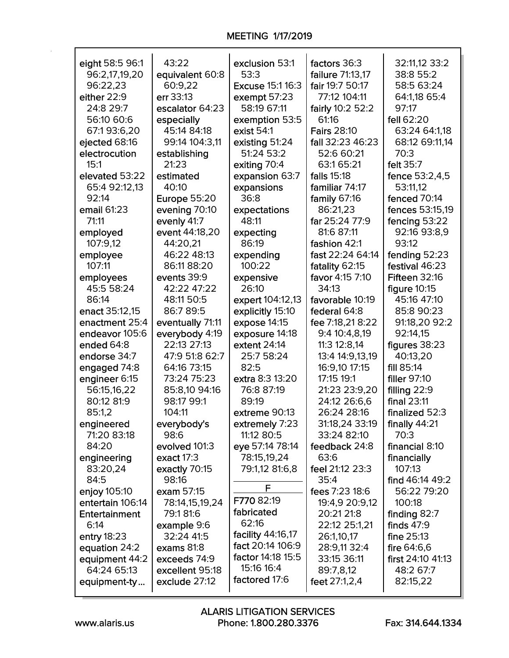## **MEETING 1/17/2019**

| eight 58:5 96:1                  | 43:22                      | exclusion 53:1               | factors 36:3               | 32:11,12 33:2                  |
|----------------------------------|----------------------------|------------------------------|----------------------------|--------------------------------|
| 96:2,17,19,20                    | equivalent 60:8            | 53:3                         | failure 71:13,17           | 38:8 55:2                      |
| 96:22,23                         | 60:9,22                    | <b>Excuse 15:1 16:3</b>      | fair 19:7 50:17            | 58:5 63:24                     |
| either 22:9                      | err 33:13                  | exempt 57:23                 | 77:12 104:11               | 64:1,18 65:4                   |
| 24:8 29:7                        | escalator 64:23            | 58:19 67:11                  | fairly 10:2 52:2           | 97:17                          |
| 56:10 60:6                       | especially                 | exemption 53:5               | 61:16                      | fell 62:20                     |
| 67:193:6,20                      | 45:14 84:18                | exist 54:1                   | <b>Fairs 28:10</b>         | 63:24 64:1,18                  |
| ejected 68:16                    | 99:14 104:3,11             | existing 51:24               | fall 32:23 46:23           | 68:12 69:11,14                 |
| electrocution                    | establishing               | 51:24 53:2                   | 52:6 60:21                 | 70:3                           |
| 15:1                             | 21:23                      | exiting 70:4                 | 63:1 65:21                 | felt 35:7                      |
| elevated 53:22                   | estimated                  | expansion 63:7               | falls 15:18                | fence 53:2,4,5                 |
| 65:4 92:12,13                    | 40:10                      | expansions                   | familiar 74:17             | 53:11,12                       |
| 92:14                            | <b>Europe 55:20</b>        | 36:8                         | family 67:16               | fenced 70:14                   |
| email 61:23                      | evening 70:10              | expectations                 | 86:21,23                   | fences 53:15,19                |
| 71:11                            | evenly 41:7                | 48:11                        | far 25:24 77:9             | fencing 53:22                  |
| employed                         | event 44:18,20             | expecting                    | 81:6 87:11                 | 92:16 93:8,9                   |
| 107:9,12                         | 44:20,21                   | 86:19                        | fashion 42:1               | 93:12                          |
| employee                         | 46:22 48:13                | expending                    | fast 22:24 64:14           | fending 52:23                  |
| 107:11                           | 86:11 88:20                | 100:22                       | fatality 62:15             | festival 46:23                 |
| employees                        | events 39:9                | expensive                    | favor 4:15 7:10            | <b>Fifteen 32:16</b>           |
| 45:5 58:24                       | 42:22 47:22                | 26:10                        | 34:13                      | figure $10:15$                 |
| 86:14                            | 48:11 50:5                 | expert 104:12,13             | favorable 10:19            | 45:16 47:10                    |
| enact 35:12,15                   | 86:7 89:5                  | explicitly 15:10             | federal 64:8               | 85:8 90:23                     |
| enactment 25:4                   | eventually 71:11           | expose 14:15                 | fee 7:18,21 8:22           | 91:18,20 92:2                  |
| endeavor 105:6                   | everybody 4:19             | exposure 14:18               | 9:4 10:4,8,19              | 92:14,15                       |
| ended 64:8                       | 22:13 27:13                | extent 24:14                 | 11:3 12:8,14               | figures 38:23                  |
| endorse 34:7                     | 47:9 51:8 62:7             | 25:7 58:24                   | 13:4 14:9,13,19            | 40:13,20                       |
| engaged 74:8                     | 64:16 73:15                | 82:5                         | 16:9,10 17:15              | fill 85:14                     |
| engineer 6:15                    | 73:24 75:23                | extra 8:3 13:20              | 17:15 19:1                 | filler 97:10                   |
| 56:15,16,22                      | 85:8,10 94:16              | 76:8 87:19                   | 21:23 23:9,20              | filling 22:9                   |
| 80:12 81:9                       | 98:17 99:1                 | 89:19                        | 24:12 26:6,6               | final 23:11                    |
| 85:1,2                           | 104:11                     | extreme 90:13                | 26:24 28:16                | finalized 52:3                 |
|                                  |                            |                              | 31:18,24 33:19             |                                |
| engineered<br>71:20 83:18        | everybody's<br>98:6        | extremely 7:23<br>11:12 80:5 | 33:24 82:10                | finally $44:21$<br>70:3        |
| 84:20                            | evolved 101:3              | eye 57:14 78:14              | feedback 24:8              | financial 8:10                 |
|                                  | exact 17:3                 | 78:15,19,24                  | 63:6                       |                                |
| engineering<br>83:20,24          |                            | 79:1,12 81:6,8               | feel 21:12 23:3            | financially<br>107:13          |
| 84:5                             | exactly 70:15<br>98:16     |                              | 35:4                       | find 46:14 49:2                |
|                                  | exam 57:15                 | F                            | fees 7:23 18:6             | 56:22 79:20                    |
| enjoy 105:10<br>entertain 106:14 |                            | F770 82:19                   | 19:4,9 20:9,12             | 100:18                         |
| Entertainment                    | 78:14,15,19,24<br>79:181:6 | fabricated                   | 20:21 21:8                 |                                |
| 6:14                             |                            | 62:16                        | 22:12 25:1,21              | finding $82:7$<br>finds $47:9$ |
|                                  | example 9:6<br>32:24 41:5  | facility 44:16,17            |                            |                                |
| entry $18:23$                    | exams 81:8                 | fact 20:14 106:9             | 26:1,10,17<br>28:9,11 32:4 | fine $25:13$<br>fire $64:6,6$  |
| equation 24:2                    | exceeds 74:9               | factor 14:18 15:5            | 33:15 36:11                | first 24:10 41:13              |
| equipment 44:2<br>64:24 65:13    |                            | 15:16 16:4                   |                            |                                |
|                                  | excellent 95:18            | factored 17:6                | 89:7,8,12                  | 48:2 67:7                      |
| equipment-ty                     | exclude 27:12              |                              | feet 27:1,2,4              | 82:15,22                       |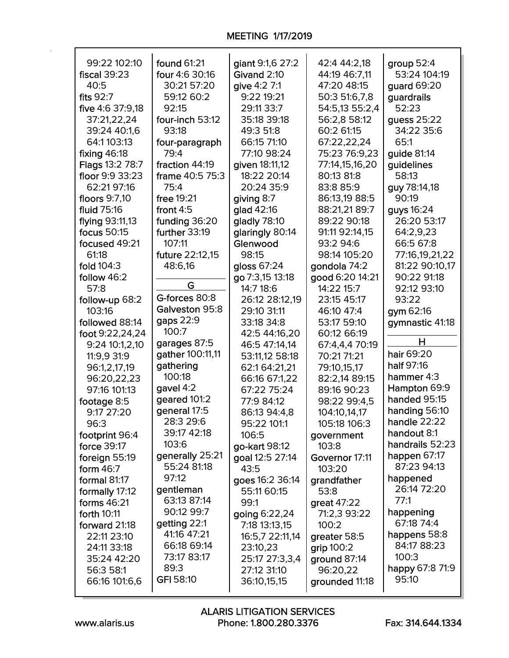| 99:22 102:10        | found 61:21      | giant 9:1,6 27:2 | 42:4 44:2,18    | group $52:4$    |
|---------------------|------------------|------------------|-----------------|-----------------|
| <b>fiscal 39:23</b> | four 4:6 30:16   | Givand 2:10      | 44:19 46:7,11   | 53:24 104:19    |
| 40:5                | 30:21 57:20      | give 4:2 7:1     | 47:20 48:15     | guard 69:20     |
| fits 92:7           | 59:12 60:2       | 9:22 19:21       | 50:3 51:6,7,8   | guardrails      |
| five 4:6 37:9,18    | 92:15            | 29:11 33:7       | 54:5,13 55:2,4  | 52:23           |
| 37:21,22,24         | four-inch 53:12  | 35:18 39:18      | 56:2,8 58:12    | guess 25:22     |
| 39:24 40:1,6        | 93:18            | 49:3 51:8        | 60:2 61:15      | 34:22 35:6      |
| 64:1 103:13         | four-paragraph   | 66:15 71:10      | 67:22,22,24     | 65:1            |
| fixing 46:18        | 79:4             | 77:10 98:24      | 75:23 76:9,23   | guide 81:14     |
| Flags 13:2 78:7     | fraction 44:19   | given 18:11,12   | 77:14,15,16,20  | guidelines      |
| floor 9:9 33:23     | frame 40:5 75:3  | 18:22 20:14      | 80:13 81:8      | 58:13           |
| 62:21 97:16         | 75:4             | 20:24 35:9       | 83:8 85:9       | guy 78:14,18    |
| floors 9:7,10       | free 19:21       | giving 8:7       | 86:13,19 88:5   | 90:19           |
| <b>fluid 75:16</b>  | front $4:5$      | glad 42:16       | 88:21,21 89:7   | guys 16:24      |
| flying 93:11,13     | funding 36:20    | gladly 78:10     | 89:22 90:18     | 26:20 53:17     |
| focus 50:15         | further 33:19    | glaringly 80:14  | 91:11 92:14.15  | 64:2,9,23       |
| focused 49:21       | 107:11           | Glenwood         | 93:2 94:6       | 66:5 67:8       |
| 61:18               | future 22:12,15  | 98:15            | 98:14 105:20    | 77:16,19,21,22  |
| fold 104:3          | 48:6,16          | gloss 67:24      | gondola 74:2    | 81:22 90:10,17  |
| follow 46:2         |                  | go 7:3,15 13:18  | good 6:20 14:21 | 90:22 91:18     |
| 57:8                | G                | 14:7 18:6        | 14:22 15:7      | 92:12 93:10     |
| follow-up 68:2      | G-forces 80:8    | 26:12 28:12,19   | 23:15 45:17     | 93:22           |
| 103:16              | Galveston 95:8   | 29:10 31:11      | 46:10 47:4      | gym 62:16       |
| followed 88:14      | gaps 22:9        | 33:18 34:8       | 53:17 59:10     | gymnastic 41:18 |
| foot 9:22,24,24     | 100:7            | 42:5 44:16,20    | 60:12 66:19     |                 |
| 9:24 10:1,2,10      | garages 87:5     | 46:5 47:14,14    | 67:4,4,4 70:19  | н               |
| 11:9,9 31:9         | gather 100:11,11 | 53:11,12 58:18   | 70:21 71:21     | hair 69:20      |
| 96:1,2,17,19        | gathering        | 62:1 64:21,21    | 79:10,15,17     | half 97:16      |
| 96:20,22,23         | 100:18           | 66:16 67:1,22    | 82:2,14 89:15   | hammer 4:3      |
| 97:16 101:13        | gavel 4:2        | 67:22 75:24      | 89:16 90:23     | Hampton 69:9    |
| footage 8:5         | geared 101:2     | 77:9 84:12       | 98:22 99:4,5    | handed 95:15    |
| 9:17 27:20          | general 17:5     | 86:13 94:4,8     | 104:10,14,17    | handing 56:10   |
| 96:3                | 28:3 29:6        | 95:22 101:1      | 105:18 106:3    | handle $22:22$  |
| footprint 96:4      | 39:17 42:18      | 106:5            | government      | handout 8:1     |
| force 39:17         | 103:6            | go-kart 98:12    | 103:8           | handrails 52:23 |
| foreign 55:19       | generally 25:21  | goal 12:5 27:14  | Governor 17:11  | happen 67:17    |
| form $46:7$         | 55:24 81:18      | 43:5             | 103:20          | 87:23 94:13     |
| formal 81:17        | 97:12            | goes 16:2 36:14  | grandfather     | happened        |
| formally 17:12      | gentleman        | 55:11 60:15      | 53:8            | 26:14 72:20     |
| forms 46:21         | 63:13 87:14      | 99:1             | great 47:22     | 77:1            |
| forth 10:11         | 90:12 99:7       | going 6:22,24    | 71:2,3 93:22    | happening       |
| forward 21:18       | getting 22:1     | 7:18 13:13,15    | 100:2           | 67:18 74:4      |
| 22:11 23:10         | 41:16 47:21      | 16:5,7 22:11,14  | greater 58:5    | happens 58:8    |
| 24:11 33:18         | 66:18 69:14      | 23:10,23         | grip 100:2      | 84:17 88:23     |
| 35:24 42:20         | 73:17 83:17      | 25:17 27:3,3,4   | ground 87:14    | 100:3           |
| 56:3 58:1           | 89:3             | 27:12 31:10      | 96:20,22        | happy 67:8 71:9 |
| 66:16 101:6,6       | <b>GFI 58:10</b> | 36:10,15,15      | grounded 11:18  | 95:10           |
|                     |                  |                  |                 |                 |

┑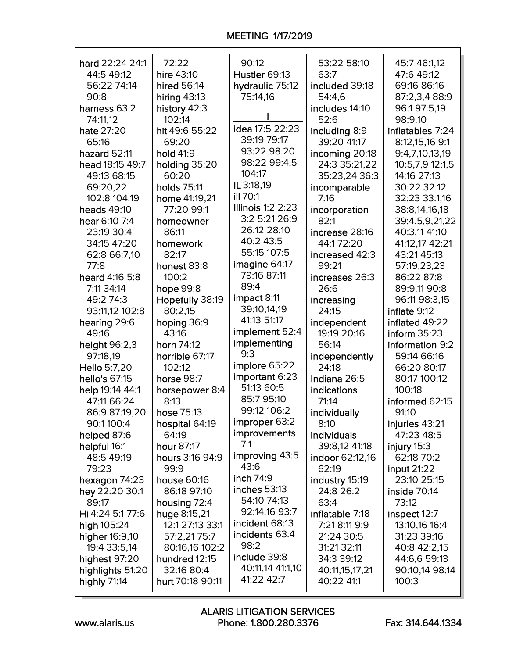| hard 22:24 24:1                | 72:22                   | 90:12                    | 53:22 58:10          | 45:7 46:1,12                 |
|--------------------------------|-------------------------|--------------------------|----------------------|------------------------------|
| 44:5 49:12                     | hire 43:10              | Hustler 69:13            | 63:7                 | 47:6 49:12                   |
| 56:22 74:14                    | hired 56:14             | hydraulic 75:12          | included 39:18       | 69:16 86:16                  |
| 90:8                           | hiring $43:13$          | 75:14,16                 | 54:4,6               | 87:2,3,4 88:9                |
| harness 63:2                   | history 42:3            |                          | includes 14:10       | 96:1 97:5,19                 |
| 74:11,12                       | 102:14                  |                          | 52:6                 | 98:9,10                      |
| hate 27:20                     | hit 49:6 55:22          | idea 17:5 22:23          | including 8:9        | inflatables 7:24             |
| 65:16                          | 69:20                   | 39:19 79:17              | 39:20 41:17          | 8:12,15,16 9:1               |
| hazard 52:11                   | hold 41:9               | 93:22 98:20              | incoming 20:18       | 9:4,7,10,13,19               |
| head 18:15 49:7                | holding 35:20           | 98:22 99:4,5             | 24:3 35:21,22        | 10:5,7,9 12:1,5              |
| 49:13 68:15                    | 60:20                   | 104:17                   | 35:23,24 36:3        | 14:16 27:13                  |
| 69:20,22                       | holds 75:11             | IL 3:18,19               | incomparable         | 30:22 32:12                  |
| 102:8 104:19                   | home 41:19,21           | <b>ill 70:1</b>          | 7:16                 | 32:23 33:1,16                |
| heads 49:10                    | 77:20 99:1              | <b>Illinois 1:2 2:23</b> | incorporation        | 38:8,14,16,18                |
| hear 6:10 7:4                  | homeowner               | 3:2 5:21 26:9            | 82:1                 | 39:4,5,9,21,22               |
| 23:19 30:4                     | 86:11                   | 26:12 28:10              | increase 28:16       | 40:3,11 41:10                |
| 34:15 47:20                    | homework                | 40:2 43:5                | 44:172:20            | 41:12,17 42:21               |
| 62:8 66:7,10                   | 82:17                   | 55:15 107:5              | increased 42:3       | 43:21 45:13                  |
| 77:8                           | honest 83:8             | imagine 64:17            | 99:21                | 57:19,23,23                  |
| heard 4:16 5:8                 | 100:2                   | 79:16 87:11              | increases 26:3       | 86:22 87:8                   |
| 7:11 34:14                     | hope 99:8               | 89:4                     | 26:6                 | 89:9,11 90:8                 |
| 49:2 74:3                      | Hopefully 38:19         | impact 8:11              | increasing           | 96:11 98:3,15                |
| 93:11,12 102:8                 | 80:2,15                 | 39:10,14,19              | 24:15                | inflate 9:12                 |
| hearing 29:6                   | hoping 36:9             | 41:13 51:17              | independent          | inflated 49:22               |
| 49:16                          | 43:16                   | implement 52:4           | 19:19 20:16          | inform $35:23$               |
| height 96:2,3                  | horn 74:12              | implementing<br>9:3      | 56:14                | information 9:2              |
| 97:18,19                       | horrible 67:17          | implore 65:22            | independently        | 59:14 66:16                  |
| Hello 5:7,20                   | 102:12                  | important 6:23           | 24:18                | 66:20 80:17                  |
| hello's 67:15                  | horse 98:7              | 51:13 60:5               | Indiana 26:5         | 80:17 100:12                 |
| help 19:14 44:1<br>47:11 66:24 | horsepower 8:4<br>8:13  | 85:7 95:10               | indications<br>71:14 | 100:18                       |
|                                |                         | 99:12 106:2              |                      | informed 62:15               |
| 86:9 87:19,20<br>90:1100:4     | hose 75:13              | improper 63:2            | individually<br>8:10 | 91:10                        |
| helped 87:6                    | hospital 64:19<br>64:19 | improvements             | individuals          | injuries 43:21<br>47:23 48:5 |
| helpful 16:1                   | hour 87:17              | 7:1                      | 39:8,12 41:18        | injury 15:3                  |
| 48:5 49:19                     | hours 3:16 94:9         | improving 43:5           | indoor 62:12,16      | 62:18 70:2                   |
| 79:23                          | 99:9                    | 43:6                     | 62:19                | <b>input 21:22</b>           |
| hexagon 74:23                  | house 60:16             | inch 74:9                | industry 15:19       | 23:10 25:15                  |
| hey 22:20 30:1                 | 86:18 97:10             | inches 53:13             | 24:8 26:2            | inside 70:14                 |
| 89:17                          | housing 72:4            | 54:10 74:13              | 63:4                 | 73:12                        |
| Hi 4:24 5:177:6                | huge 8:15,21            | 92:14,16 93:7            | inflatable 7:18      | inspect 12:7                 |
| high 105:24                    | 12:1 27:13 33:1         | incident 68:13           | 7:21 8:11 9:9        | 13:10,16 16:4                |
| higher 16:9,10                 | 57:2,2175:7             | incidents 63:4           | 21:24 30:5           | 31:23 39:16                  |
| 19:4 33:5,14                   | 80:16,16 102:2          | 98:2                     | 31:21 32:11          | 40:8 42:2,15                 |
| highest 97:20                  | hundred 12:15           | include 39:8             | 34:3 39:12           | 44:6,6 59:13                 |
| highlights 51:20               | 32:16 80:4              | 40:11,14 41:1,10         | 40:11,15,17,21       | 90:10,14 98:14               |
| highly 71:14                   | hurt 70:18 90:11        | 41:22 42:7               | 40:22 41:1           | 100:3                        |
|                                |                         |                          |                      |                              |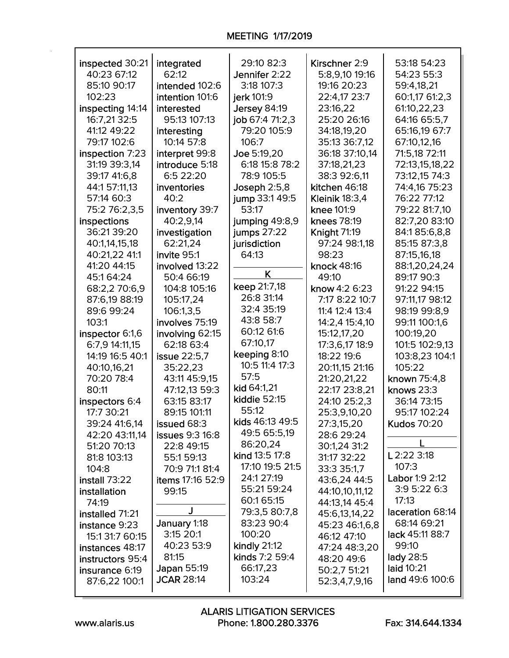| inspected 30:21  | integrated             | 29:10 82:3      | Kirschner 2:9         | 53:18 54:23        |
|------------------|------------------------|-----------------|-----------------------|--------------------|
| 40:23 67:12      | 62:12                  | Jennifer 2:22   | 5:8,9,10 19:16        | 54:23 55:3         |
| 85:10 90:17      | intended 102:6         | 3:18 107:3      | 19:16 20:23           | 59:4,18,21         |
| 102:23           | intention 101:6        | jerk 101:9      | 22:4,17 23:7          | 60:1,17 61:2,3     |
| inspecting 14:14 | interested             | Jersey 84:19    | 23:16,22              | 61:10,22,23        |
| 16:7,21 32:5     | 95:13 107:13           | job 67:4 71:2,3 | 25:20 26:16           | 64:16 65:5,7       |
| 41:12 49:22      | interesting            | 79:20 105:9     | 34:18,19,20           | 65:16,19 67:7      |
| 79:17 102:6      |                        |                 |                       |                    |
|                  | 10:14 57:8             | 106:7           | 35:13 36:7,12         | 67:10,12,16        |
| inspection 7:23  | interpret 99:8         | Joe 5:19,20     | 36:18 37:10,14        | 71:5,18 72:11      |
| 31:19 39:3,14    | introduce 5:18         | 6:18 15:8 78:2  | 37:18,21,23           | 72:13,15,18,22     |
| 39:17 41:6,8     | 6:5 22:20              | 78:9 105:5      | 38:3 92:6,11          | 73:12,15 74:3      |
| 44:1 57:11,13    | inventories            | Joseph 2:5,8    | kitchen 46:18         | 74:4,16 75:23      |
| 57:14 60:3       | 40:2                   | jump 33:1 49:5  | <b>Kleinik 18:3,4</b> | 76:22 77:12        |
| 75:2 76:2,3,5    | inventory 39:7         | 53:17           | knee 101:9            | 79:22 81:7,10      |
| inspections      | 40:2,9,14              | jumping 49:8,9  | knees 78:19           | 82:7,20 83:10      |
| 36:21 39:20      | investigation          | jumps 27:22     | <b>Knight 71:19</b>   | 84:185:6,8,8       |
| 40:1,14,15,18    | 62:21,24               | jurisdiction    | 97:24 98:1,18         | 85:15 87:3,8       |
| 40:21,22 41:1    | invite 95:1            | 64:13           | 98:23                 | 87:15,16,18        |
| 41:20 44:15      | involved 13:22         |                 | knock 48:16           | 88:1,20,24,24      |
| 45:164:24        | 50:4 66:19             | K               | 49:10                 | 89:17 90:3         |
| 68:2,2 70:6,9    | 104:8 105:16           | keep 21:7,18    | know 4:2 6:23         | 91:22 94:15        |
|                  |                        | 26:8 31:14      | 7:17 8:22 10:7        | 97:11,17 98:12     |
| 87:6,19 88:19    | 105:17,24              | 32:4 35:19      |                       |                    |
| 89:6 99:24       | 106:1,3,5              | 43:8 58:7       | 11:4 12:4 13:4        | 98:19 99:8,9       |
| 103:1            | involves 75:19         | 60:12 61:6      | 14:2,4 15:4,10        | 99:11 100:1,6      |
| inspector 6:1,6  | involving 62:15        |                 | 15:12,17,20           | 100:19,20          |
| 6:7,9 14:11,15   | 62:18 63:4             | 67:10,17        | 17:3,6,17 18:9        | 101:5 102:9,13     |
| 14:19 16:5 40:1  | issue 22:5,7           | keeping 8:10    | 18:22 19:6            | 103:8,23 104:1     |
| 40:10,16,21      | 35:22,23               | 10:5 11:4 17:3  | 20:11,15 21:16        | 105:22             |
| 70:20 78:4       | 43:11 45:9,15          | 57:5            | 21:20,21,22           | known 75:4,8       |
| 80:11            | 47:12,13 59:3          | kid 64:1,21     | 22:17 23:8,21         | knows 23:3         |
| inspectors 6:4   | 63:15 83:17            | kiddie 52:15    | 24:10 25:2,3          | 36:14 73:15        |
| 17:7 30:21       | 89:15 101:11           | 55:12           | 25:3,9,10,20          | 95:17 102:24       |
| 39:24 41:6,14    | issued 68:3            | kids 46:13 49:5 | 27:3,15,20            | <b>Kudos 70:20</b> |
| 42:20 43:11,14   | <b>issues</b> 9:3 16:8 | 49:5 65:5,19    | 28:6 29:24            |                    |
| 51:20 70:13      | 22:8 49:15             | 86:20,24        | 30:1,24 31:2          |                    |
| 81:8 103:13      | 55:1 59:13             | kind 13:5 17:8  | 31:17 32:22           | L 2:22 3:18        |
| 104:8            | 70:9 71:1 81:4         | 17:10 19:5 21:5 | 33:3 35:1,7           | 107:3              |
| install 73:22    | items 17:16 52:9       | 24:1 27:19      | 43:6,24 44:5          | Labor 1:9 2:12     |
| installation     | 99:15                  | 55:21 59:24     | 44:10,10,11,12        | 3:9 5:22 6:3       |
| 74:19            |                        | 60:1 65:15      | 44:13,14 45:4         | 17:13              |
| installed 71:21  | J                      | 79:3,5 80:7,8   |                       | laceration 68:14   |
|                  | January 1:18           | 83:23 90:4      | 45:6,13,14,22         | 68:14 69:21        |
| instance 9:23    | 3:15 20:1              | 100:20          | 45:23 46:1,6,8        | lack 45:11 88:7    |
| 15:1 31:7 60:15  | 40:23 53:9             |                 | 46:12 47:10           | 99:10              |
| instances 48:17  |                        | kindly 21:12    | 47:24 48:3,20         |                    |
| instructors 95:4 | 81:15                  | kinds 7:2 59:4  | 48:20 49:6            | lady 28:5          |
| insurance 6:19   | Japan 55:19            | 66:17,23        | 50:2,7 51:21          | laid 10:21         |
| 87:6,22 100:1    | <b>JCAR 28:14</b>      | 103:24          | 52:3,4,7,9,16         | land 49:6 100:6    |
|                  |                        |                 |                       |                    |

 $\mathsf{r}$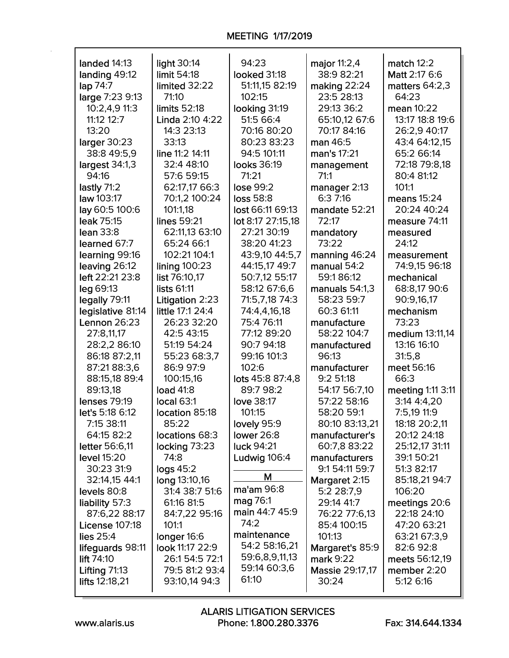| landed 14:13          | light 30:14       | 94:23                          | major 11:2,4                 | match $12:2$      |
|-----------------------|-------------------|--------------------------------|------------------------------|-------------------|
| landing 49:12         | limit 54:18       | looked 31:18                   | 38:9 82:21                   | Matt 2:17 6:6     |
| lap 74:7              | limited 32:22     | 51:11,15 82:19                 | making 22:24                 | matters $64:2,3$  |
| large 7:23 9:13       | 71:10             | 102:15                         | 23:5 28:13                   | 64:23             |
| 10:2,4,9 11:3         | limits 52:18      | looking 31:19                  | 29:13 36:2                   | mean 10:22        |
| 11:12 12:7            | Linda 2:10 4:22   | 51:5 66:4                      | 65:10,12 67:6                | 13:17 18:8 19:6   |
| 13:20                 | 14:3 23:13        | 70:16 80:20                    | 70:17 84:16                  | 26:2,9 40:17      |
| larger 30:23          | 33:13             | 80:23 83:23                    | man 46:5                     | 43:4 64:12,15     |
| 38:8 49:5,9           | line 11:2 14:11   | 94:5 101:11                    | man's 17:21                  | 65:2 66:14        |
| largest 34:1,3        | 32:4 48:10        | looks 36:19                    | management                   | 72:18 79:8,18     |
| 94:16                 | 57:6 59:15        | 71:21                          | 71:1                         | 80:4 81:12        |
| lastly 71:2           | 62:17,17 66:3     | lose 99:2                      | manager 2:13                 | 101:1             |
| law 103:17            | 70:1,2 100:24     | <b>loss 58:8</b>               | 6:37:16                      | means $15:24$     |
| lay 60:5 100:6        | 101:1,18          | lost 66:11 69:13               | mandate 52:21                | 20:24 40:24       |
| leak 75:15            | lines 59:21       | lot 8:17 27:15,18              | 72:17                        | measure 74:11     |
| lean 33:8             | 62:11,13 63:10    | 27:21 30:19                    | mandatory                    | measured          |
| learned 67:7          | 65:24 66:1        | 38:20 41:23                    | 73:22                        | 24:12             |
| learning 99:16        | 102:21 104:1      | 43:9,10 44:5,7                 | manning 46:24                | measurement       |
| leaving 26:12         | lining $100:23$   | 44:15,17 49:7                  | manual 54:2                  | 74:9,15 96:18     |
| left 22:21 23:8       | list 76:10,17     | 50:7,12 55:17                  | 59:186:12                    | mechanical        |
|                       | lists 61:11       |                                |                              |                   |
| leg 69:13             |                   | 58:12 67:6,6<br>71:5,7,18 74:3 | manuals 54:1,3<br>58:23 59:7 | 68:8,17 90:6      |
| legally 79:11         | Litigation 2:23   |                                |                              | 90:9,16,17        |
| legislative 81:14     | little 17:1 24:4  | 74:4,4,16,18                   | 60:3 61:11                   | mechanism         |
| Lennon 26:23          | 26:23 32:20       | 75:4 76:11                     | manufacture                  | 73:23             |
| 27:8,11,17            | 42:5 43:15        | 77:12 89:20                    | 58:22 104:7                  | medium 13:11,14   |
| 28:2,2 86:10          | 51:19 54:24       | 90:7 94:18                     | manufactured                 | 13:16 16:10       |
| 86:18 87:2,11         | 55:23 68:3,7      | 99:16 101:3                    | 96:13                        | 31:5,8            |
| 87:21 88:3,6          | 86:9 97:9         | 102:6                          | manufacturer                 | meet 56:16        |
| 88:15,18 89:4         | 100:15,16         | lots 45:8 87:4,8               | 9:251:18                     | 66:3              |
| 89:13,18              | <b>load 41:8</b>  | 89:7 98:2                      | 54:17 56:7,10                | meeting 1:11 3:11 |
| <b>lenses 79:19</b>   | <b>local 63:1</b> | love 38:17                     | 57:22 58:16                  | 3:14 4:4,20       |
| let's 5:18 6:12       | location 85:18    | 101:15                         | 58:20 59:1                   | 7:5,19 11:9       |
| 7:15 38:11            | 85:22             | lovely 95:9                    | 80:10 83:13,21               | 18:18 20:2,11     |
| 64:15 82:2            | locations 68:3    | lower 26:8                     | manufacturer's               | 20:12 24:18       |
| letter 56:6,11        | locking 73:23     | luck 94:21                     | 60:7.8 83:22                 | 25:12,17 31:11    |
| level 15:20           | 74:8              | Ludwig 106:4                   | manufacturers                | 39:1 50:21        |
| 30:23 31:9            | logs 45:2         | М                              | 9:1 54:11 59:7               | 51:3 82:17        |
| 32:14,15 44:1         | long 13:10,16     |                                | Margaret 2:15                | 85:18,21 94:7     |
| levels 80:8           | 31:4 38:7 51:6    | ma'am 96:8                     | 5:2 28:7,9                   | 106:20            |
| liability 57:3        | 61:16 81:5        | mag 76:1                       | 29:14 41:7                   | meetings 20:6     |
| 87:6,22 88:17         | 84:7,22 95:16     | main 44:7 45:9<br>74:2         | 76:22 77:6,13                | 22:18 24:10       |
| <b>License 107:18</b> | 101:1             |                                | 85:4 100:15                  | 47:20 63:21       |
| lies $25:4$           | longer 16:6       | maintenance                    | 101:13                       | 63:21 67:3,9      |
| lifeguards 98:11      | look 11:17 22:9   | 54:2 58:16,21                  | Margaret's 85:9              | 82:6 92:8         |
| lift $74:10$          | 26:1 54:5 72:1    | 59:6,8,9,11,13                 | mark 9:22                    | meets 56:12,19    |
| Lifting $71:13$       | 79:5 81:2 93:4    | 59:14 60:3,6                   | Massie 29:17,17              | member 2:20       |
| lifts 12:18,21        | 93:10,14 94:3     | 61:10                          | 30:24                        | 5:12 6:16         |
|                       |                   |                                |                              |                   |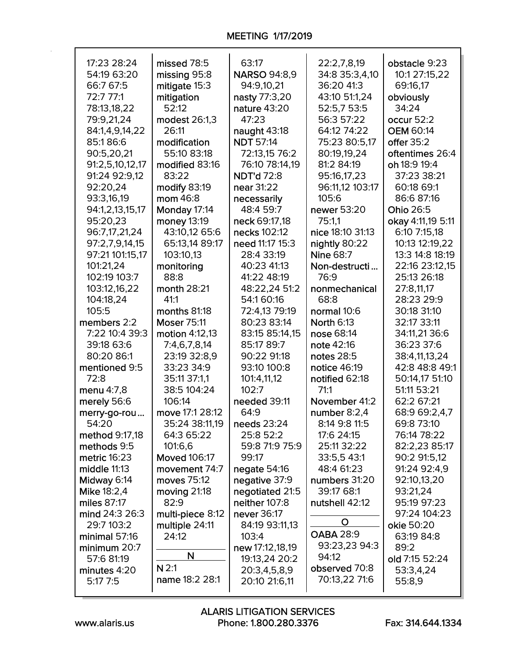| 17:23 28:24        | missed 78:5         | 63:17               | 22:2,7,8,19       | obstacle 9:23     |
|--------------------|---------------------|---------------------|-------------------|-------------------|
| 54:19 63:20        | missing 95:8        | <b>NARSO 94:8,9</b> | 34:8 35:3,4,10    | 10:1 27:15,22     |
| 66:7 67:5          | mitigate 15:3       | 94:9,10,21          | 36:20 41:3        | 69:16,17          |
| 72:7 77:1          | mitigation          | nasty 77:3,20       | 43:10 51:1,24     | obviously         |
| 78:13,18,22        | 52:12               | nature 43:20        | 52:5,7 53:5       | 34:24             |
| 79:9,21,24         | modest 26:1,3       | 47:23               | 56:3 57:22        | occur 52:2        |
| 84:1,4,9,14,22     | 26:11               | naught 43:18        | 64:12 74:22       | <b>OEM 60:14</b>  |
| 85:186:6           | modification        | <b>NDT 57:14</b>    | 75:23 80:5,17     | offer 35:2        |
| 90:5,20,21         | 55:10 83:18         | 72:13,15 76:2       | 80:19,19,24       | oftentimes 26:4   |
| 91:2,5,10,12,17    | modified 83:16      | 76:10 78:14,19      | 81:2 84:19        | oh 18:9 19:4      |
| 91:24 92:9,12      | 83:22               | <b>NDT'd 72:8</b>   | 95:16,17,23       | 37:23 38:21       |
| 92:20,24           | modify 83:19        | near 31:22          | 96:11,12 103:17   | 60:18 69:1        |
| 93:3,16,19         | mom 46:8            | necessarily         | 105:6             | 86:6 87:16        |
| 94:1,2,13,15,17    | Monday 17:14        | 48:4 59:7           | newer 53:20       | Ohio 26:5         |
| 95:20,23           | money 13:19         | neck 69:17,18       | 75:1,1            | okay 4:11,19 5:11 |
| 96:7,17,21,24      | 43:10,12 65:6       | necks 102:12        | nice 18:10 31:13  | 6:10 7:15,18      |
| 97:2,7,9,14,15     | 65:13,14 89:17      | need 11:17 15:3     | nightly 80:22     | 10:13 12:19,22    |
| 97:21 101:15,17    | 103:10,13           | 28:4 33:19          | <b>Nine 68:7</b>  | 13:3 14:8 18:19   |
| 101:21,24          | monitoring          | 40:23 41:13         | Non-destructi     | 22:16 23:12,15    |
| 102:19 103:7       | 88:8                | 41:22 48:19         | 76:9              | 25:13 26:18       |
| 103:12,16,22       | month 28:21         | 48:22,24 51:2       | nonmechanical     | 27:8,11,17        |
| 104:18,24          | 41:1                | 54:1 60:16          | 68:8              | 28:23 29:9        |
| 105:5              | months 81:18        | 72:4,13 79:19       | normal 10:6       | 30:18 31:10       |
| members 2:2        | <b>Moser 75:11</b>  | 80:23 83:14         | <b>North 6:13</b> | 32:17 33:11       |
| 7:22 10:4 39:3     | motion 4:12,13      | 83:15 85:14,15      | nose 68:14        | 34:11,21 36:6     |
| 39:18 63:6         | 7:4,6,7,8,14        | 85:17 89:7          | note 42:16        | 36:23 37:6        |
| 80:20 86:1         | 23:19 32:8,9        | 90:22 91:18         | notes 28:5        | 38:4,11,13,24     |
| mentioned 9:5      | 33:23 34:9          | 93:10 100:8         | notice 46:19      | 42:8 48:8 49:1    |
| 72:8               | 35:11 37:1,1        | 101:4,11,12         | notified 62:18    | 50:14,17 51:10    |
| menu 4:7,8         | 38:5 104:24         | 102:7               | 71:1              | 51:11 53:21       |
| merely 56:6        | 106:14              | needed 39:11        | November 41:2     | 62:2 67:21        |
| merry-go-rou       | move 17:1 28:12     | 64:9                | number 8:2,4      | 68:9 69:2,4,7     |
| 54:20              | 35:24 38:11,19      | needs 23:24         | 8:14 9:8 11:5     | 69:8 73:10        |
| method 9:17,18     | 64:3 65:22          | 25:8 52:2           | 17:6 24:15        | 76:14 78:22       |
| methods 9:5        | 101:6,6             | 59:8 71:9 75:9      | 25:11 32:22       | 82:2,23 85:17     |
| metric 16:23       | <b>Moved 106:17</b> | 99:17               | 33:5,5 43:1       | 90:2 91:5,12      |
| middle 11:13       | movement 74:7       | negate 54:16        | 48:4 61:23        | 91:24 92:4,9      |
| Midway 6:14        | moves 75:12         | negative 37:9       | numbers 31:20     | 92:10,13,20       |
| <b>Mike 18:2,4</b> | moving 21:18        | negotiated 21:5     | 39:17 68:1        | 93:21,24          |
| miles 87:17        | 82:9                | neither 107:8       | nutshell 42:12    | 95:19 97:23       |
| mind 24:3 26:3     | multi-piece 8:12    | never 36:17         | O                 | 97:24 104:23      |
| 29:7 103:2         | multiple 24:11      | 84:19 93:11,13      | <b>OABA 28:9</b>  | okie 50:20        |
| minimal $57:16$    | 24:12               | 103:4               | 93:23,23 94:3     | 63:19 84:8        |
| minimum 20:7       | N                   | new 17:12,18,19     | 94:12             | 89:2              |
| 57:6 81:19         | N <sub>2:1</sub>    | 19:13,24 20:2       | observed 70:8     | old 7:15 52:24    |
| minutes 4:20       | name 18:2 28:1      | 20:3,4,5,8,9        | 70:13,22 71:6     | 53:3,4,24         |
| 5:17 7:5           |                     | 20:10 21:6,11       |                   | 55:8,9            |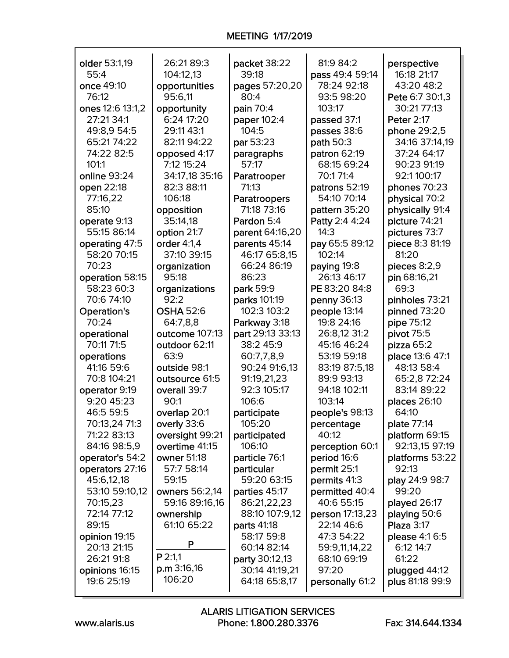| older 53:1,19                | 26:21 89:3       | packet 38:22                     | 81:9 84:2                    | perspective        |
|------------------------------|------------------|----------------------------------|------------------------------|--------------------|
| 55:4                         | 104:12,13        | 39:18                            | pass 49:4 59:14              | 16:18 21:17        |
| once 49:10                   | opportunities    | pages 57:20,20                   | 78:24 92:18                  | 43:20 48:2         |
| 76:12                        | 95:6,11          | 80:4                             | 93:5 98:20                   | Pete 6:7 30:1,3    |
| ones 12:6 13:1,2             | opportunity      | pain 70:4                        | 103:17                       | 30:21 77:13        |
| 27:21 34:1                   | 6:24 17:20       | paper 102:4                      | passed 37:1                  | <b>Peter 2:17</b>  |
| 49:8,9 54:5                  | 29:11 43:1       | 104:5                            | passes 38:6                  | phone 29:2,5       |
| 65:21 74:22                  | 82:11 94:22      | par 53:23                        | path 50:3                    | 34:16 37:14,19     |
| 74:22 82:5                   | opposed 4:17     | paragraphs                       | patron 62:19                 | 37:24 64:17        |
| 101:1                        | 7:12 15:24       | 57:17                            | 68:15 69:24                  | 90:23 91:19        |
| online 93:24                 | 34:17,18 35:16   | Paratrooper                      | 70:171:4                     | 92:1 100:17        |
| open 22:18                   | 82:3 88:11       | 71:13                            | patrons 52:19                | phones 70:23       |
| 77:16,22                     | 106:18           | Paratroopers                     | 54:10 70:14                  | physical 70:2      |
| 85:10                        | opposition       | 71:18 73:16                      | pattern 35:20                | physically 91:4    |
| operate 9:13                 | 35:14,18         | Pardon 5:4                       | Patty 2:4 4:24               | picture 74:21      |
| 55:15 86:14                  | option 21:7      | parent 64:16,20                  | 14:3                         | pictures 73:7      |
| operating 47:5               | order 4:1,4      | parents 45:14                    | pay 65:5 89:12               | piece 8:3 81:19    |
| 58:20 70:15                  | 37:10 39:15      | 46:17 65:8,15                    | 102:14                       | 81:20              |
| 70:23                        | organization     | 66:24 86:19                      | paying 19:8                  | pieces 8:2,9       |
| operation 58:15              | 95:18            | 86:23                            | 26:13 46:17                  | pin 68:16,21       |
| 58:23 60:3                   | organizations    | park 59:9                        | PE 83:20 84:8                | 69:3               |
| 70:6 74:10                   | 92:2             | parks 101:19                     | penny 36:13                  | pinholes 73:21     |
| <b>Operation's</b>           | <b>OSHA 52:6</b> | 102:3 103:2                      | people 13:14                 | pinned 73:20       |
| 70:24                        | 64:7,8,8         | Parkway 3:18                     | 19:8 24:16                   | pipe 75:12         |
| operational                  | outcome 107:13   | part 29:13 33:13                 | 26:8,12 31:2                 | pivot 75:5         |
| 70:11 71:5                   | outdoor 62:11    | 38:2 45:9                        | 45:16 46:24                  | pizza 65:2         |
| operations                   | 63:9             | 60:7,7,8,9                       | 53:19 59:18                  | place 13:6 47:1    |
| 41:16 59:6                   | outside 98:1     | 90:24 91:6,13                    | 83:19 87:5,18                | 48:13 58:4         |
| 70:8 104:21                  | outsource 61:5   | 91:19,21,23                      | 89:9 93:13                   | 65:2,8 72:24       |
| operator 9:19                | overall 39:7     | 92:3 105:17                      | 94:18 102:11                 | 83:14 89:22        |
| 9:20 45:23                   | 90:1             | 106:6                            | 103:14                       | places 26:10       |
| 46:5 59:5                    | overlap 20:1     | participate                      | people's 98:13               | 64:10              |
| 70:13,24 71:3                | overly 33:6      | 105:20                           | percentage                   | plate 77:14        |
| 71:22 83:13                  | oversight 99:21  | participated                     | 40:12                        | platform 69:15     |
| 84:16 98:5,9                 | overtime 41:15   | 106:10                           | perception 60:1              | 92:13,15 97:19     |
| operator's 54:2              | owner 51:18      | particle 76:1                    | period 16:6                  | platforms 53:22    |
| operators 27:16              | 57:7 58:14       | particular                       | permit 25:1                  | 92:13              |
| 45:6,12,18                   | 59:15            | 59:20 63:15                      | permits 41:3                 | play 24:9 98:7     |
| 53:10 59:10,12               | owners 56:2,14   | parties 45:17                    | permitted 40:4               | 99:20              |
| 70:15,23                     | 59:16 89:16,16   | 86:21,22,23                      | 40:6 55:15                   | played 26:17       |
| 72:14 77:12                  | ownership        | 88:10 107:9,12                   | person 17:13,23              | playing 50:6       |
| 89:15                        | 61:10 65:22      | <b>parts 41:18</b>               | 22:14 46:6                   | Plaza 3:17         |
| opinion 19:15                | P                | 58:17 59:8                       | 47:3 54:22                   | please 4:1 6:5     |
| 20:13 21:15<br>26:21 91:8    | $P$ 2:1,1        | 60:14 82:14                      | 59:9,11,14,22<br>68:10 69:19 | 6:12 14:7<br>61:22 |
|                              | $p.m$ 3:16,16    | party 30:12,13<br>30:14 41:19,21 | 97:20                        |                    |
| opinions 16:15<br>19:6 25:19 | 106:20           | 64:18 65:8,17                    |                              | plugged 44:12      |
|                              |                  |                                  | personally 61:2              | plus 81:18 99:9    |

٦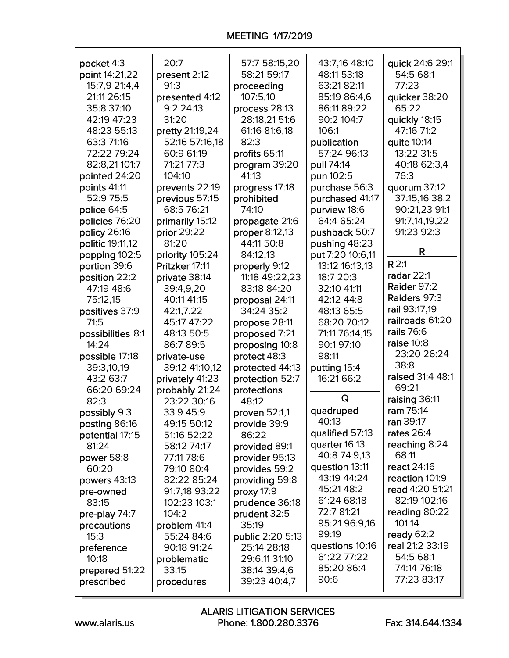## MEETING 1/17/2019

| pocket 4:3        | 20:7            | 57:7 58:15,20    | 43:7,16 48:10                 | quick 24:6 29:1                 |
|-------------------|-----------------|------------------|-------------------------------|---------------------------------|
| point 14:21,22    | present 2:12    | 58:21 59:17      | 48:11 53:18                   | 54:5 68:1                       |
| 15:7,9 21:4,4     | 91:3            | proceeding       | 63:21 82:11                   | 77:23                           |
| 21:11 26:15       | presented 4:12  | 107:5,10         | 85:19 86:4,6                  | quicker 38:20                   |
| 35:8 37:10        | 9:224:13        | process 28:13    | 86:11 89:22                   | 65:22                           |
| 42:19 47:23       | 31:20           | 28:18,21 51:6    | 90:2 104:7                    | quickly 18:15                   |
| 48:23 55:13       | pretty 21:19,24 | 61:16 81:6,18    | 106:1                         | 47:16 71:2                      |
| 63:3 71:16        | 52:16 57:16,18  | 82:3             | publication                   | quite 10:14                     |
| 72:22 79:24       | 60:9 61:19      | profits 65:11    | 57:24 96:13                   | 13:22 31:5                      |
| 82:8,21 101:7     | 71:21 77:3      | program 39:20    | pull 74:14                    | 40:18 62:3,4                    |
| pointed 24:20     | 104:10          | 41:13            | pun 102:5                     | 76:3                            |
| points 41:11      | prevents 22:19  | progress 17:18   | purchase 56:3                 | quorum 37:12                    |
| 52:9 75:5         | previous 57:15  | prohibited       | purchased 41:17               | 37:15,16 38:2                   |
| police 64:5       | 68:5 76:21      | 74:10            | purview 18:6                  | 90:21,23 91:1                   |
| policies 76:20    | primarily 15:12 | propagate 21:6   | 64:4 65:24                    | 91:7,14,19,22                   |
| policy 26:16      | prior 29:22     | proper 8:12,13   | pushback 50:7                 | 91:23 92:3                      |
| politic 19:11,12  | 81:20           | 44:11 50:8       | pushing 48:23                 |                                 |
| popping 102:5     | priority 105:24 | 84:12,13         | put 7:20 10:6,11              | R                               |
| portion 39:6      | Pritzker 17:11  | properly 9:12    | 13:12 16:13,13                | R <sub>2:1</sub>                |
| position 22:2     | private 38:14   | 11:18 49:22,23   | 18:7 20:3                     | radar 22:1                      |
| 47:19 48:6        | 39:4,9,20       | 83:18 84:20      | 32:10 41:11                   | Raider 97:2                     |
| 75:12,15          | 40:11 41:15     | proposal 24:11   | 42:12 44:8                    | Raiders 97:3                    |
| positives 37:9    | 42:1,7,22       | 34:24 35:2       | 48:13 65:5                    | rail 93:17,19                   |
| 71:5              | 45:17 47:22     | propose 28:11    | 68:20 70:12                   | railroads 61:20                 |
| possibilities 8:1 | 48:13 50:5      | proposed 7:21    | 71:11 76:14,15                | rails 76:6                      |
| 14:24             | 86:7 89:5       | proposing 10:8   | 90:1 97:10                    | raise $10:8$                    |
| possible 17:18    | private-use     | protect 48:3     | 98:11                         | 23:20 26:24                     |
| 39:3,10,19        | 39:12 41:10,12  | protected 44:13  | putting 15:4                  | 38:8                            |
| 43:2 63:7         | privately 41:23 | protection 52:7  | 16:21 66:2                    | raised 31:4 48:1                |
| 66:20 69:24       | probably 21:24  | protections      |                               | 69:21                           |
| 82:3              | 23:22 30:16     | 48:12            | Q                             | raising 36:11                   |
| possibly 9:3      | 33:9 45:9       | proven 52:1,1    | quadruped                     | ram 75:14                       |
| posting 86:16     | 49:15 50:12     | provide 39:9     | 40:13                         | <b>ran</b> 39:17                |
| potential 17:15   | 51:16 52:22     | 86:22            | qualified 57:13               | rates 26:4                      |
| 81:24             | 58:12 74:17     | provided 89:1    | quarter 16:13                 | reaching 8:24                   |
| power 58:8        | 77:11 78:6      | provider 95:13   | 40:8 74:9,13                  | 68:11                           |
| 60:20             | 79:10 80:4      | provides 59:2    | question 13:11<br>43:19 44:24 | react 24:16                     |
| powers 43:13      | 82:22 85:24     | providing 59:8   | 45:21 48:2                    | reaction 101:9                  |
| pre-owned         | 91:7,18 93:22   | proxy 17:9       | 61:24 68:18                   | read 4:20 51:21<br>82:19 102:16 |
| 83:15             | 102:23 103:1    | prudence 36:18   | 72:7 81:21                    |                                 |
| pre-play 74:7     | 104:2           | prudent 32:5     | 95:21 96:9,16                 | reading 80:22<br>101:14         |
| precautions       | problem 41:4    | 35:19            | 99:19                         | ready 62:2                      |
| 15:3              | 55:24 84:6      | public 2:20 5:13 | questions 10:16               | real 21:2 33:19                 |
| preference        | 90:18 91:24     | 25:14 28:18      | 61:22 77:22                   | 54:5 68:1                       |
| 10:18             | problematic     | 29:6,11 31:10    | 85:20 86:4                    | 74:14 76:18                     |
| prepared 51:22    | 33:15           | 38:14 39:4,6     | 90:6                          | 77:23 83:17                     |
| prescribed        | procedures      | 39:23 40:4,7     |                               |                                 |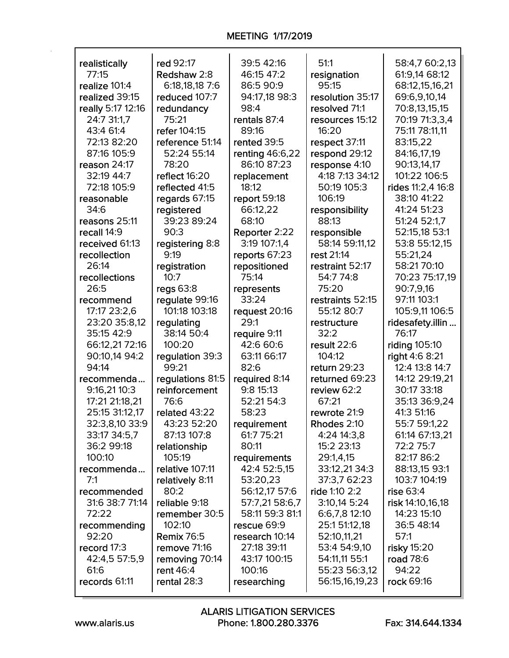| realistically         | red 92:17                | 39:5 42:16            | 51:1                            | 58:4,7 60:2,13      |
|-----------------------|--------------------------|-----------------------|---------------------------------|---------------------|
| 77:15                 | Redshaw 2:8              | 46:15 47:2            | resignation                     | 61:9,14 68:12       |
| realize 101:4         | 6:18,18,18 7:6           | 86:5 90:9             | 95:15                           | 68:12,15,16,21      |
| realized 39:15        | reduced 107:7            | 94:17,18 98:3         | resolution 35:17                | 69:6,9,10,14        |
| really 5:17 12:16     | redundancy               | 98:4                  | resolved 71:1                   | 70:8,13,15,15       |
| 24:7 31:1,7           | 75:21                    | rentals 87:4          | resources 15:12                 | 70:19 71:3,3,4      |
| 43:4 61:4             | refer 104:15             | 89:16                 | 16:20                           | 75:11 78:11,11      |
| 72:13 82:20           | reference 51:14          | rented 39:5           | respect 37:11                   | 83:15,22            |
| 87:16 105:9           | 52:24 55:14              | renting 46:6,22       | respond 29:12                   | 84:16,17,19         |
| reason 24:17          | 78:20                    | 86:10 87:23           | response 4:10                   | 90:13,14,17         |
| 32:19 44:7            | reflect 16:20            | replacement           | 4:18 7:13 34:12                 | 101:22 106:5        |
| 72:18 105:9           | reflected 41:5           | 18:12                 | 50:19 105:3                     | rides 11:2,4 16:8   |
| reasonable            | regards 67:15            | report 59:18          | 106:19                          | 38:10 41:22         |
| 34:6                  | registered               | 66:12,22              | responsibility                  | 41:24 51:23         |
| reasons 25:11         | 39:23 89:24              | 68:10                 | 88:13                           | 51:24 52:1,7        |
| recall 14:9           | 90:3                     | Reporter 2:22         | responsible                     | 52:15,18 53:1       |
| received 61:13        | registering 8:8          | 3:19 107:1,4          | 58:14 59:11,12                  | 53:8 55:12,15       |
| recollection          | 9:19                     | reports 67:23         | rest 21:14                      | 55:21,24            |
| 26:14                 | registration             | repositioned          | restraint 52:17                 | 58:21 70:10         |
| recollections         | 10:7                     | 75:14                 | 54:7 74:8                       | 70:23 75:17,19      |
| 26:5                  | regs $63:8$              | represents            | 75:20                           | 90:7,9,16           |
| recommend             | regulate 99:16           | 33:24                 | restraints 52:15                | 97:11 103:1         |
| 17:17 23:2,6          | 101:18 103:18            | request 20:16         | 55:12 80:7                      | 105:9,11 106:5      |
| 23:20 35:8,12         | regulating               | 29:1                  | restructure                     | ridesafety.illin    |
|                       |                          |                       |                                 |                     |
| 35:15 42:9            | 38:14 50:4               | require 9:11          | 32:2                            | 76:17               |
| 66:12,21 72:16        | 100:20                   | 42:6 60:6             | result 22:6                     | riding 105:10       |
| 90:10,14 94:2         | regulation 39:3          | 63:11 66:17           | 104:12                          | right 4:6 8:21      |
| 94:14                 | 99:21                    | 82:6                  | return 29:23                    | 12:4 13:8 14:7      |
| recommenda            | regulations 81:5         | required 8:14         | returned 69:23                  | 14:12 29:19,21      |
| 9:16,21 10:3          | reinforcement            | 9:8 15:13             | review 62:2                     | 30:17 33:18         |
| 17:21 21:18,21        | 76:6                     | 52:21 54:3            | 67:21                           | 35:13 36:9,24       |
| 25:15 31:12,17        | related 43:22            | 58:23                 | rewrote 21:9                    | 41:3 51:16          |
| 32:3,8,10 33:9        | 43:23 52:20              | requirement           | Rhodes 2:10                     | 55:7 59:1,22        |
| 33:17 34:5,7          | 87:13 107:8              | 61:7 75:21            | 4:24 14:3,8                     | 61:14 67:13,21      |
| 36:2 99:18            | relationship             | 80:11                 | 15:2 23:13                      | 72:2 75:7           |
| 100:10                | 105:19                   | requirements          | 29:1,4,15                       | 82:17 86:2          |
| recommenda            | relative 107:11          | 42:4 52:5,15          | 33:12,21 34:3                   | 88:13,15 93:1       |
| 7:1                   | relatively 8:11          | 53:20,23              | 37:3,7 62:23                    | 103:7 104:19        |
| recommended           | 80:2                     | 56:12,17 57:6         | ride 1:10 2:2                   | rise 63:4           |
| 31:6 38:7 71:14       | reliable 9:18            | 57:7,21 58:6,7        | 3:10,14 5:24                    | risk 14:10,16,18    |
| 72:22                 | remember 30:5            | 58:11 59:3 81:1       | 6:6,7,8 12:10                   | 14:23 15:10         |
| recommending          | 102:10                   | rescue 69:9           | 25:1 51:12,18                   | 36:5 48:14          |
| 92:20                 | <b>Remix 76:5</b>        | research 10:14        | 52:10,11,21                     | 57:1                |
| record 17:3           | remove 71:16             | 27:18 39:11           | 53:4 54:9,10                    | risky 15:20         |
| 42:4,5 57:5,9         | removing 70:14           | 43:17 100:15          | 54:11,11 55:1                   | road 78:6           |
| 61:6<br>records 61:11 | rent 46:4<br>rental 28:3 | 100:16<br>researching | 55:23 56:3,12<br>56:15,16,19,23 | 94:22<br>rock 69:16 |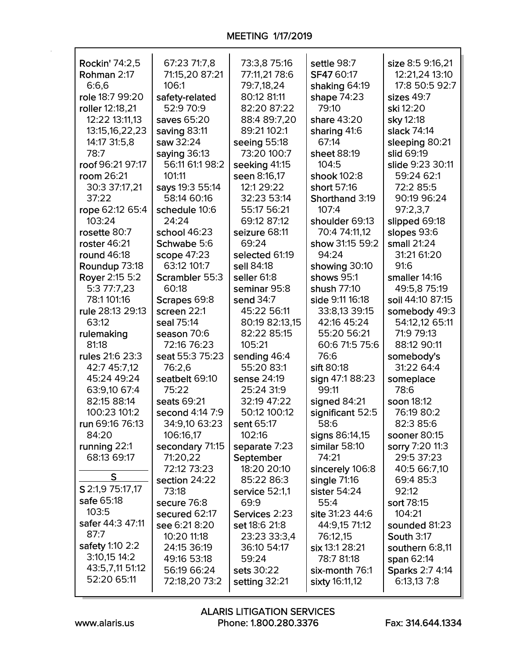| Rockin' 74:2,5   | 67:23 71:7,8    | 73:3,8 75:16   | settle 98:7      | size 8:5 9:16,21 |
|------------------|-----------------|----------------|------------------|------------------|
| Rohman 2:17      | 71:15,20 87:21  | 77:11,21 78:6  | SF47 60:17       | 12:21,24 13:10   |
| 6:6,6            | 106:1           | 79:7,18,24     | shaking 64:19    | 17:8 50:5 92:7   |
| role 18:7 99:20  | safety-related  | 80:12 81:11    | shape 74:23      | sizes 49:7       |
| roller 12:18,21  | 52:9 70:9       | 82:20 87:22    | 79:10            | ski 12:20        |
| 12:22 13:11,13   | saves 65:20     | 88:4 89:7,20   | share 43:20      | sky 12:18        |
| 13:15,16,22,23   | saving 83:11    | 89:21 102:1    | sharing 41:6     | slack 74:14      |
| 14:17 31:5,8     | saw 32:24       | seeing 55:18   | 67:14            | sleeping 80:21   |
| 78:7             | saying 36:13    | 73:20 100:7    | sheet 88:19      | slid 69:19       |
| roof 96:21 97:17 | 56:11 61:1 98:2 | seeking 41:15  | 104:5            | slide 9:23 30:11 |
| room 26:21       | 101:11          | seen 8:16,17   | shook 102:8      | 59:24 62:1       |
| 30:3 37:17,21    | says 19:3 55:14 | 12:1 29:22     | short 57:16      | 72:2 85:5        |
| 37:22            | 58:14 60:16     | 32:23 53:14    | Shorthand 3:19   | 90:19 96:24      |
| rope 62:12 65:4  | schedule 10:6   | 55:17 56:21    | 107:4            | 97:2,3,7         |
| 103:24           | 24:24           | 69:12 87:12    | shoulder 69:13   | slipped 69:18    |
| rosette 80:7     | school 46:23    | seizure 68:11  | 70:4 74:11,12    | slopes 93:6      |
| roster 46:21     | Schwabe 5:6     | 69:24          | show 31:15 59:2  | small 21:24      |
| round 46:18      | scope 47:23     | selected 61:19 | 94:24            | 31:21 61:20      |
| Roundup 73:18    | 63:12 101:7     | sell 84:18     | showing 30:10    | 91:6             |
| Royer 2:15 5:2   | Scrambler 55:3  | seller 61:8    | shows 95:1       | smaller 14:16    |
| 5:3 77:7,23      | 60:18           | seminar 95:8   | shush 77:10      | 49:5,8 75:19     |
| 78:1 101:16      | Scrapes 69:8    | send 34:7      | side 9:11 16:18  | soil 44:10 87:15 |
| rule 28:13 29:13 | screen 22:1     | 45:22 56:11    | 33:8,13 39:15    | somebody 49:3    |
| 63:12            | seal 75:14      | 80:19 82:13,15 | 42:16 45:24      | 54:12,12 65:11   |
| rulemaking       | season 70:6     | 82:22 85:15    | 55:20 56:21      | 71:9 79:13       |
| 81:18            | 72:16 76:23     | 105:21         | 60:6 71:5 75:6   | 88:12 90:11      |
| rules 21:6 23:3  | seat 55:3 75:23 | sending 46:4   | 76:6             | somebody's       |
| 42:7 45:7,12     | 76:2,6          | 55:20 83:1     | sift 80:18       | 31:22 64:4       |
| 45:24 49:24      | seatbelt 69:10  | sense 24:19    | sign 47:1 88:23  | someplace        |
| 63:9,10 67:4     | 75:22           | 25:24 31:9     | 99:11            | 78:6             |
| 82:15 88:14      | seats 69:21     | 32:19 47:22    | signed 84:21     | soon 18:12       |
| 100:23 101:2     | second 4:14 7:9 | 50:12 100:12   | significant 52:5 | 76:19 80:2       |
| run 69:16 76:13  | 34:9,10 63:23   | sent 65:17     | 58:6             | 82:3 85:6        |
| 84:20            | 106:16,17       | 102:16         | signs 86:14,15   | sooner 80:15     |
| running 22:1     | secondary 71:15 | separate 7:23  | similar 58:10    | sorry 7:20 11:3  |
| 68:13 69:17      | 71:20,22        | September      | 74:21            | 29:5 37:23       |
|                  | 72:12 73:23     | 18:20 20:10    | sincerely 106:8  | 40:5 66:7,10     |
| S                | section 24:22   | 85:22 86:3     | single $71:16$   | 69:4 85:3        |
| S 2:1,9 75:17,17 | 73:18           | service 52:1,1 | sister 54:24     | 92:12            |
| safe 65:18       | secure 76:8     | 69:9           | 55:4             | sort 78:15       |
| 103:5            | secured 62:17   | Services 2:23  | site 31:23 44:6  | 104:21           |
| safer 44:3 47:11 | see 6:21 8:20   | set 18:6 21:8  | 44:9,15 71:12    | sounded 81:23    |
| 87:7             | 10:20 11:18     | 23:23 33:3,4   | 76:12,15         | South 3:17       |
| safety 1:10 2:2  | 24:15 36:19     | 36:10 54:17    | six 13:1 28:21   | southern 6:8,11  |
| $3:10,15$ 14:2   | 49:16 53:18     | 59:24          | 78:7 81:18       | span 62:14       |
| 43:5,7,11 51:12  | 56:19 66:24     | sets 30:22     | six-month 76:1   | Sparks 2:7 4:14  |
| 52:20 65:11      | 72:18,20 73:2   | setting 32:21  | sixty 16:11,12   | 6:13,13 7:8      |
|                  |                 |                |                  |                  |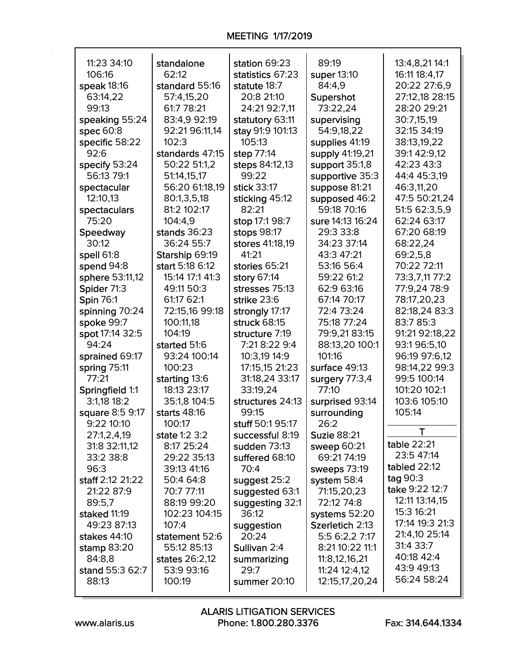| 11:23 34:10      | standalone      | station 69:23    | 89:19              | 13:4,8,21 14:1  |
|------------------|-----------------|------------------|--------------------|-----------------|
| 106:16           | 62:12           | statistics 67:23 | super 13:10        | 16:11 18:4,17   |
| speak 18:16      | standard 55:16  | statute 18:7     | 84:4,9             | 20:22 27:6,9    |
| 63:14,22         | 57:4,15,20      | 20:8 21:10       | Supershot          | 27:12,18 28:15  |
| 99:13            | 61:7 78:21      | 24:21 92:7,11    | 73:22,24           | 28:20 29:21     |
|                  |                 |                  |                    |                 |
| speaking 55:24   | 83:4,9 92:19    | statutory 63:11  | supervising        | 30:7,15,19      |
| spec 60:8        | 92:21 96:11,14  | stay 91:9 101:13 | 54:9,18,22         | 32:15 34:19     |
| specific 58:22   | 102:3           | 105:13           | supplies 41:19     | 38:13,19,22     |
| 92:6             | standards 47:15 | step 77:14       | supply 41:19,21    | 39:142:9,12     |
| specify 53:24    | 50:22 51:1,2    | steps 84:12,13   | support 35:1,8     | 42:23 43:3      |
| 56:13 79:1       | 51:14,15,17     | 99:22            | supportive 35:3    | 44:4 45:3,19    |
| spectacular      | 56:20 61:18,19  | stick 33:17      | suppose 81:21      | 46:3,11,20      |
| 12:10,13         | 80:1,3,5,18     | sticking 45:12   | supposed 46:2      | 47:5 50:21,24   |
| spectaculars     | 81:2 102:17     | 82:21            | 59:18 70:16        | 51:5 62:3,5,9   |
| 75:20            | 104:4,9         | stop 17:1 98:7   | sure 14:13 16:24   | 62:24 63:17     |
| Speedway         | stands 36:23    | stops 98:17      | 29:3 33:8          | 67:20 68:19     |
| 30:12            | 36:24 55:7      | stores 41:18,19  | 34:23 37:14        | 68:22,24        |
| spell 61:8       | Starship 69:19  | 41:21            | 43:3 47:21         | 69:2,5,8        |
| spend 94:8       | start 5:18 6:12 | stories 65:21    | 53:16 56:4         | 70:22 72:11     |
| sphere 53:11,12  | 15:14 17:1 41:3 | story 67:14      | 59:22 61:2         | 73:3,7,11 77:2  |
| Spider 71:3      | 49:11 50:3      | stresses 75:13   | 62:9 63:16         | 77:9,24 78:9    |
| <b>Spin 76:1</b> | 61:17 62:1      | strike 23:6      | 67:14 70:17        | 78:17,20,23     |
| spinning 70:24   | 72:15,16 99:18  | strongly 17:17   | 72:4 73:24         | 82:18,24 83:3   |
| spoke 99:7       | 100:11,18       | struck 68:15     | 75:18 77:24        | 83:7 85:3       |
| spot 17:14 32:5  | 104:19          | structure 7:19   | 79:9,21 83:15      | 91:21 92:18,22  |
| 94:24            | started 51:6    | 7:21 8:22 9:4    | 88:13,20 100:1     | 93:196:5,10     |
| sprained 69:17   | 93:24 100:14    | 10:3,19 14:9     | 101:16             | 96:19 97:6,12   |
| spring 75:11     | 100:23          | 17:15,15 21:23   | surface 49:13      | 98:14,22 99:3   |
| 77:21            | starting 13:6   | 31:18,24 33:17   | surgery 77:3,4     | 99:5 100:14     |
| Springfield 1:1  | 18:13 23:17     | 33:19,24         | 77:10              | 101:20 102:1    |
| 3:1,18 18:2      | 35:1,8 104:5    | structures 24:13 | surprised 93:14    | 103:6 105:10    |
| square 8:5 9:17  | starts 48:16    | 99:15            | surrounding        | 105:14          |
| 9:22 10:10       | 100:17          | stuff 50:195:17  | 26:2               |                 |
| 27:1,2,4,19      | state 1:2 3:2   | successful 8:19  | <b>Suzie 88:21</b> | Т               |
| 31:8 32:11,12    | 8:17 25:24      | sudden 73:13     | sweep 60:21        | table 22:21     |
| 33:2 38:8        | 29:22 35:13     | suffered 68:10   | 69:21 74:19        | 23:5 47:14      |
| 96:3             | 39:13 41:16     | 70:4             | sweeps 73:19       | tabled 22:12    |
| staff 2:12 21:22 | 50:4 64:8       | suggest 25:2     | system 58:4        | tag 90:3        |
| 21:22 87:9       | 70:7 77:11      | suggested 63:1   | 71:15,20,23        | take 9:22 12:7  |
| 89:5,7           | 88:19 99:20     | suggesting 32:1  | 72:12 74:8         | 12:11 13:14,15  |
| staked 11:19     | 102:23 104:15   | 36:12            | systems 52:20      | 15:3 16:21      |
| 49:23 87:13      | 107:4           | suggestion       | Szerletich 2:13    | 17:14 19:3 21:3 |
| stakes 44:10     | statement 52:6  | 20:24            | 5:5 6:2,2 7:17     | 21:4,10 25:14   |
| stamp 83:20      | 55:12 85:13     | Sullivan 2:4     | 8:21 10:22 11:1    | 31:4 33:7       |
| 84:8,8           | states 26:2,12  | summarizing      | 11:8,12,16,21      | 40:18 42:4      |
| stand 55:3 62:7  | 53:9 93:16      | 29:7             | 11:24 12:4,12      | 43:9 49:13      |
| 88:13            | 100:19          | summer 20:10     | 12:15,17,20,24     | 56:24 58:24     |
|                  |                 |                  |                    |                 |

 $\mathsf{r}$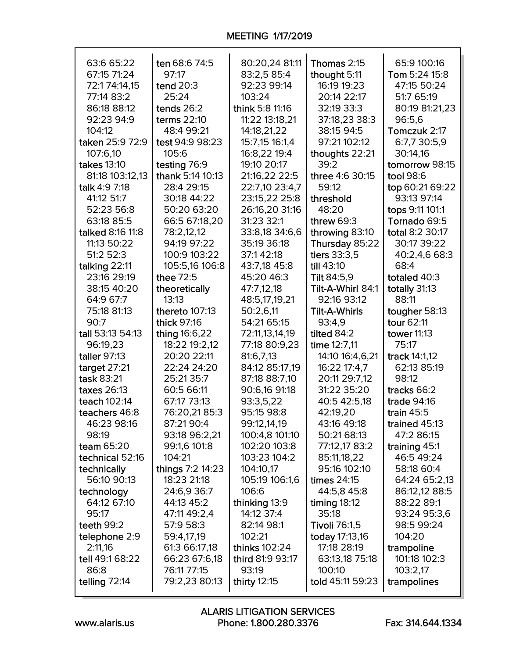| 63:6 65:22         | ten 68:6 74:5    | 80:20,24 81:11   | Thomas 2:15          | 65:9 100:16        |
|--------------------|------------------|------------------|----------------------|--------------------|
| 67:15 71:24        | 97:17            | 83:2,5 85:4      | thought 5:11         | Tom 5:24 15:8      |
| 72:174:14,15       | tend 20:3        | 92:23 99:14      | 16:19 19:23          | 47:15 50:24        |
| 77:14 83:2         | 25:24            | 103:24           | 20:14 22:17          | 51:7 65:19         |
| 86:18 88:12        | tends 26:2       | think 5:8 11:16  | 32:19 33:3           | 80:19 81:21,23     |
| 92:23 94:9         | terms 22:10      | 11:22 13:18,21   | 37:18,23 38:3        | 96:5,6             |
| 104:12             | 48:4 99:21       | 14:18,21,22      | 38:15 94:5           | Tomczuk 2:17       |
| taken 25:9 72:9    | test 94:9 98:23  | 15:7,15 16:1,4   | 97:21 102:12         | 6:7,7 30:5,9       |
| 107:6,10           | 105:6            | 16:8,22 19:4     | thoughts 22:21       | 30:14,16           |
| <b>takes</b> 13:10 | testing 76:9     | 19:10 20:17      | 39:2                 | tomorrow 98:15     |
| 81:18 103:12,13    | thank 5:14 10:13 | 21:16,22 22:5    | three 4:6 30:15      | tool 98:6          |
| talk 4:9 7:18      | 28:4 29:15       | 22:7,10 23:4,7   | 59:12                | top 60:21 69:22    |
| 41:12 51:7         | 30:18 44:22      | 23:15,22 25:8    | threshold            | 93:13 97:14        |
| 52:23 56:8         | 50:20 63:20      | 26:16,20 31:16   | 48:20                | tops 9:11 101:1    |
| 63:18 85:5         | 66:5 67:18,20    | 31:23 32:1       | threw $69:3$         | Tornado 69:5       |
| talked 8:16 11:8   | 78:2,12,12       | 33:8,18 34:6,6   | throwing 83:10       | total 8:2 30:17    |
| 11:13 50:22        | 94:19 97:22      | 35:19 36:18      | Thursday 85:22       | 30:17 39:22        |
| 51:2 52:3          | 100:9 103:22     | 37:142:18        | tiers 33:3,5         | 40:2,4,6 68:3      |
| talking 22:11      | 105:5,16 106:8   | 43:7,18 45:8     | till 43:10           | 68:4               |
| 23:16 29:19        | thee 72:5        | 45:20 46:3       | <b>Tilt 84:5,9</b>   | totaled 40:3       |
| 38:15 40:20        | theoretically    | 47:7,12,18       | Tilt-A-Whirl 84:1    | totally 31:13      |
| 64:9 67:7          | 13:13            | 48:5,17,19,21    | 92:16 93:12          | 88:11              |
| 75:18 81:13        | thereto 107:13   | 50:2,6,11        | <b>Tilt-A-Whirls</b> | tougher 58:13      |
| 90:7               | thick 97:16      | 54:21 65:15      | 93:4,9               | tour 62:11         |
| tall 53:13 54:13   | thing 16:6,22    | 72:11,13,14,19   | tilted 84:2          | <b>tower 11:13</b> |
| 96:19,23           | 18:22 19:2,12    | 77:18 80:9,23    | time 12:7,11         | 75:17              |
| taller 97:13       | 20:20 22:11      | 81:6,7,13        | 14:10 16:4,6,21      | track 14:1,12      |
| target $27:21$     | 22:24 24:20      | 84:12 85:17,19   | 16:22 17:4,7         | 62:13 85:19        |
| task 83:21         | 25:21 35:7       | 87:18 88:7,10    | 20:11 29:7,12        | 98:12              |
| taxes 26:13        | 60:5 66:11       | 90:6,16 91:18    | 31:22 35:20          | tracks 66:2        |
| teach 102:14       | 67:17 73:13      | 93:3,5,22        | 40:5 42:5,18         | trade 94:16        |
| teachers 46:8      | 76:20,2185:3     | 95:15 98:8       | 42:19,20             | train $45:5$       |
| 46:23 98:16        | 87:21 90:4       | 99:12,14,19      | 43:16 49:18          | trained 45:13      |
| 98:19              | 93:18 96:2,21    | 100:4,8 101:10   | 50:21 68:13          | 47:2 86:15         |
| team 65:20         | 99:1,6 101:8     | 102:20 103:8     | 77:12,17 83:2        | training 45:1      |
| technical 52:16    | 104:21           | 103:23 104:2     | 85:11,18,22          | 46:5 49:24         |
| technically        | things 7:2 14:23 | 104:10,17        | 95:16 102:10         | 58:18 60:4         |
| 56:10 90:13        | 18:23 21:18      | 105:19 106:1,6   | times 24:15          | 64:24 65:2,13      |
| technology         | 24:6,9 36:7      | 106:6            | 44:5,8 45:8          | 86:12,12 88:5      |
| 64:12 67:10        | 44:13 45:2       | thinking 13:9    | timing $18:12$       | 88:22 89:1         |
| 95:17              | 47:11 49:2,4     | 14:12 37:4       | 35:18                | 93:24 95:3,6       |
| teeth 99:2         | 57:9 58:3        | 82:14 98:1       | <b>Tivoli 76:1,5</b> | 98:5 99:24         |
| telephone 2:9      | 59:4,17,19       | 102:21           | today 17:13,16       | 104:20             |
| 2:11,16            | 61:3 66:17,18    | thinks 102:24    | 17:18 28:19          | trampoline         |
| tell 49:1 68:22    | 66:23 67:6,18    | third 81:9 93:17 | 63:13,18 75:18       | 101:18 102:3       |
| 86:8               | 76:11 77:15      | 93:19            | 100:10               | 103:2,17           |
| telling 72:14      | 79:2,23 80:13    | thirty $12:15$   | told 45:11 59:23     | trampolines        |
|                    |                  |                  |                      |                    |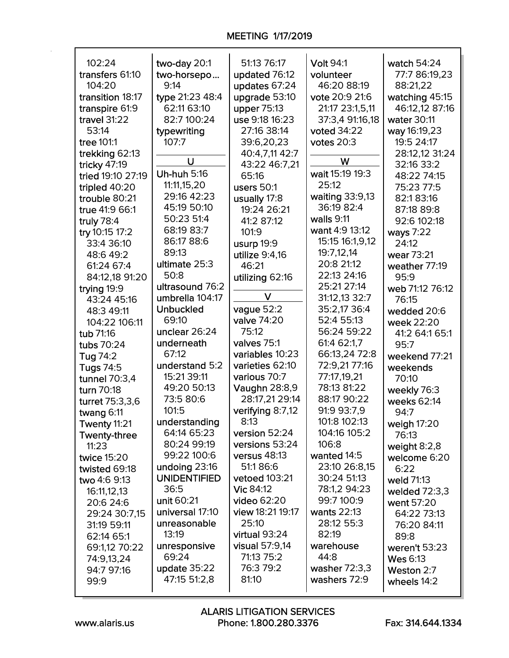| 102:24            | two-day 20:1        | 51:13 76:17      | <b>Volt 94:1</b>   | watch 54:24     |
|-------------------|---------------------|------------------|--------------------|-----------------|
| transfers 61:10   | two-horsepo         | updated 76:12    | volunteer          | 77:7 86:19,23   |
| 104:20            | 9:14                | updates 67:24    | 46:20 88:19        | 88:21,22        |
| transition 18:17  | type 21:23 48:4     | upgrade 53:10    | vote 20:9 21:6     | watching 45:15  |
| transpire 61:9    | 62:11 63:10         | upper 75:13      | 21:17 23:1,5,11    | 46:12,12 87:16  |
| travel 31:22      | 82:7 100:24         | use 9:18 16:23   | 37:3,4 91:16,18    | water 30:11     |
| 53:14             | typewriting         | 27:16 38:14      | voted 34:22        | way 16:19,23    |
| tree 101:1        | 107:7               | 39:6,20,23       | votes $20:3$       | 19:5 24:17      |
| trekking 62:13    |                     | 40:4,7,11 42:7   |                    | 28:12,12 31:24  |
| tricky 47:19      | U                   | 43:22 46:7,21    | W                  | 32:16 33:2      |
| tried 19:10 27:19 | <b>Uh-huh 5:16</b>  | 65:16            | wait 15:19 19:3    | 48:22 74:15     |
| tripled 40:20     | 11:11,15,20         | users $50:1$     | 25:12              | 75:23 77:5      |
| trouble 80:21     | 29:16 42:23         | usually 17:8     | waiting 33:9,13    | 82:183:16       |
| true 41:9 66:1    | 45:19 50:10         | 19:24 26:21      | 36:19 82:4         | 87:18 89:8      |
| truly 78:4        | 50:23 51:4          | 41:2 87:12       | walls 9:11         | 92:6 102:18     |
| try 10:15 17:2    | 68:19 83:7          | 101:9            | want 4:9 13:12     | ways 7:22       |
| 33:4 36:10        | 86:17 88:6          | usurp 19:9       | 15:15 16:1,9,12    | 24:12           |
| 48:6 49:2         | 89:13               | utilize 9:4,16   | 19:7,12,14         | wear 73:21      |
| 61:24 67:4        | ultimate 25:3       | 46:21            | 20:8 21:12         | weather 77:19   |
| 84:12,18 91:20    | 50:8                | utilizing 62:16  | 22:13 24:16        | 95:9            |
| trying 19:9       | ultrasound 76:2     |                  | 25:21 27:14        | web 71:12 76:12 |
| 43:24 45:16       | umbrella 104:17     | V                | 31:12,13 32:7      | 76:15           |
| 48:3 49:11        | <b>Unbuckled</b>    | vague 52:2       | 35:2,17 36:4       | wedded 20:6     |
| 104:22 106:11     | 69:10               | valve 74:20      | 52:4 55:13         | week 22:20      |
| tub 71:16         | unclear 26:24       | 75:12            | 56:24 59:22        | 41:2 64:1 65:1  |
| tubs 70:24        | underneath          | valves 75:1      | 61:4 62:1,7        | 95:7            |
| Tug 74:2          | 67:12               | variables 10:23  | 66:13,24 72:8      | weekend 77:21   |
| <b>Tugs 74:5</b>  | understand 5:2      | varieties 62:10  | 72:9,21 77:16      | weekends        |
| tunnel 70:3,4     | 15:21 39:11         | various 70:7     | 77:17,19,21        | 70:10           |
| turn 70:18        | 49:20 50:13         | Vaughn 28:8,9    | 78:13 81:22        | weekly 76:3     |
| turret 75:3,3,6   | 73:5 80:6           | 28:17,21 29:14   | 88:17 90:22        | weeks 62:14     |
| twang 6:11        | 101:5               | verifying 8:7,12 | 91:9 93:7,9        | 94:7            |
| Twenty 11:21      | understanding       | 8:13             | 101:8 102:13       | weigh 17:20     |
| Twenty-three      | 64:14 65:23         | version 52:24    | 104:16 105:2       | 76:13           |
| 11:23             | 80:24 99:19         | versions 53:24   | 106:8              | weight $8:2,8$  |
| twice 15:20       | 99:22 100:6         | versus 48:13     | wanted 14:5        | welcome 6:20    |
| twisted 69:18     | undoing 23:16       | 51:186:6         | 23:10 26:8,15      | 6:22            |
| two 4:6 9:13      | <b>UNIDENTIFIED</b> | vetoed 103:21    | 30:24 51:13        | weld 71:13      |
| 16:11,12,13       | 36:5                | Vic 84:12        | 78:1,2 94:23       | welded $72:3,3$ |
| 20:6 24:6         | unit 60:21          | video 62:20      | 99:7 100:9         | went 57:20      |
| 29:24 30:7,15     | universal 17:10     | view 18:21 19:17 | <b>wants 22:13</b> | 64:22 73:13     |
| 31:19 59:11       | unreasonable        | 25:10            | 28:12 55:3         | 76:20 84:11     |
| 62:14 65:1        | 13:19               | virtual 93:24    | 82:19              | 89:8            |
| 69:1,12 70:22     | unresponsive        | visual 57:9,14   | warehouse          | weren't 53:23   |
| 74:9,13,24        | 69:24               | 71:13 75:2       | 44:8               | <b>Wes 6:13</b> |
| 94:7 97:16        | update 35:22        | 76:3 79:2        | washer 72:3,3      | Weston 2:7      |
| 99:9              | 47:15 51:2,8        | 81:10            | washers 72:9       | wheels 14:2     |
|                   |                     |                  |                    |                 |